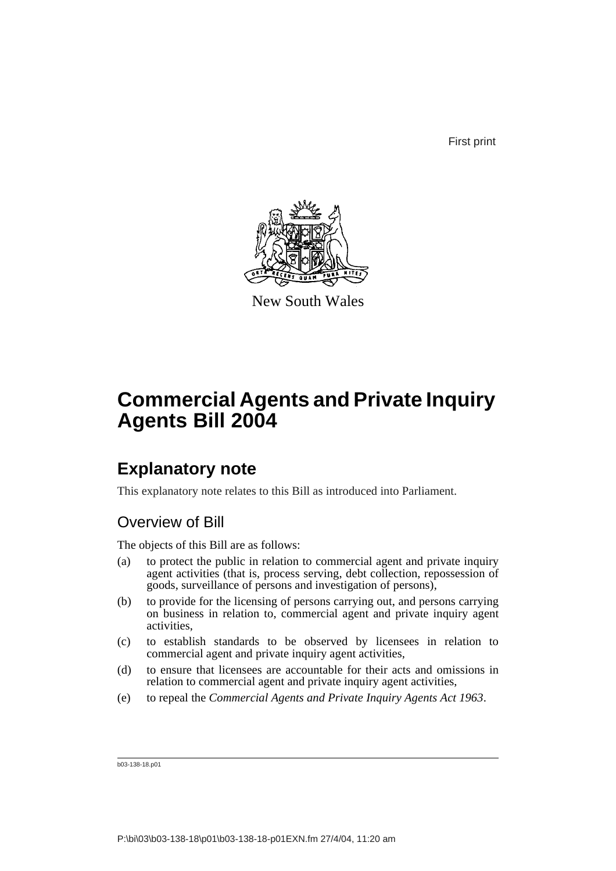First print



New South Wales

# **Commercial Agents and Private Inquiry Agents Bill 2004**

## **Explanatory note**

This explanatory note relates to this Bill as introduced into Parliament.

### Overview of Bill

The objects of this Bill are as follows:

- (a) to protect the public in relation to commercial agent and private inquiry agent activities (that is, process serving, debt collection, repossession of goods, surveillance of persons and investigation of persons),
- (b) to provide for the licensing of persons carrying out, and persons carrying on business in relation to, commercial agent and private inquiry agent activities,
- (c) to establish standards to be observed by licensees in relation to commercial agent and private inquiry agent activities,
- (d) to ensure that licensees are accountable for their acts and omissions in relation to commercial agent and private inquiry agent activities,
- (e) to repeal the *Commercial Agents and Private Inquiry Agents Act 1963*.

b03-138-18.p01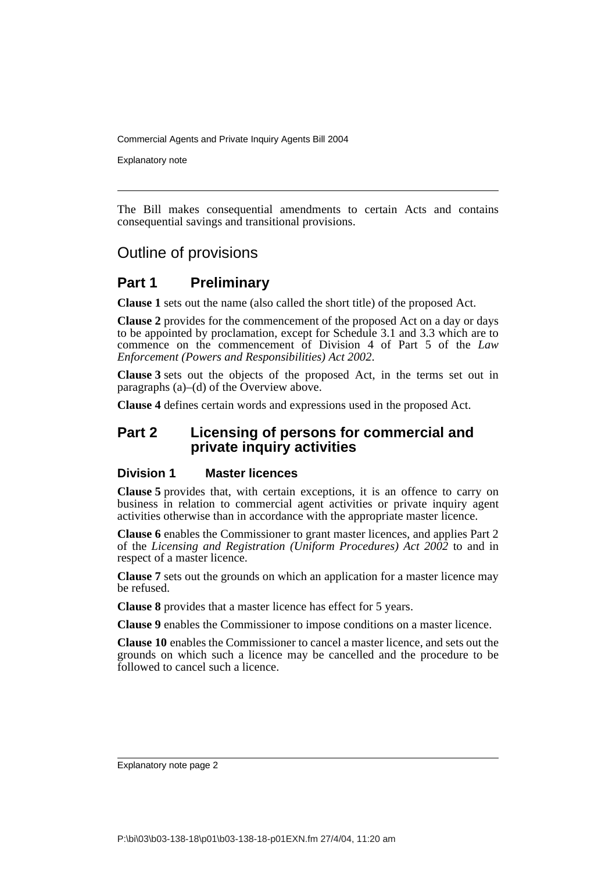Explanatory note

The Bill makes consequential amendments to certain Acts and contains consequential savings and transitional provisions.

### Outline of provisions

#### **Part 1 Preliminary**

**Clause 1** sets out the name (also called the short title) of the proposed Act.

**Clause 2** provides for the commencement of the proposed Act on a day or days to be appointed by proclamation, except for Schedule 3.1 and 3.3 which are to commence on the commencement of Division 4 of Part 5 of the *Law Enforcement (Powers and Responsibilities) Act 2002*.

**Clause 3** sets out the objects of the proposed Act, in the terms set out in paragraphs (a)–(d) of the Overview above.

**Clause 4** defines certain words and expressions used in the proposed Act.

#### **Part 2 Licensing of persons for commercial and private inquiry activities**

#### **Division 1 Master licences**

**Clause 5** provides that, with certain exceptions, it is an offence to carry on business in relation to commercial agent activities or private inquiry agent activities otherwise than in accordance with the appropriate master licence.

**Clause 6** enables the Commissioner to grant master licences, and applies Part 2 of the *Licensing and Registration (Uniform Procedures) Act 2002* to and in respect of a master licence.

**Clause 7** sets out the grounds on which an application for a master licence may be refused.

**Clause 8** provides that a master licence has effect for 5 years.

**Clause 9** enables the Commissioner to impose conditions on a master licence.

**Clause 10** enables the Commissioner to cancel a master licence, and sets out the grounds on which such a licence may be cancelled and the procedure to be followed to cancel such a licence.

Explanatory note page 2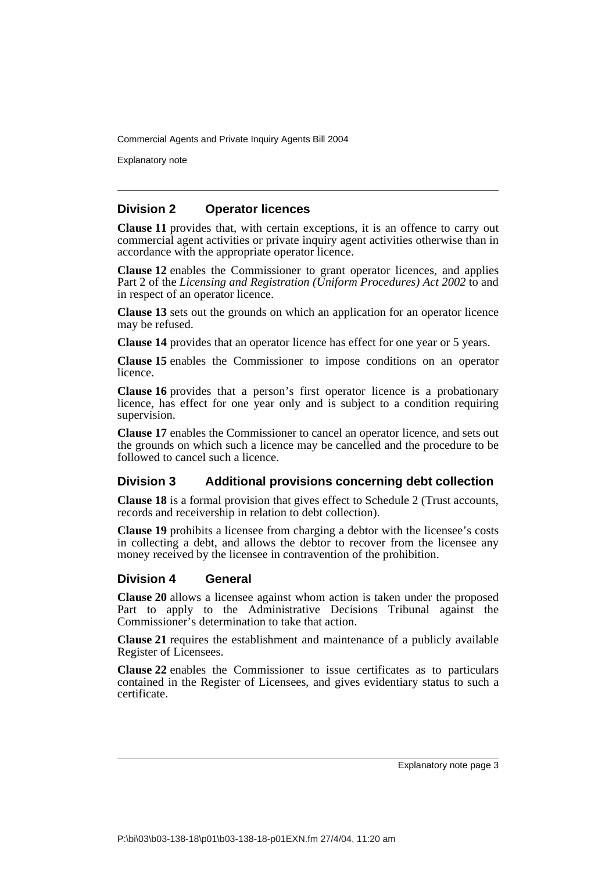Explanatory note

#### **Division 2 Operator licences**

**Clause 11** provides that, with certain exceptions, it is an offence to carry out commercial agent activities or private inquiry agent activities otherwise than in accordance with the appropriate operator licence.

**Clause 12** enables the Commissioner to grant operator licences, and applies Part 2 of the *Licensing and Registration (Uniform Procedures) Act 2002* to and in respect of an operator licence.

**Clause 13** sets out the grounds on which an application for an operator licence may be refused.

**Clause 14** provides that an operator licence has effect for one year or 5 years.

**Clause 15** enables the Commissioner to impose conditions on an operator licence.

**Clause 16** provides that a person's first operator licence is a probationary licence, has effect for one year only and is subject to a condition requiring supervision.

**Clause 17** enables the Commissioner to cancel an operator licence, and sets out the grounds on which such a licence may be cancelled and the procedure to be followed to cancel such a licence.

#### **Division 3 Additional provisions concerning debt collection**

**Clause 18** is a formal provision that gives effect to Schedule 2 (Trust accounts, records and receivership in relation to debt collection).

**Clause 19** prohibits a licensee from charging a debtor with the licensee's costs in collecting a debt, and allows the debtor to recover from the licensee any money received by the licensee in contravention of the prohibition.

#### **Division 4 General**

**Clause 20** allows a licensee against whom action is taken under the proposed Part to apply to the Administrative Decisions Tribunal against the Commissioner's determination to take that action.

**Clause 21** requires the establishment and maintenance of a publicly available Register of Licensees.

**Clause 22** enables the Commissioner to issue certificates as to particulars contained in the Register of Licensees, and gives evidentiary status to such a certificate.

Explanatory note page 3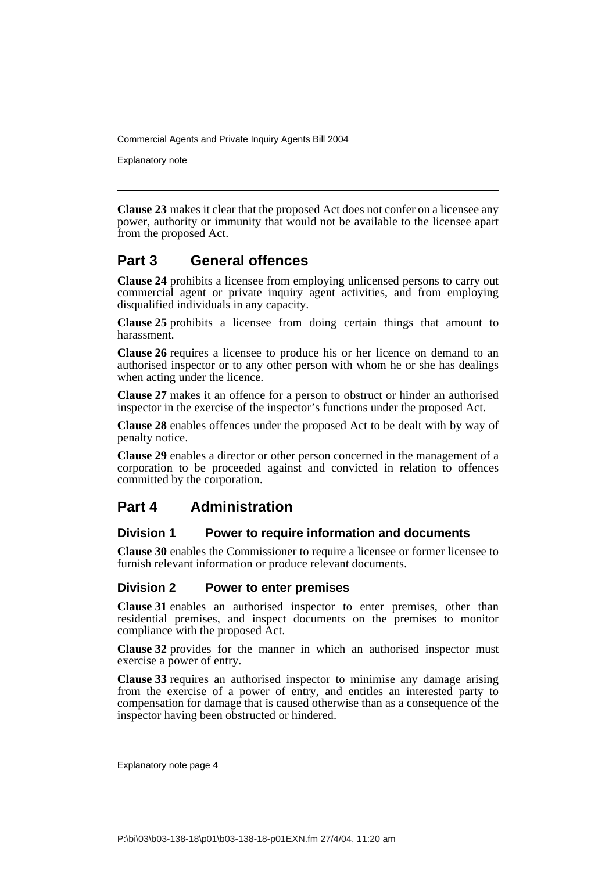Explanatory note

**Clause 23** makes it clear that the proposed Act does not confer on a licensee any power, authority or immunity that would not be available to the licensee apart from the proposed Act.

### **Part 3 General offences**

**Clause 24** prohibits a licensee from employing unlicensed persons to carry out commercial agent or private inquiry agent activities, and from employing disqualified individuals in any capacity.

**Clause 25** prohibits a licensee from doing certain things that amount to harassment.

**Clause 26** requires a licensee to produce his or her licence on demand to an authorised inspector or to any other person with whom he or she has dealings when acting under the licence.

**Clause 27** makes it an offence for a person to obstruct or hinder an authorised inspector in the exercise of the inspector's functions under the proposed Act.

**Clause 28** enables offences under the proposed Act to be dealt with by way of penalty notice.

**Clause 29** enables a director or other person concerned in the management of a corporation to be proceeded against and convicted in relation to offences committed by the corporation.

### **Part 4 Administration**

#### **Division 1 Power to require information and documents**

**Clause 30** enables the Commissioner to require a licensee or former licensee to furnish relevant information or produce relevant documents.

#### **Division 2 Power to enter premises**

**Clause 31** enables an authorised inspector to enter premises, other than residential premises, and inspect documents on the premises to monitor compliance with the proposed Act.

**Clause 32** provides for the manner in which an authorised inspector must exercise a power of entry.

**Clause 33** requires an authorised inspector to minimise any damage arising from the exercise of a power of entry, and entitles an interested party to compensation for damage that is caused otherwise than as a consequence of the inspector having been obstructed or hindered.

Explanatory note page 4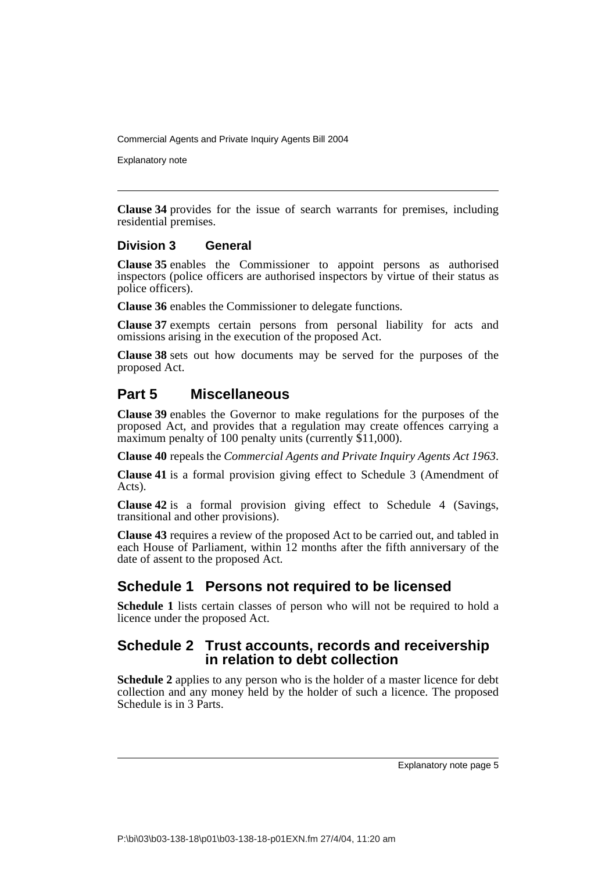Explanatory note

**Clause 34** provides for the issue of search warrants for premises, including residential premises.

#### **Division 3 General**

**Clause 35** enables the Commissioner to appoint persons as authorised inspectors (police officers are authorised inspectors by virtue of their status as police officers).

**Clause 36** enables the Commissioner to delegate functions.

**Clause 37** exempts certain persons from personal liability for acts and omissions arising in the execution of the proposed Act.

**Clause 38** sets out how documents may be served for the purposes of the proposed Act.

#### **Part 5 Miscellaneous**

**Clause 39** enables the Governor to make regulations for the purposes of the proposed Act, and provides that a regulation may create offences carrying a maximum penalty of 100 penalty units (currently \$11,000).

**Clause 40** repeals the *Commercial Agents and Private Inquiry Agents Act 1963*.

**Clause 41** is a formal provision giving effect to Schedule 3 (Amendment of Acts).

**Clause 42** is a formal provision giving effect to Schedule 4 (Savings, transitional and other provisions).

**Clause 43** requires a review of the proposed Act to be carried out, and tabled in each House of Parliament, within 12 months after the fifth anniversary of the date of assent to the proposed Act.

### **Schedule 1 Persons not required to be licensed**

**Schedule 1** lists certain classes of person who will not be required to hold a licence under the proposed Act.

#### **Schedule 2 Trust accounts, records and receivership in relation to debt collection**

**Schedule 2** applies to any person who is the holder of a master licence for debt collection and any money held by the holder of such a licence. The proposed Schedule is in 3 Parts.

Explanatory note page 5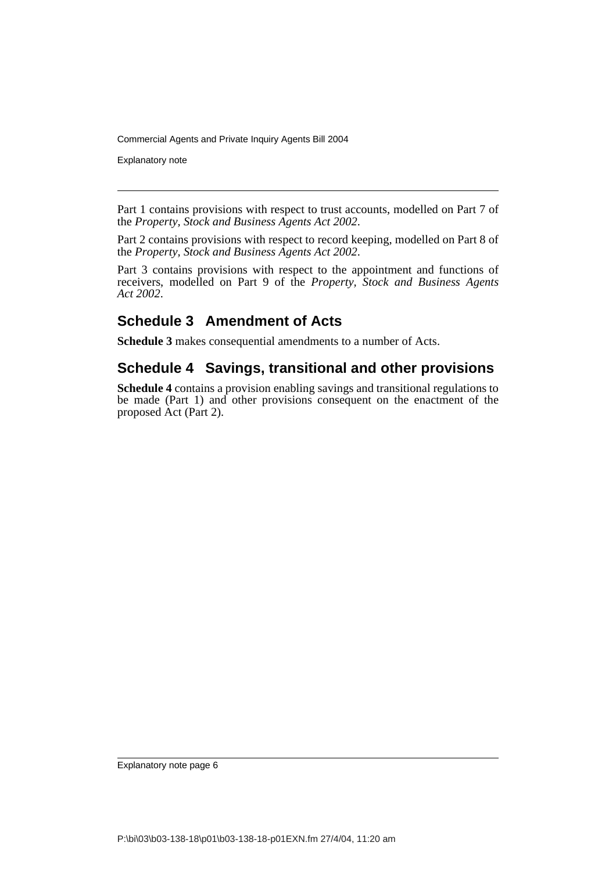Explanatory note

Part 1 contains provisions with respect to trust accounts, modelled on Part 7 of the *Property, Stock and Business Agents Act 2002*.

Part 2 contains provisions with respect to record keeping, modelled on Part 8 of the *Property, Stock and Business Agents Act 2002*.

Part 3 contains provisions with respect to the appointment and functions of receivers, modelled on Part 9 of the *Property, Stock and Business Agents Act 2002*.

### **Schedule 3 Amendment of Acts**

**Schedule 3** makes consequential amendments to a number of Acts.

### **Schedule 4 Savings, transitional and other provisions**

**Schedule 4** contains a provision enabling savings and transitional regulations to be made (Part 1) and other provisions consequent on the enactment of the proposed Act (Part 2).

Explanatory note page 6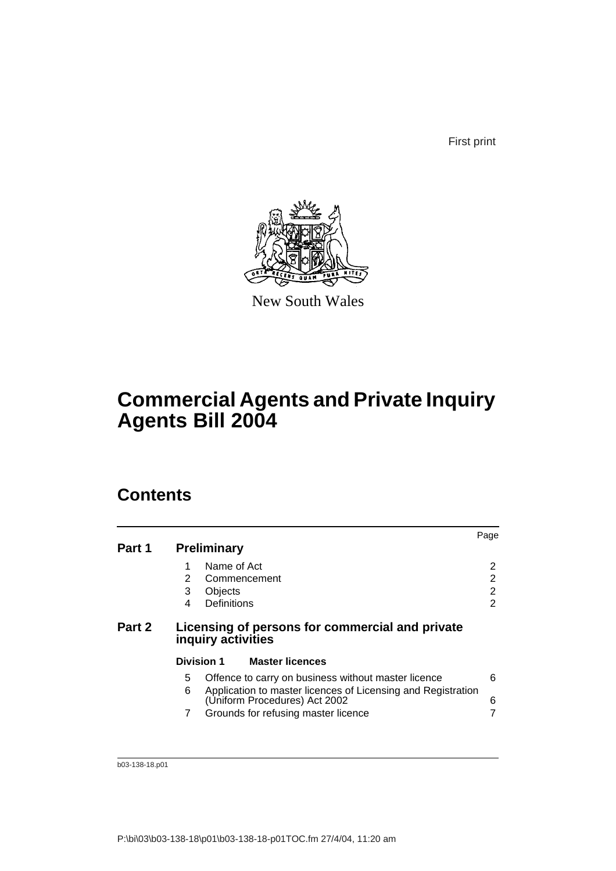First print



New South Wales

## **Commercial Agents and Private Inquiry Agents Bill 2004**

## **Contents**

| Part 1 | <b>Preliminary</b>                                                                                                                                                                                          | Page                          |
|--------|-------------------------------------------------------------------------------------------------------------------------------------------------------------------------------------------------------------|-------------------------------|
| Part 2 | Name of Act<br>1<br>2<br>Commencement<br>3<br>Objects<br>Definitions<br>4<br>Licensing of persons for commercial and private                                                                                | 2<br>2<br>2<br>$\overline{2}$ |
|        | inquiry activities<br><b>Division 1</b><br><b>Master licences</b>                                                                                                                                           |                               |
|        | Offence to carry on business without master licence<br>5.<br>6<br>Application to master licences of Licensing and Registration<br>(Uniform Procedures) Act 2002<br>Grounds for refusing master licence<br>7 | 6<br>6<br>7                   |

b03-138-18.p01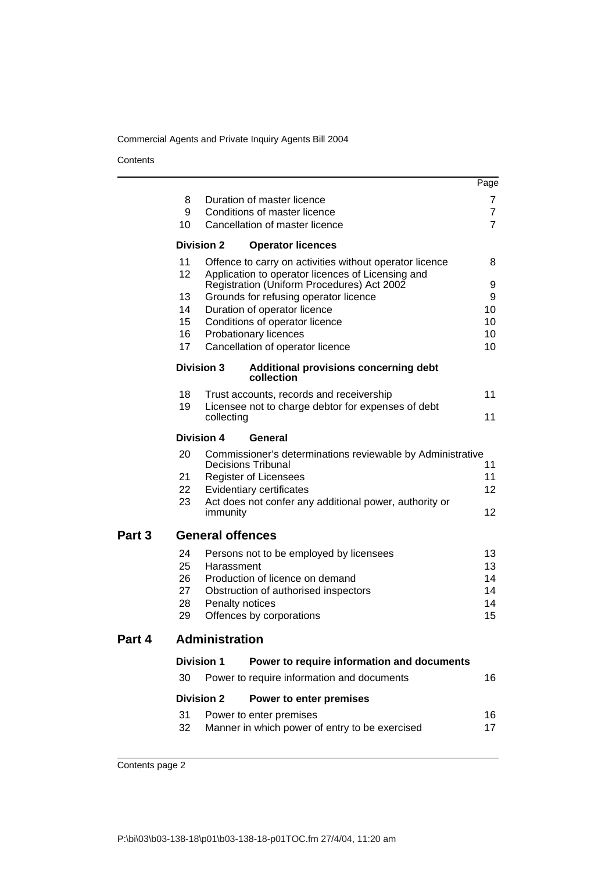#### **Contents**

|          |                                                                |                                                                                                       | Page                                                                                                                                                                                                                                                                                                                                                                                                                                                                                                                                                                                                                                                                                                                                                                                                                                                                                                                                                                                                                                                                                                                                                                                                                                                                                                  |
|----------|----------------------------------------------------------------|-------------------------------------------------------------------------------------------------------|-------------------------------------------------------------------------------------------------------------------------------------------------------------------------------------------------------------------------------------------------------------------------------------------------------------------------------------------------------------------------------------------------------------------------------------------------------------------------------------------------------------------------------------------------------------------------------------------------------------------------------------------------------------------------------------------------------------------------------------------------------------------------------------------------------------------------------------------------------------------------------------------------------------------------------------------------------------------------------------------------------------------------------------------------------------------------------------------------------------------------------------------------------------------------------------------------------------------------------------------------------------------------------------------------------|
| 8        |                                                                |                                                                                                       | 7                                                                                                                                                                                                                                                                                                                                                                                                                                                                                                                                                                                                                                                                                                                                                                                                                                                                                                                                                                                                                                                                                                                                                                                                                                                                                                     |
| 9        |                                                                |                                                                                                       | $\overline{7}$                                                                                                                                                                                                                                                                                                                                                                                                                                                                                                                                                                                                                                                                                                                                                                                                                                                                                                                                                                                                                                                                                                                                                                                                                                                                                        |
| 10       |                                                                |                                                                                                       | $\overline{7}$                                                                                                                                                                                                                                                                                                                                                                                                                                                                                                                                                                                                                                                                                                                                                                                                                                                                                                                                                                                                                                                                                                                                                                                                                                                                                        |
|          |                                                                |                                                                                                       |                                                                                                                                                                                                                                                                                                                                                                                                                                                                                                                                                                                                                                                                                                                                                                                                                                                                                                                                                                                                                                                                                                                                                                                                                                                                                                       |
| 11       |                                                                |                                                                                                       | 8                                                                                                                                                                                                                                                                                                                                                                                                                                                                                                                                                                                                                                                                                                                                                                                                                                                                                                                                                                                                                                                                                                                                                                                                                                                                                                     |
|          |                                                                |                                                                                                       | 9                                                                                                                                                                                                                                                                                                                                                                                                                                                                                                                                                                                                                                                                                                                                                                                                                                                                                                                                                                                                                                                                                                                                                                                                                                                                                                     |
| 13       |                                                                |                                                                                                       | 9                                                                                                                                                                                                                                                                                                                                                                                                                                                                                                                                                                                                                                                                                                                                                                                                                                                                                                                                                                                                                                                                                                                                                                                                                                                                                                     |
| 14       |                                                                |                                                                                                       | 10                                                                                                                                                                                                                                                                                                                                                                                                                                                                                                                                                                                                                                                                                                                                                                                                                                                                                                                                                                                                                                                                                                                                                                                                                                                                                                    |
|          |                                                                |                                                                                                       | 10                                                                                                                                                                                                                                                                                                                                                                                                                                                                                                                                                                                                                                                                                                                                                                                                                                                                                                                                                                                                                                                                                                                                                                                                                                                                                                    |
|          |                                                                |                                                                                                       | 10                                                                                                                                                                                                                                                                                                                                                                                                                                                                                                                                                                                                                                                                                                                                                                                                                                                                                                                                                                                                                                                                                                                                                                                                                                                                                                    |
|          |                                                                |                                                                                                       | 10                                                                                                                                                                                                                                                                                                                                                                                                                                                                                                                                                                                                                                                                                                                                                                                                                                                                                                                                                                                                                                                                                                                                                                                                                                                                                                    |
|          |                                                                |                                                                                                       |                                                                                                                                                                                                                                                                                                                                                                                                                                                                                                                                                                                                                                                                                                                                                                                                                                                                                                                                                                                                                                                                                                                                                                                                                                                                                                       |
| 18       |                                                                |                                                                                                       | 11                                                                                                                                                                                                                                                                                                                                                                                                                                                                                                                                                                                                                                                                                                                                                                                                                                                                                                                                                                                                                                                                                                                                                                                                                                                                                                    |
|          |                                                                |                                                                                                       | 11                                                                                                                                                                                                                                                                                                                                                                                                                                                                                                                                                                                                                                                                                                                                                                                                                                                                                                                                                                                                                                                                                                                                                                                                                                                                                                    |
|          |                                                                |                                                                                                       |                                                                                                                                                                                                                                                                                                                                                                                                                                                                                                                                                                                                                                                                                                                                                                                                                                                                                                                                                                                                                                                                                                                                                                                                                                                                                                       |
| 20       |                                                                |                                                                                                       | 11                                                                                                                                                                                                                                                                                                                                                                                                                                                                                                                                                                                                                                                                                                                                                                                                                                                                                                                                                                                                                                                                                                                                                                                                                                                                                                    |
| 21       |                                                                |                                                                                                       | 11                                                                                                                                                                                                                                                                                                                                                                                                                                                                                                                                                                                                                                                                                                                                                                                                                                                                                                                                                                                                                                                                                                                                                                                                                                                                                                    |
|          |                                                                |                                                                                                       | 12                                                                                                                                                                                                                                                                                                                                                                                                                                                                                                                                                                                                                                                                                                                                                                                                                                                                                                                                                                                                                                                                                                                                                                                                                                                                                                    |
|          | immunity                                                       |                                                                                                       | $12 \overline{ }$                                                                                                                                                                                                                                                                                                                                                                                                                                                                                                                                                                                                                                                                                                                                                                                                                                                                                                                                                                                                                                                                                                                                                                                                                                                                                     |
|          |                                                                |                                                                                                       |                                                                                                                                                                                                                                                                                                                                                                                                                                                                                                                                                                                                                                                                                                                                                                                                                                                                                                                                                                                                                                                                                                                                                                                                                                                                                                       |
| 24       |                                                                |                                                                                                       | 13                                                                                                                                                                                                                                                                                                                                                                                                                                                                                                                                                                                                                                                                                                                                                                                                                                                                                                                                                                                                                                                                                                                                                                                                                                                                                                    |
|          |                                                                |                                                                                                       | 13                                                                                                                                                                                                                                                                                                                                                                                                                                                                                                                                                                                                                                                                                                                                                                                                                                                                                                                                                                                                                                                                                                                                                                                                                                                                                                    |
|          |                                                                |                                                                                                       | 14<br>14                                                                                                                                                                                                                                                                                                                                                                                                                                                                                                                                                                                                                                                                                                                                                                                                                                                                                                                                                                                                                                                                                                                                                                                                                                                                                              |
|          |                                                                |                                                                                                       | 14                                                                                                                                                                                                                                                                                                                                                                                                                                                                                                                                                                                                                                                                                                                                                                                                                                                                                                                                                                                                                                                                                                                                                                                                                                                                                                    |
| 29       |                                                                |                                                                                                       | 15                                                                                                                                                                                                                                                                                                                                                                                                                                                                                                                                                                                                                                                                                                                                                                                                                                                                                                                                                                                                                                                                                                                                                                                                                                                                                                    |
|          |                                                                |                                                                                                       |                                                                                                                                                                                                                                                                                                                                                                                                                                                                                                                                                                                                                                                                                                                                                                                                                                                                                                                                                                                                                                                                                                                                                                                                                                                                                                       |
|          |                                                                |                                                                                                       |                                                                                                                                                                                                                                                                                                                                                                                                                                                                                                                                                                                                                                                                                                                                                                                                                                                                                                                                                                                                                                                                                                                                                                                                                                                                                                       |
| 30       |                                                                |                                                                                                       | 16                                                                                                                                                                                                                                                                                                                                                                                                                                                                                                                                                                                                                                                                                                                                                                                                                                                                                                                                                                                                                                                                                                                                                                                                                                                                                                    |
|          |                                                                |                                                                                                       |                                                                                                                                                                                                                                                                                                                                                                                                                                                                                                                                                                                                                                                                                                                                                                                                                                                                                                                                                                                                                                                                                                                                                                                                                                                                                                       |
| 31<br>32 |                                                                |                                                                                                       | 16<br>17                                                                                                                                                                                                                                                                                                                                                                                                                                                                                                                                                                                                                                                                                                                                                                                                                                                                                                                                                                                                                                                                                                                                                                                                                                                                                              |
|          | 12<br>15<br>16<br>17<br>19<br>22<br>23<br>25<br>26<br>27<br>28 | <b>Division 2</b><br><b>Division 3</b><br><b>Division 4</b><br><b>Division 1</b><br><b>Division 2</b> | Duration of master licence<br>Conditions of master licence<br>Cancellation of master licence<br><b>Operator licences</b><br>Offence to carry on activities without operator licence<br>Application to operator licences of Licensing and<br>Registration (Uniform Procedures) Act 2002<br>Grounds for refusing operator licence<br>Duration of operator licence<br>Conditions of operator licence<br>Probationary licences<br>Cancellation of operator licence<br>Additional provisions concerning debt<br>collection<br>Trust accounts, records and receivership<br>Licensee not to charge debtor for expenses of debt<br>collecting<br>General<br>Commissioner's determinations reviewable by Administrative<br><b>Decisions Tribunal</b><br>Register of Licensees<br>Evidentiary certificates<br>Act does not confer any additional power, authority or<br><b>General offences</b><br>Persons not to be employed by licensees<br>Harassment<br>Production of licence on demand<br>Obstruction of authorised inspectors<br>Penalty notices<br>Offences by corporations<br><b>Administration</b><br>Power to require information and documents<br>Power to require information and documents<br>Power to enter premises<br>Power to enter premises<br>Manner in which power of entry to be exercised |

Contents page 2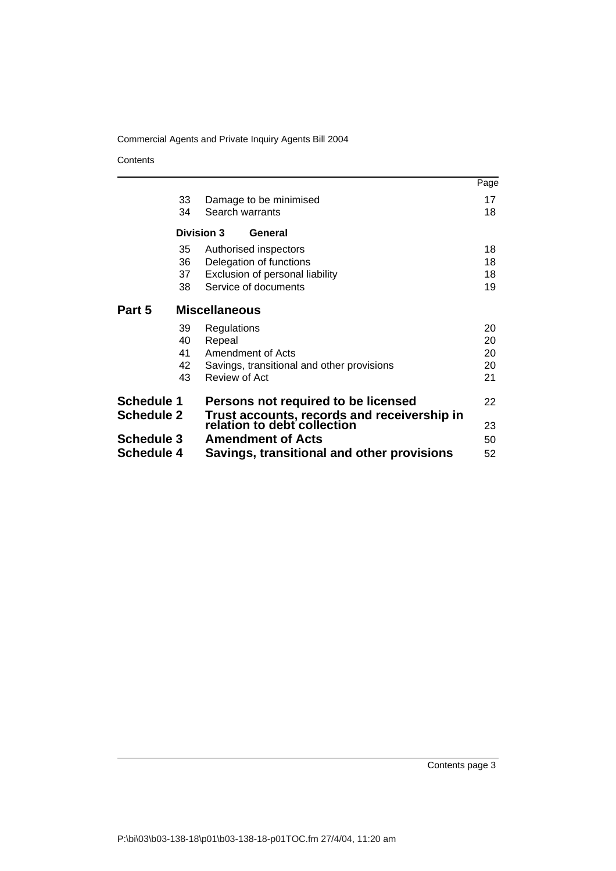**Contents** 

| <b>Schedule 3</b><br>Schedule 4 |    | <b>Amendment of Acts</b><br>Savings, transitional and other provisions     | 50<br>52 |
|---------------------------------|----|----------------------------------------------------------------------------|----------|
| <b>Schedule 2</b>               |    | Trust accounts, records and receivership in<br>relation to debt collection | 23       |
| <b>Schedule 1</b>               |    | Persons not required to be licensed                                        | 22       |
|                                 | 43 | Review of Act                                                              | 21       |
|                                 | 42 | Savings, transitional and other provisions                                 | 20       |
|                                 | 41 | Amendment of Acts                                                          | 20       |
|                                 | 40 | Repeal                                                                     | 20       |
|                                 | 39 | Regulations                                                                | 20       |
| Part 5                          |    | <b>Miscellaneous</b>                                                       |          |
|                                 | 38 | Service of documents                                                       | 19       |
|                                 | 37 | Exclusion of personal liability                                            | 18       |
|                                 | 36 | Delegation of functions                                                    | 18       |
|                                 | 35 | Authorised inspectors                                                      | 18       |
|                                 |    | <b>Division 3</b><br>General                                               |          |
|                                 | 34 | Search warrants                                                            | 18       |
|                                 | 33 | Damage to be minimised                                                     | 17       |
|                                 |    |                                                                            | Page     |

Contents page 3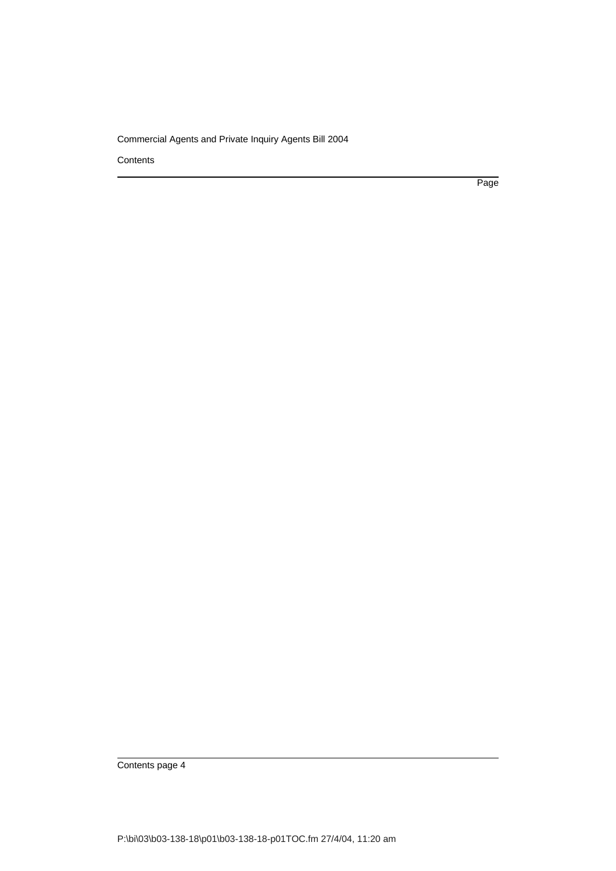**Contents** 

Page

Contents page 4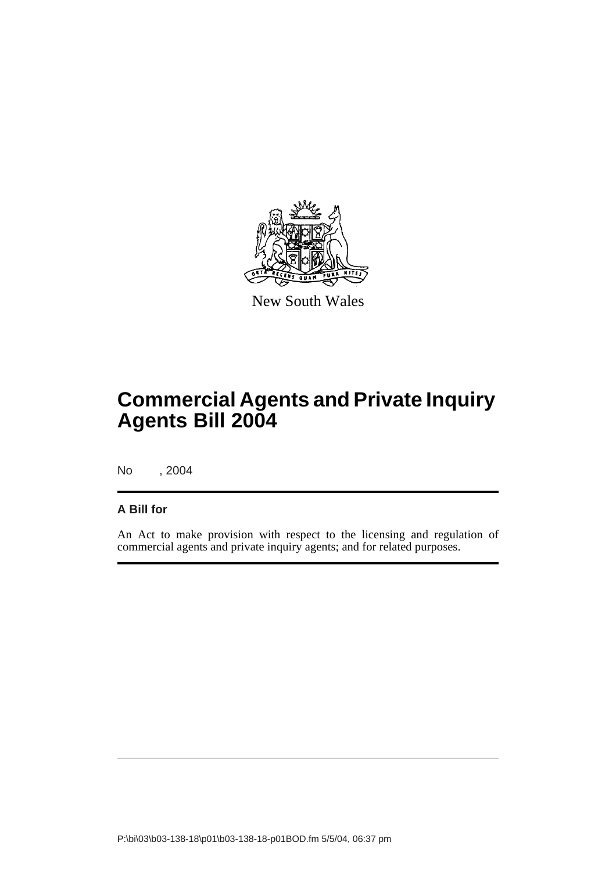

New South Wales

## **Commercial Agents and Private Inquiry Agents Bill 2004**

No , 2004

#### **A Bill for**

An Act to make provision with respect to the licensing and regulation of commercial agents and private inquiry agents; and for related purposes.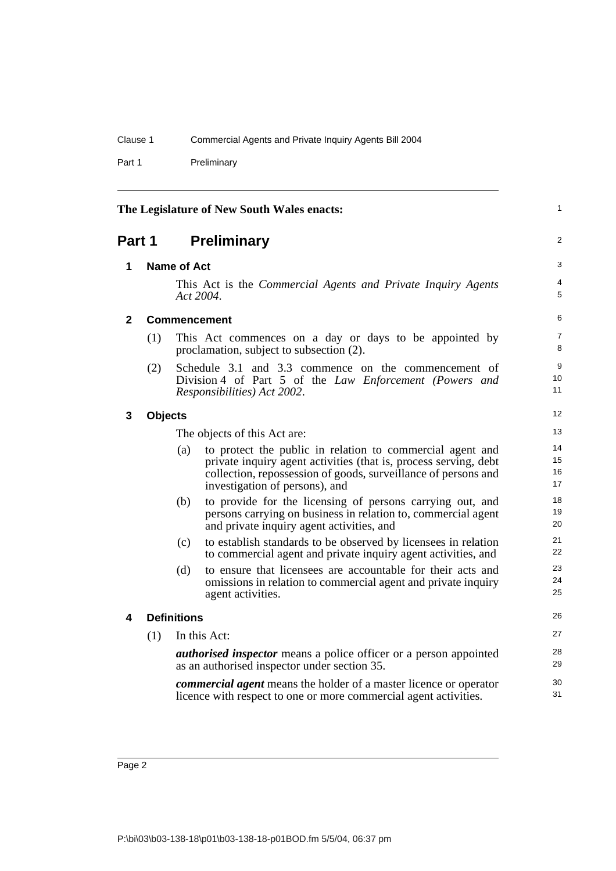Part 1 Preliminary

#### **The Legislature of New South Wales enacts:**

### <span id="page-11-1"></span><span id="page-11-0"></span>**Part 1 Preliminary**

#### **1 Name of Act**

This Act is the *Commercial Agents and Private Inquiry Agents Act 2004*.

1

 $\overline{2}$ 

3 4 5

#### <span id="page-11-2"></span>**2 Commencement**

- (1) This Act commences on a day or days to be appointed by proclamation, subject to subsection (2).
- (2) Schedule 3.1 and 3.3 commence on the commencement of Division 4 of Part 5 of the *Law Enforcement (Powers and Responsibilities) Act 2002*.

#### <span id="page-11-3"></span>**3 Objects**

The objects of this Act are:

- (a) to protect the public in relation to commercial agent and private inquiry agent activities (that is, process serving, debt collection, repossession of goods, surveillance of persons and investigation of persons), and
- (b) to provide for the licensing of persons carrying out, and persons carrying on business in relation to, commercial agent and private inquiry agent activities, and
- (c) to establish standards to be observed by licensees in relation to commercial agent and private inquiry agent activities, and
- (d) to ensure that licensees are accountable for their acts and omissions in relation to commercial agent and private inquiry agent activities.

#### <span id="page-11-4"></span>**4 Definitions**

(1) In this Act: *authorised inspector* means a police officer or a person appointed as an authorised inspector under section 35.

*commercial agent* means the holder of a master licence or operator licence with respect to one or more commercial agent activities.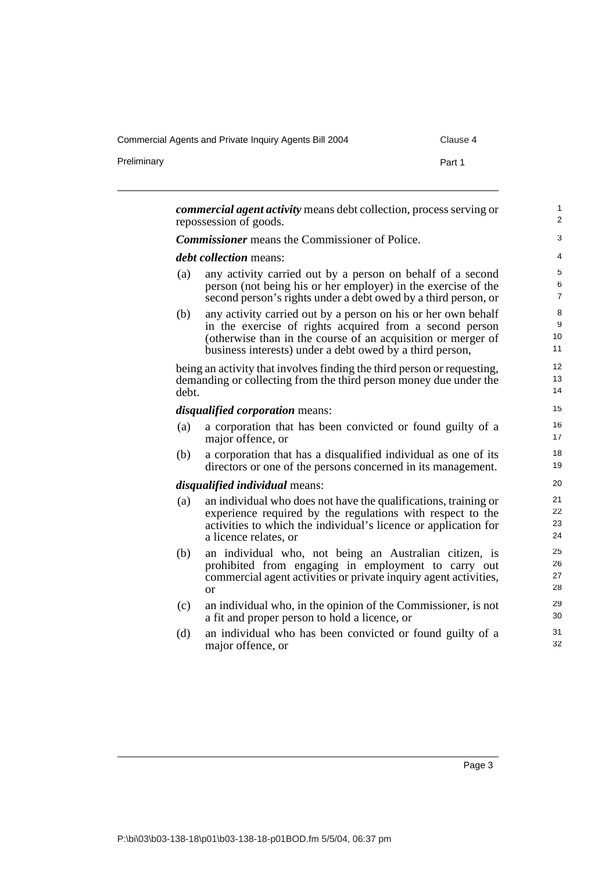Commercial Agents and Private Inquiry Agents Bill 2004 Clause 4

1

4

*commercial agent activity* means debt collection, process serving or repossession of goods. *Commissioner* means the Commissioner of Police. *debt collection* means: (a) any activity carried out by a person on behalf of a second person (not being his or her employer) in the exercise of the second person's rights under a debt owed by a third person, or (b) any activity carried out by a person on his or her own behalf in the exercise of rights acquired from a second person (otherwise than in the course of an acquisition or merger of business interests) under a debt owed by a third person, being an activity that involves finding the third person or requesting, demanding or collecting from the third person money due under the debt. *disqualified corporation* means: (a) a corporation that has been convicted or found guilty of a major offence, or (b) a corporation that has a disqualified individual as one of its directors or one of the persons concerned in its management. *disqualified individual* means: (a) an individual who does not have the qualifications, training or experience required by the regulations with respect to the activities to which the individual's licence or application for a licence relates, or (b) an individual who, not being an Australian citizen, is prohibited from engaging in employment to carry out commercial agent activities or private inquiry agent activities, or (c) an individual who, in the opinion of the Commissioner, is not a fit and proper person to hold a licence, or (d) an individual who has been convicted or found guilty of a major offence, or  $\overline{2}$ 3 5 6 7 8 9 10 11 12 13 14 15 16 17 18 19 20 21 22 23 24 25 26 27 28 29 30 31 32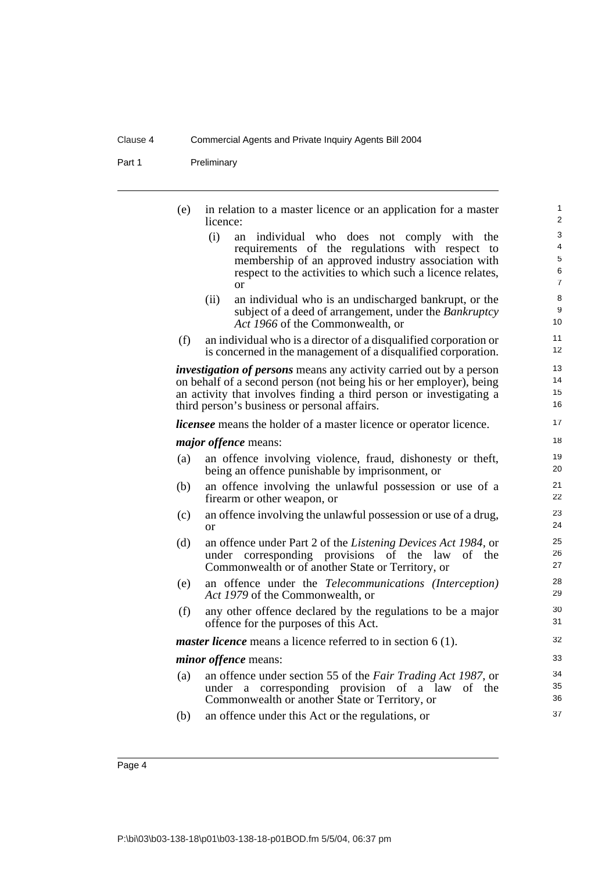Part 1 Preliminary

| (e) | in relation to a master licence or an application for a master<br>licence:                                                                                                                                                                                               |  |
|-----|--------------------------------------------------------------------------------------------------------------------------------------------------------------------------------------------------------------------------------------------------------------------------|--|
|     | (i)<br>individual who does not comply with<br>the<br>an<br>requirements of the regulations with respect to<br>membership of an approved industry association with<br>respect to the activities to which such a licence relates,<br><sub>or</sub>                         |  |
|     | an individual who is an undischarged bankrupt, or the<br>(ii)<br>subject of a deed of arrangement, under the Bankruptcy<br>Act 1966 of the Commonwealth, or                                                                                                              |  |
| (f) | an individual who is a director of a disqualified corporation or<br>is concerned in the management of a disqualified corporation.                                                                                                                                        |  |
|     | <i>investigation of persons</i> means any activity carried out by a person<br>on behalf of a second person (not being his or her employer), being<br>an activity that involves finding a third person or investigating a<br>third person's business or personal affairs. |  |
|     | <i>licensee</i> means the holder of a master licence or operator licence.                                                                                                                                                                                                |  |
|     | <i>major offence</i> means:                                                                                                                                                                                                                                              |  |
| (a) | an offence involving violence, fraud, dishonesty or theft,<br>being an offence punishable by imprisonment, or                                                                                                                                                            |  |
| (b) | an offence involving the unlawful possession or use of a<br>firearm or other weapon, or                                                                                                                                                                                  |  |
| (c) | an offence involving the unlawful possession or use of a drug,<br>$\alpha$                                                                                                                                                                                               |  |
| (d) | an offence under Part 2 of the Listening Devices Act 1984, or<br>under corresponding provisions of the law of the<br>Commonwealth or of another State or Territory, or                                                                                                   |  |
| (e) | an offence under the Telecommunications (Interception)<br>Act 1979 of the Commonwealth, or                                                                                                                                                                               |  |
| (f) | any other offence declared by the regulations to be a major<br>offence for the purposes of this Act.                                                                                                                                                                     |  |
|     | <i>master licence</i> means a licence referred to in section 6 (1).                                                                                                                                                                                                      |  |
|     | <i>minor offence</i> means:                                                                                                                                                                                                                                              |  |
| (a) | an offence under section 55 of the Fair Trading Act 1987, or<br>a corresponding provision of<br>a law of the<br>under<br>Commonwealth or another State or Territory, or                                                                                                  |  |
|     |                                                                                                                                                                                                                                                                          |  |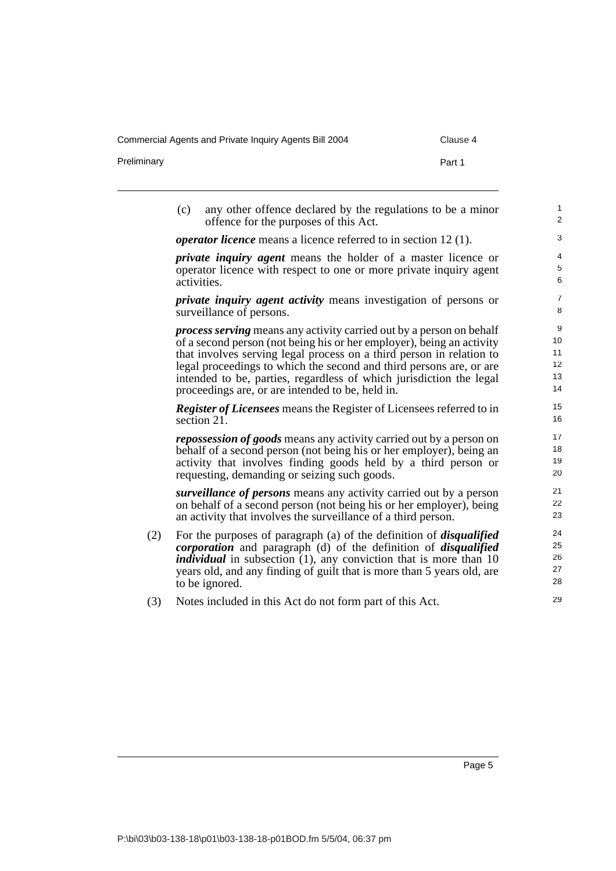| Commercial Agents and Private Inquiry Agents Bill 2004 | Clause 4 |
|--------------------------------------------------------|----------|
|                                                        |          |

Preliminary **Preliminary** Part 1

- (c) any other offence declared by the regulations to be a minor offence for the purposes of this Act. *operator licence* means a licence referred to in section 12 (1). *private inquiry agent* means the holder of a master licence or operator licence with respect to one or more private inquiry agent activities. *private inquiry agent activity* means investigation of persons or surveillance of persons. *process serving* means any activity carried out by a person on behalf of a second person (not being his or her employer), being an activity that involves serving legal process on a third person in relation to legal proceedings to which the second and third persons are, or are intended to be, parties, regardless of which jurisdiction the legal proceedings are, or are intended to be, held in. *Register of Licensees* means the Register of Licensees referred to in section 21. *repossession of goods* means any activity carried out by a person on behalf of a second person (not being his or her employer), being an activity that involves finding goods held by a third person or requesting, demanding or seizing such goods. *surveillance of persons* means any activity carried out by a person on behalf of a second person (not being his or her employer), being an activity that involves the surveillance of a third person. (2) For the purposes of paragraph (a) of the definition of *disqualified corporation* and paragraph (d) of the definition of *disqualified* 10 11 12 13 14 15 16 17 18 19 20 21 22 23 24 25 26
- *individual* in subsection (1), any conviction that is more than 10 years old, and any finding of guilt that is more than 5 years old, are to be ignored.
- (3) Notes included in this Act do not form part of this Act.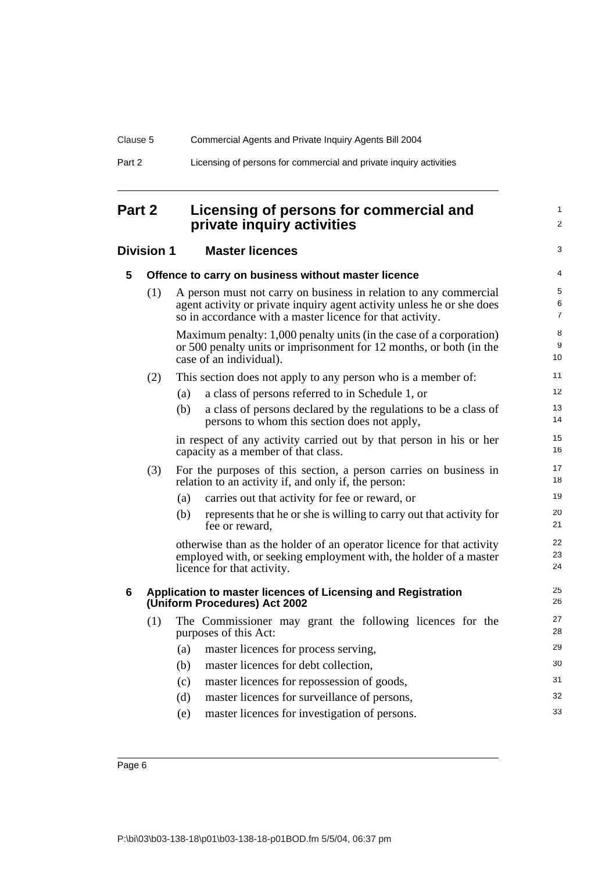| Commercial Agents and Private Inquiry Agents Bill 2004<br>Clause 5 |  |
|--------------------------------------------------------------------|--|
|--------------------------------------------------------------------|--|

| Licensing of persons for commercial and private inquiry activities<br>Part 2 |
|------------------------------------------------------------------------------|
|------------------------------------------------------------------------------|

#### <span id="page-15-0"></span>**Part 2 Licensing of persons for commercial and private inquiry activities**

1 2

3

#### <span id="page-15-2"></span><span id="page-15-1"></span>**Division 1 Master licences**

<span id="page-15-3"></span>

| 5 |     | Offence to carry on business without master licence                                                                                                                                                      | 4                        |
|---|-----|----------------------------------------------------------------------------------------------------------------------------------------------------------------------------------------------------------|--------------------------|
|   | (1) | A person must not carry on business in relation to any commercial<br>agent activity or private inquiry agent activity unless he or she does<br>so in accordance with a master licence for that activity. | 5<br>6<br>$\overline{7}$ |
|   |     | Maximum penalty: 1,000 penalty units (in the case of a corporation)<br>or 500 penalty units or imprisonment for 12 months, or both (in the<br>case of an individual).                                    | $\bf8$<br>9<br>10        |
|   | (2) | This section does not apply to any person who is a member of:                                                                                                                                            | 11                       |
|   |     | a class of persons referred to in Schedule 1, or<br>(a)                                                                                                                                                  | 12                       |
|   |     | (b)<br>a class of persons declared by the regulations to be a class of<br>persons to whom this section does not apply,                                                                                   | 13<br>14                 |
|   |     | in respect of any activity carried out by that person in his or her<br>capacity as a member of that class.                                                                                               | 15<br>16                 |
|   | (3) | For the purposes of this section, a person carries on business in<br>relation to an activity if, and only if, the person:                                                                                | 17<br>18                 |
|   |     | carries out that activity for fee or reward, or<br>(a)                                                                                                                                                   | 19                       |
|   |     | represents that he or she is willing to carry out that activity for<br>(b)<br>fee or reward.                                                                                                             | 20<br>21                 |
|   |     | otherwise than as the holder of an operator licence for that activity<br>employed with, or seeking employment with, the holder of a master<br>licence for that activity.                                 | 22<br>23<br>24           |
| 6 |     | Application to master licences of Licensing and Registration<br>(Uniform Procedures) Act 2002                                                                                                            | 25<br>26                 |
|   | (1) | The Commissioner may grant the following licences for the<br>purposes of this Act:                                                                                                                       | 27<br>28                 |
|   |     | (a)<br>master licences for process serving,                                                                                                                                                              | 29                       |
|   |     | master licences for debt collection,<br>(b)                                                                                                                                                              | 30                       |
|   |     | master licences for repossession of goods,<br>(c)                                                                                                                                                        | 31                       |
|   |     | master licences for surveillance of persons,<br>(d)                                                                                                                                                      | 32                       |
|   |     | (e)<br>master licences for investigation of persons.                                                                                                                                                     | 33                       |
|   |     |                                                                                                                                                                                                          |                          |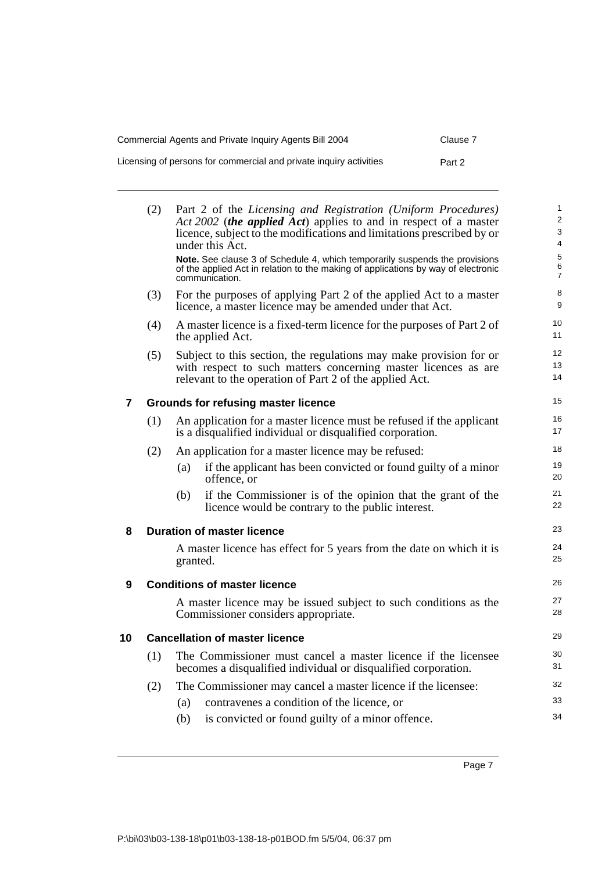| Commercial Agents and Private Inquiry Agents Bill 2004             | Clause 7 |
|--------------------------------------------------------------------|----------|
| Licensing of persons for commercial and private inquiry activities | Part 2   |

<span id="page-16-3"></span><span id="page-16-2"></span><span id="page-16-1"></span><span id="page-16-0"></span>

|    | (2) | Part 2 of the Licensing and Registration (Uniform Procedures)<br>Act 2002 (the applied Act) applies to and in respect of a master<br>licence, subject to the modifications and limitations prescribed by or<br>under this Act. | $\mathbf{1}$<br>$\overline{2}$<br>3<br>4 |
|----|-----|--------------------------------------------------------------------------------------------------------------------------------------------------------------------------------------------------------------------------------|------------------------------------------|
|    |     | Note. See clause 3 of Schedule 4, which temporarily suspends the provisions<br>of the applied Act in relation to the making of applications by way of electronic<br>communication.                                             | 5<br>6<br>$\overline{7}$                 |
|    | (3) | For the purposes of applying Part 2 of the applied Act to a master<br>licence, a master licence may be amended under that Act.                                                                                                 | 8<br>9                                   |
|    | (4) | A master licence is a fixed-term licence for the purposes of Part 2 of<br>the applied Act.                                                                                                                                     | 10<br>11                                 |
|    | (5) | Subject to this section, the regulations may make provision for or<br>with respect to such matters concerning master licences as are<br>relevant to the operation of Part 2 of the applied Act.                                | 12<br>13<br>14                           |
| 7  |     | <b>Grounds for refusing master licence</b>                                                                                                                                                                                     | 15                                       |
|    | (1) | An application for a master licence must be refused if the applicant<br>is a disqualified individual or disqualified corporation.                                                                                              | 16<br>17                                 |
|    | (2) | An application for a master licence may be refused:                                                                                                                                                                            | 18                                       |
|    |     | if the applicant has been convicted or found guilty of a minor<br>(a)<br>offence, or                                                                                                                                           | 19<br>20                                 |
|    |     | if the Commissioner is of the opinion that the grant of the<br>(b)<br>licence would be contrary to the public interest.                                                                                                        | 21<br>22                                 |
| 8  |     | <b>Duration of master licence</b>                                                                                                                                                                                              | 23                                       |
|    |     | A master licence has effect for 5 years from the date on which it is<br>granted.                                                                                                                                               | 24<br>25                                 |
| 9  |     | <b>Conditions of master licence</b>                                                                                                                                                                                            | 26                                       |
|    |     | A master licence may be issued subject to such conditions as the<br>Commissioner considers appropriate.                                                                                                                        | 27<br>28                                 |
| 10 |     | <b>Cancellation of master licence</b>                                                                                                                                                                                          | 29                                       |
|    | (1) | The Commissioner must cancel a master licence if the licensee<br>becomes a disqualified individual or disqualified corporation.                                                                                                | 30<br>31                                 |
|    | (2) | The Commissioner may cancel a master licence if the licensee:                                                                                                                                                                  | 32                                       |
|    |     | contravenes a condition of the licence, or<br>(a)                                                                                                                                                                              | 33                                       |
|    |     | is convicted or found guilty of a minor offence.<br>(b)                                                                                                                                                                        | 34                                       |
|    |     |                                                                                                                                                                                                                                |                                          |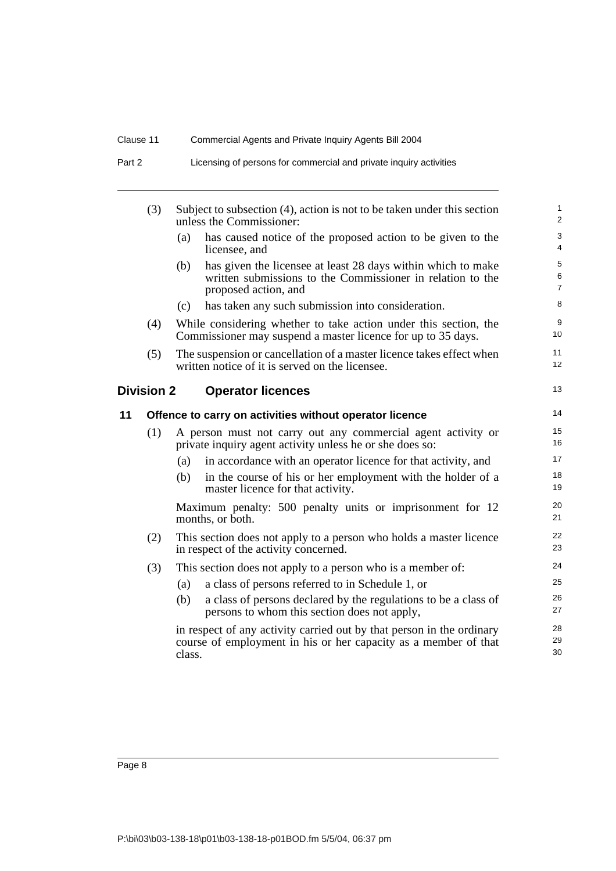Part 2 Licensing of persons for commercial and private inquiry activities

|                                               | (3) | Subject to subsection (4), action is not to be taken under this section<br>unless the Commissioner:                                                       |  |
|-----------------------------------------------|-----|-----------------------------------------------------------------------------------------------------------------------------------------------------------|--|
|                                               |     | has caused notice of the proposed action to be given to the<br>(a)<br>licensee, and                                                                       |  |
|                                               |     | has given the licensee at least 28 days within which to make<br>(b)<br>written submissions to the Commissioner in relation to the<br>proposed action, and |  |
|                                               |     | has taken any such submission into consideration.<br>(c)                                                                                                  |  |
|                                               | (4) | While considering whether to take action under this section, the<br>Commissioner may suspend a master licence for up to 35 days.                          |  |
|                                               | (5) | The suspension or cancellation of a master licence takes effect when<br>written notice of it is served on the licensee.                                   |  |
| <b>Division 2</b><br><b>Operator licences</b> |     |                                                                                                                                                           |  |
| 11                                            |     | Offence to carry on activities without operator licence                                                                                                   |  |
|                                               | (1) | A person must not carry out any commercial agent activity or<br>private inquiry agent activity unless he or she does so:                                  |  |
|                                               |     | in accordance with an operator licence for that activity, and<br>(a)                                                                                      |  |

13

<span id="page-17-1"></span><span id="page-17-0"></span>(b) in the course of his or her employment with the holder of a master licence for that activity.

Maximum penalty: 500 penalty units or imprisonment for 12 months, or both.

(2) This section does not apply to a person who holds a master licence in respect of the activity concerned.

#### (3) This section does not apply to a person who is a member of:

- (a) a class of persons referred to in Schedule 1, or
- (b) a class of persons declared by the regulations to be a class of persons to whom this section does not apply,

in respect of any activity carried out by that person in the ordinary course of employment in his or her capacity as a member of that class.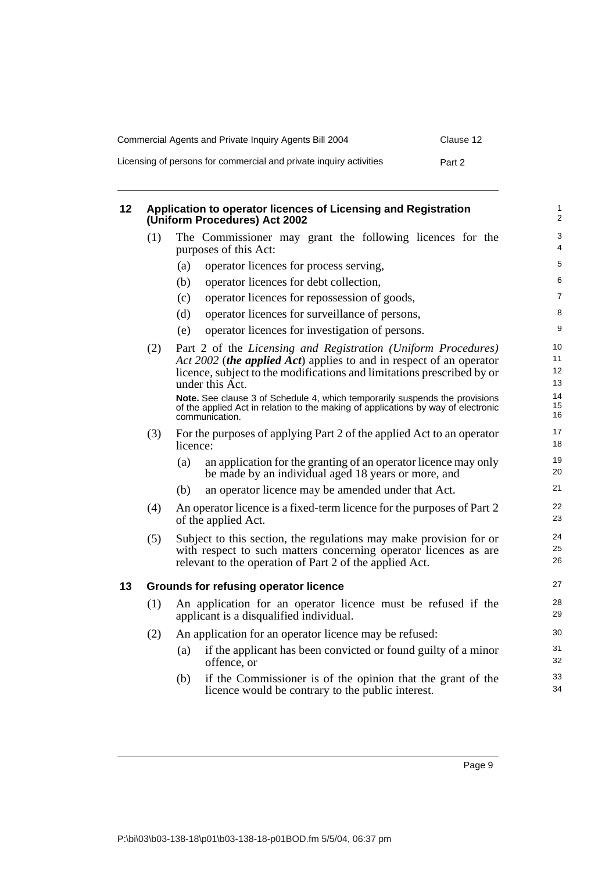| Commercial Agents and Private Inquiry Agents Bill 2004             | Clause 12 |
|--------------------------------------------------------------------|-----------|
| Licensing of persons for commercial and private inguiry activities | Part 2    |

<span id="page-18-1"></span><span id="page-18-0"></span>

| 12 |     | Application to operator licences of Licensing and Registration<br>(Uniform Procedures) Act 2002                                                                                                                                                                                                                                                                                                                         | $\mathbf{1}$<br>2                      |
|----|-----|-------------------------------------------------------------------------------------------------------------------------------------------------------------------------------------------------------------------------------------------------------------------------------------------------------------------------------------------------------------------------------------------------------------------------|----------------------------------------|
|    | (1) | The Commissioner may grant the following licences for the<br>purposes of this Act:                                                                                                                                                                                                                                                                                                                                      | $\mathsf 3$<br>$\overline{4}$          |
|    |     | operator licences for process serving,<br>(a)                                                                                                                                                                                                                                                                                                                                                                           | 5                                      |
|    |     | operator licences for debt collection,<br>(b)                                                                                                                                                                                                                                                                                                                                                                           | 6                                      |
|    |     | operator licences for repossession of goods,<br>(c)                                                                                                                                                                                                                                                                                                                                                                     | $\overline{7}$                         |
|    |     | operator licences for surveillance of persons,<br>(d)                                                                                                                                                                                                                                                                                                                                                                   | 8                                      |
|    |     | operator licences for investigation of persons.<br>(e)                                                                                                                                                                                                                                                                                                                                                                  | 9                                      |
|    | (2) | Part 2 of the Licensing and Registration (Uniform Procedures)<br>Act 2002 (the applied Act) applies to and in respect of an operator<br>licence, subject to the modifications and limitations prescribed by or<br>under this Act.<br>Note. See clause 3 of Schedule 4, which temporarily suspends the provisions<br>of the applied Act in relation to the making of applications by way of electronic<br>communication. | 10<br>11<br>12<br>13<br>14<br>15<br>16 |
|    | (3) | For the purposes of applying Part 2 of the applied Act to an operator<br>licence:                                                                                                                                                                                                                                                                                                                                       | 17<br>18                               |
|    |     | (a)<br>an application for the granting of an operator licence may only<br>be made by an individual aged 18 years or more, and                                                                                                                                                                                                                                                                                           | 19<br>20                               |
|    |     | an operator licence may be amended under that Act.<br>(b)                                                                                                                                                                                                                                                                                                                                                               | 21                                     |
|    | (4) | An operator licence is a fixed-term licence for the purposes of Part 2<br>of the applied Act.                                                                                                                                                                                                                                                                                                                           | 22<br>23                               |
|    | (5) | Subject to this section, the regulations may make provision for or<br>with respect to such matters concerning operator licences as are<br>relevant to the operation of Part 2 of the applied Act.                                                                                                                                                                                                                       | 24<br>25<br>26                         |
| 13 |     | <b>Grounds for refusing operator licence</b>                                                                                                                                                                                                                                                                                                                                                                            | 27                                     |
|    | (1) | An application for an operator licence must be refused if the<br>applicant is a disqualified individual.                                                                                                                                                                                                                                                                                                                | 28<br>29                               |
|    | (2) | An application for an operator licence may be refused:                                                                                                                                                                                                                                                                                                                                                                  | 30                                     |
|    |     | if the applicant has been convicted or found guilty of a minor<br>(a)<br>offence, or                                                                                                                                                                                                                                                                                                                                    | 31<br>32                               |
|    |     | if the Commissioner is of the opinion that the grant of the<br>(b)<br>licence would be contrary to the public interest.                                                                                                                                                                                                                                                                                                 | 33<br>34                               |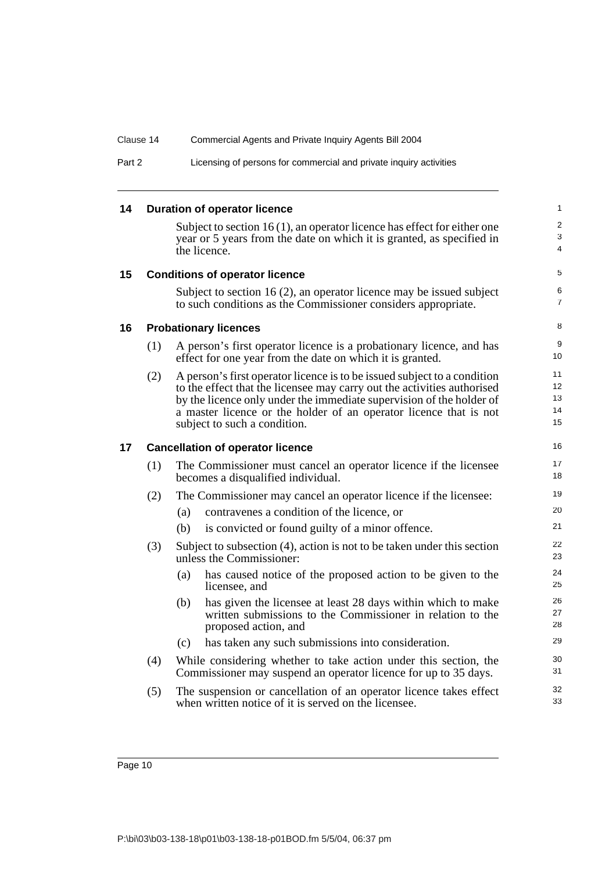| Clause 14 | Commercial Agents and Private Inquiry Agents Bill 2004 |  |
|-----------|--------------------------------------------------------|--|
|           |                                                        |  |

Part 2 Licensing of persons for commercial and private inquiry activities

<span id="page-19-3"></span><span id="page-19-2"></span><span id="page-19-1"></span><span id="page-19-0"></span>

| 14 |     |     | <b>Duration of operator licence</b>                                                                                                                                                                                                                                                                                              | 1                          |
|----|-----|-----|----------------------------------------------------------------------------------------------------------------------------------------------------------------------------------------------------------------------------------------------------------------------------------------------------------------------------------|----------------------------|
|    |     |     | Subject to section $16(1)$ , an operator licence has effect for either one<br>year or 5 years from the date on which it is granted, as specified in<br>the licence.                                                                                                                                                              | $\overline{c}$<br>3<br>4   |
| 15 |     |     | <b>Conditions of operator licence</b>                                                                                                                                                                                                                                                                                            | 5                          |
|    |     |     | Subject to section 16 $(2)$ , an operator licence may be issued subject<br>to such conditions as the Commissioner considers appropriate.                                                                                                                                                                                         | 6<br>$\overline{7}$        |
| 16 |     |     | <b>Probationary licences</b>                                                                                                                                                                                                                                                                                                     | 8                          |
|    | (1) |     | A person's first operator licence is a probationary licence, and has<br>effect for one year from the date on which it is granted.                                                                                                                                                                                                | 9<br>10                    |
|    | (2) |     | A person's first operator licence is to be issued subject to a condition<br>to the effect that the licensee may carry out the activities authorised<br>by the licence only under the immediate supervision of the holder of<br>a master licence or the holder of an operator licence that is not<br>subject to such a condition. | 11<br>12<br>13<br>14<br>15 |
| 17 |     |     | <b>Cancellation of operator licence</b>                                                                                                                                                                                                                                                                                          | 16                         |
|    | (1) |     | The Commissioner must cancel an operator licence if the licensee<br>becomes a disqualified individual.                                                                                                                                                                                                                           | 17<br>18                   |
|    | (2) |     | The Commissioner may cancel an operator licence if the licensee:                                                                                                                                                                                                                                                                 | 19                         |
|    |     | (a) | contravenes a condition of the licence, or                                                                                                                                                                                                                                                                                       | 20                         |
|    |     | (b) | is convicted or found guilty of a minor offence.                                                                                                                                                                                                                                                                                 | 21                         |
|    | (3) |     | Subject to subsection (4), action is not to be taken under this section<br>unless the Commissioner:                                                                                                                                                                                                                              | 22<br>23                   |
|    |     | (a) | has caused notice of the proposed action to be given to the<br>licensee, and                                                                                                                                                                                                                                                     | 24<br>25                   |
|    |     | (b) | has given the licensee at least 28 days within which to make<br>written submissions to the Commissioner in relation to the<br>proposed action, and                                                                                                                                                                               | 26<br>27<br>28             |
|    |     | (c) | has taken any such submissions into consideration.                                                                                                                                                                                                                                                                               | 29                         |
|    | (4) |     | While considering whether to take action under this section, the<br>Commissioner may suspend an operator licence for up to 35 days.                                                                                                                                                                                              | 30<br>31                   |
|    | (5) |     | The suspension or cancellation of an operator licence takes effect<br>when written notice of it is served on the licensee.                                                                                                                                                                                                       | 32<br>33                   |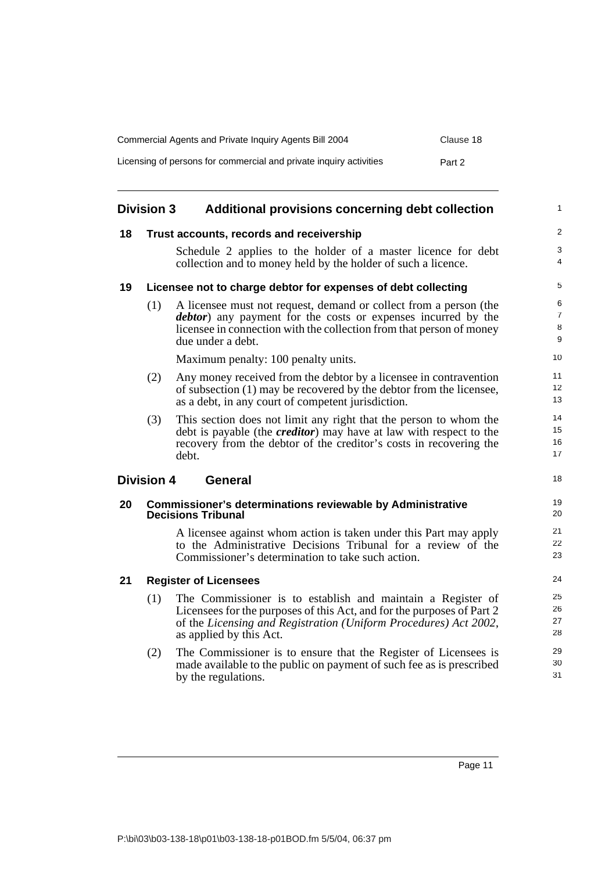| Commercial Agents and Private Inquiry Agents Bill 2004             | Clause 18 |
|--------------------------------------------------------------------|-----------|
| Licensing of persons for commercial and private inquiry activities | Part 2    |

<span id="page-20-5"></span><span id="page-20-4"></span><span id="page-20-3"></span><span id="page-20-2"></span><span id="page-20-1"></span><span id="page-20-0"></span>

| <b>Division 3</b> |                                          | Additional provisions concerning debt collection                                                                                                                                                                                        | 1                       |
|-------------------|------------------------------------------|-----------------------------------------------------------------------------------------------------------------------------------------------------------------------------------------------------------------------------------------|-------------------------|
| 18                | Trust accounts, records and receivership |                                                                                                                                                                                                                                         | $\overline{\mathbf{c}}$ |
|                   |                                          | Schedule 2 applies to the holder of a master licence for debt<br>collection and to money held by the holder of such a licence.                                                                                                          | 3<br>4                  |
| 19                |                                          | Licensee not to charge debtor for expenses of debt collecting                                                                                                                                                                           | 5                       |
|                   | (1)                                      | A licensee must not request, demand or collect from a person (the<br><i>debtor</i> ) any payment for the costs or expenses incurred by the<br>licensee in connection with the collection from that person of money<br>due under a debt. | 6<br>7<br>8<br>9        |
|                   |                                          | Maximum penalty: 100 penalty units.                                                                                                                                                                                                     | 10                      |
|                   | (2)                                      | Any money received from the debtor by a licensee in contravention<br>of subsection (1) may be recovered by the debtor from the licensee,<br>as a debt, in any court of competent jurisdiction.                                          | 11<br>12<br>13          |
|                   | (3)                                      | This section does not limit any right that the person to whom the<br>debt is payable (the <i>creditor</i> ) may have at law with respect to the<br>recovery from the debtor of the creditor's costs in recovering the<br>debt.          | 14<br>15<br>16<br>17    |
|                   | <b>Division 4</b>                        | General                                                                                                                                                                                                                                 | 18                      |
| 20                |                                          | <b>Commissioner's determinations reviewable by Administrative</b><br><b>Decisions Tribunal</b>                                                                                                                                          | 19<br>20                |
|                   |                                          | A licensee against whom action is taken under this Part may apply<br>to the Administrative Decisions Tribunal for a review of the<br>Commissioner's determination to take such action.                                                  | 21<br>22<br>23          |
| 21                |                                          | <b>Register of Licensees</b>                                                                                                                                                                                                            | 24                      |
|                   | (1)                                      | The Commissioner is to establish and maintain a Register of<br>Licensees for the purposes of this Act, and for the purposes of Part 2<br>of the Licensing and Registration (Uniform Procedures) Act 2002,<br>as applied by this Act.    | 25<br>26<br>27<br>28    |
|                   | (2)                                      | The Commissioner is to ensure that the Register of Licensees is<br>made available to the public on payment of such fee as is prescribed<br>by the regulations.                                                                          | 29<br>30<br>31          |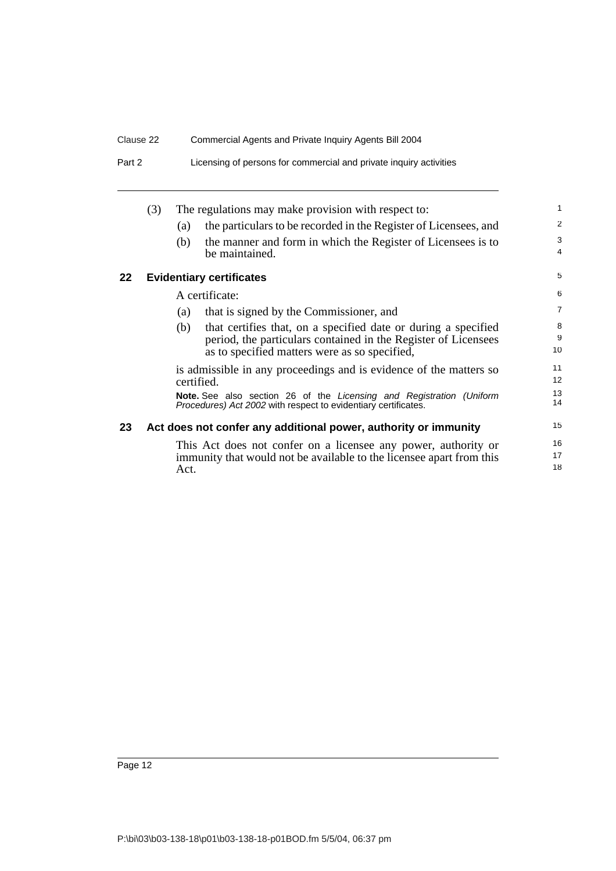| Part 2 | Licensing of persons for commercial and private inquiry activities |  |  |  |
|--------|--------------------------------------------------------------------|--|--|--|
|--------|--------------------------------------------------------------------|--|--|--|

<span id="page-21-1"></span><span id="page-21-0"></span>

|    | (3) |            | The regulations may make provision with respect to:<br>the particulars to be recorded in the Register of Licensees, and                       | 1<br>2         |
|----|-----|------------|-----------------------------------------------------------------------------------------------------------------------------------------------|----------------|
|    |     | (a)        |                                                                                                                                               | 3              |
|    |     | (b)        | the manner and form in which the Register of Licensees is to<br>be maintained.                                                                | 4              |
| 22 |     |            | <b>Evidentiary certificates</b>                                                                                                               | 5              |
|    |     |            | A certificate:                                                                                                                                | 6              |
|    |     | (a)        | that is signed by the Commissioner, and                                                                                                       | $\overline{7}$ |
|    |     | (b)        | that certifies that, on a specified date or during a specified                                                                                | 8              |
|    |     |            | period, the particulars contained in the Register of Licensees<br>as to specified matters were as so specified,                               | 9<br>10        |
|    |     | certified. | is admissible in any proceedings and is evidence of the matters so                                                                            | 11<br>12       |
|    |     |            | <b>Note.</b> See also section 26 of the Licensing and Registration (Uniform<br>Procedures) Act 2002 with respect to evidentiary certificates. | 13<br>14       |
| 23 |     |            | Act does not confer any additional power, authority or immunity                                                                               | 15             |
|    |     |            | This Act does not confer on a licensee any power, authority or                                                                                | 16             |
|    |     | Act.       | immunity that would not be available to the licensee apart from this                                                                          | 17<br>18       |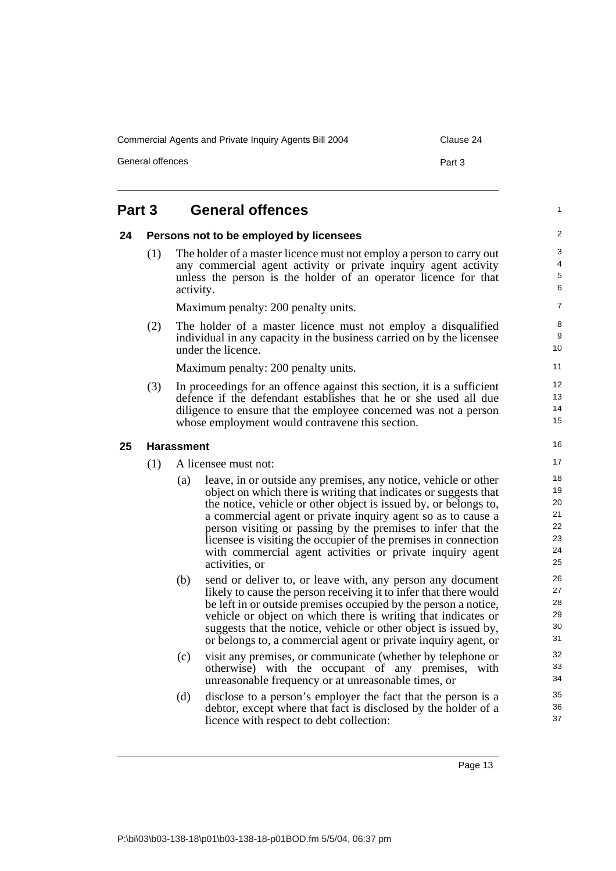Commercial Agents and Private Inquiry Agents Bill 2004 Clause 24

General offences **Part 3** 

1

#### <span id="page-22-1"></span><span id="page-22-0"></span>**Part 3 General offences 24 Persons not to be employed by licensees** (1) The holder of a master licence must not employ a person to carry out any commercial agent activity or private inquiry agent activity unless the person is the holder of an operator licence for that activity. Maximum penalty: 200 penalty units. (2) The holder of a master licence must not employ a disqualified individual in any capacity in the business carried on by the licensee under the licence. Maximum penalty: 200 penalty units. (3) In proceedings for an offence against this section, it is a sufficient defence if the defendant establishes that he or she used all due diligence to ensure that the employee concerned was not a person whose employment would contravene this section.

#### <span id="page-22-2"></span>**25 Harassment**

- (1) A licensee must not:
	- (a) leave, in or outside any premises, any notice, vehicle or other object on which there is writing that indicates or suggests that the notice, vehicle or other object is issued by, or belongs to, a commercial agent or private inquiry agent so as to cause a person visiting or passing by the premises to infer that the licensee is visiting the occupier of the premises in connection with commercial agent activities or private inquiry agent activities, or
	- (b) send or deliver to, or leave with, any person any document likely to cause the person receiving it to infer that there would be left in or outside premises occupied by the person a notice, vehicle or object on which there is writing that indicates or suggests that the notice, vehicle or other object is issued by, or belongs to, a commercial agent or private inquiry agent, or
	- (c) visit any premises, or communicate (whether by telephone or otherwise) with the occupant of any premises, with unreasonable frequency or at unreasonable times, or
	- (d) disclose to a person's employer the fact that the person is a debtor, except where that fact is disclosed by the holder of a licence with respect to debt collection: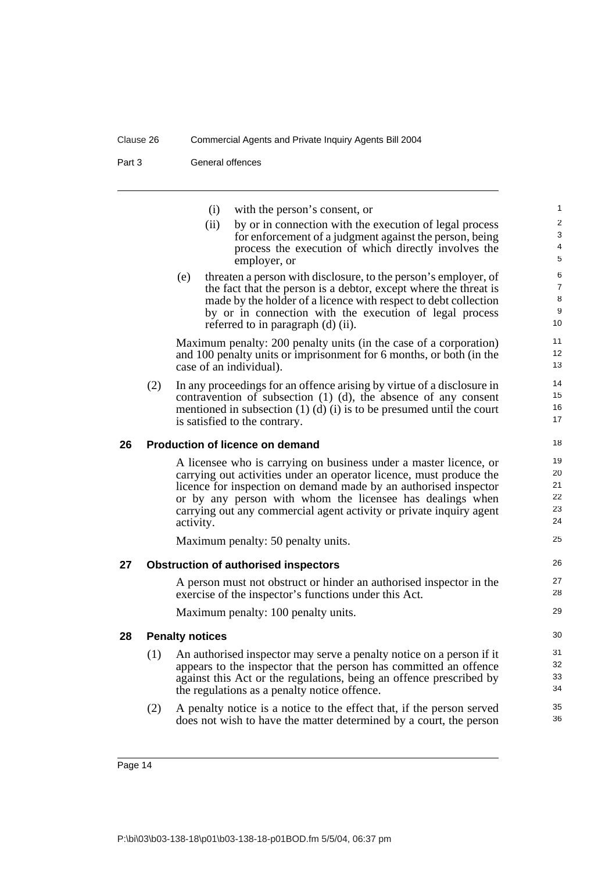#### Part 3 General offences

| (i) |  |  | with the person's consent, or |
|-----|--|--|-------------------------------|
|-----|--|--|-------------------------------|

(ii) by or in connection with the execution of legal process for enforcement of a judgment against the person, being process the execution of which directly involves the employer, or

(e) threaten a person with disclosure, to the person's employer, of the fact that the person is a debtor, except where the threat is made by the holder of a licence with respect to debt collection by or in connection with the execution of legal process referred to in paragraph (d) (ii).

Maximum penalty: 200 penalty units (in the case of a corporation) and 100 penalty units or imprisonment for 6 months, or both (in the case of an individual).

(2) In any proceedings for an offence arising by virtue of a disclosure in contravention of subsection (1) (d), the absence of any consent mentioned in subsection (1) (d) (i) is to be presumed until the court is satisfied to the contrary.

#### <span id="page-23-0"></span>**26 Production of licence on demand**

A licensee who is carrying on business under a master licence, or carrying out activities under an operator licence, must produce the licence for inspection on demand made by an authorised inspector or by any person with whom the licensee has dealings when carrying out any commercial agent activity or private inquiry agent activity.

Maximum penalty: 50 penalty units.

#### <span id="page-23-1"></span>**27 Obstruction of authorised inspectors**

A person must not obstruct or hinder an authorised inspector in the exercise of the inspector's functions under this Act.

Maximum penalty: 100 penalty units.

#### <span id="page-23-2"></span>**28 Penalty notices**

- (1) An authorised inspector may serve a penalty notice on a person if it appears to the inspector that the person has committed an offence against this Act or the regulations, being an offence prescribed by the regulations as a penalty notice offence.
- (2) A penalty notice is a notice to the effect that, if the person served does not wish to have the matter determined by a court, the person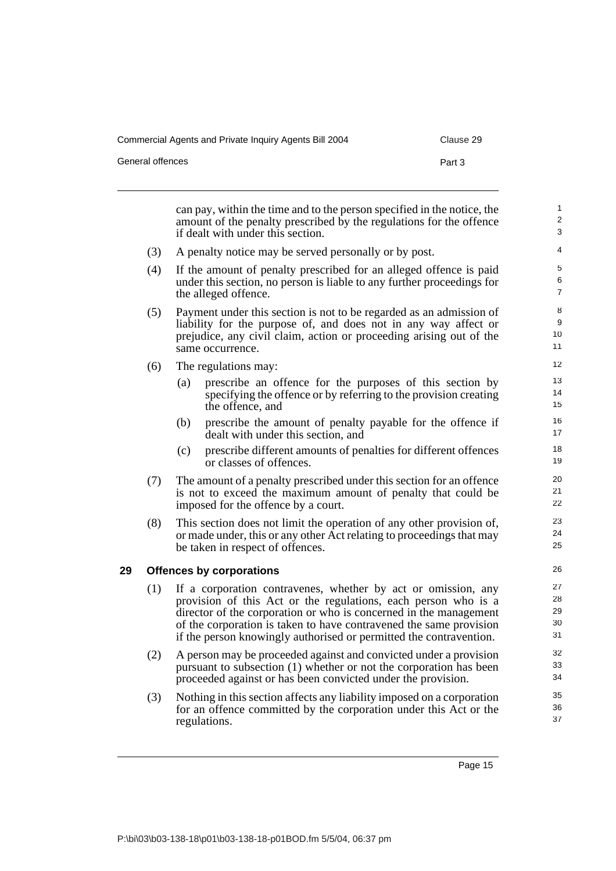Commercial Agents and Private Inquiry Agents Bill 2004 Clause 29 General offences **Part 3** 

|    |     | can pay, within the time and to the person specified in the notice, the<br>amount of the penalty prescribed by the regulations for the offence<br>if dealt with under this section.                                                                                                                                                              | $\overline{2}$<br>$\mathbf{3}$    |
|----|-----|--------------------------------------------------------------------------------------------------------------------------------------------------------------------------------------------------------------------------------------------------------------------------------------------------------------------------------------------------|-----------------------------------|
|    | (3) | A penalty notice may be served personally or by post.                                                                                                                                                                                                                                                                                            | $\overline{\mathbf{4}}$           |
|    | (4) | If the amount of penalty prescribed for an alleged offence is paid<br>under this section, no person is liable to any further proceedings for<br>the alleged offence.                                                                                                                                                                             | 5<br>$\,6$<br>$\overline{7}$      |
|    | (5) | Payment under this section is not to be regarded as an admission of<br>liability for the purpose of, and does not in any way affect or<br>prejudice, any civil claim, action or proceeding arising out of the<br>same occurrence.                                                                                                                | 8<br>$\boldsymbol{9}$<br>10<br>11 |
|    | (6) | The regulations may:                                                                                                                                                                                                                                                                                                                             | 12                                |
|    |     | prescribe an offence for the purposes of this section by<br>(a)<br>specifying the offence or by referring to the provision creating<br>the offence, and                                                                                                                                                                                          | 13<br>14<br>15                    |
|    |     | prescribe the amount of penalty payable for the offence if<br>(b)<br>dealt with under this section, and                                                                                                                                                                                                                                          | 16<br>17                          |
|    |     | prescribe different amounts of penalties for different offences<br>(c)<br>or classes of offences.                                                                                                                                                                                                                                                | 18<br>19                          |
|    | (7) | The amount of a penalty prescribed under this section for an offence<br>is not to exceed the maximum amount of penalty that could be<br>imposed for the offence by a court.                                                                                                                                                                      | 20<br>21<br>22                    |
|    | (8) | This section does not limit the operation of any other provision of,<br>or made under, this or any other Act relating to proceedings that may<br>be taken in respect of offences.                                                                                                                                                                | 23<br>24<br>25                    |
| 29 |     | <b>Offences by corporations</b>                                                                                                                                                                                                                                                                                                                  | 26                                |
|    | (1) | If a corporation contravenes, whether by act or omission, any<br>provision of this Act or the regulations, each person who is a<br>director of the corporation or who is concerned in the management<br>of the corporation is taken to have contravened the same provision<br>if the person knowingly authorised or permitted the contravention. | 27<br>28<br>29<br>30<br>31        |

- <span id="page-24-0"></span>(2) A person may be proceeded against and convicted under a provision pursuant to subsection (1) whether or not the corporation has been proceeded against or has been convicted under the provision.
- (3) Nothing in this section affects any liability imposed on a corporation for an offence committed by the corporation under this Act or the regulations.

Page 15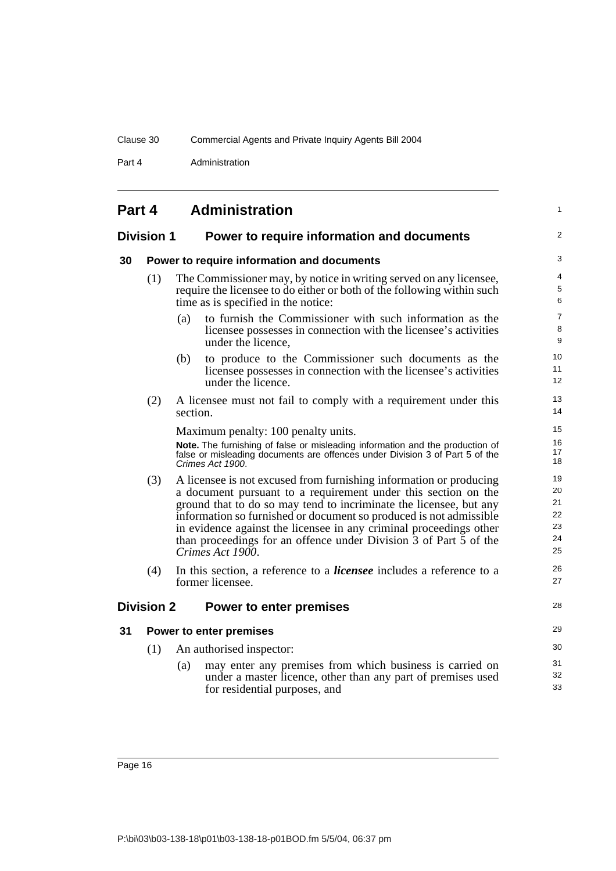Part 4 **Administration** 

<span id="page-25-0"></span>

| Part 4 | <b>Administration</b> |
|--------|-----------------------|
|--------|-----------------------|

#### <span id="page-25-1"></span>**Division 1 Power to require information and documents**

#### <span id="page-25-2"></span>**30 Power to require information and documents**

| (1) | The Commissioner may, by notice in writing served on any licensee,     |
|-----|------------------------------------------------------------------------|
|     | require the licensee to do either or both of the following within such |
|     | time as is specified in the notice:                                    |
|     |                                                                        |

(a) to furnish the Commissioner with such information as the licensee possesses in connection with the licensee's activities under the licence,

1

 $\overline{2}$ 

28

- (b) to produce to the Commissioner such documents as the licensee possesses in connection with the licensee's activities under the licence.
- (2) A licensee must not fail to comply with a requirement under this section.

Maximum penalty: 100 penalty units.

**Note.** The furnishing of false or misleading information and the production of false or misleading documents are offences under Division 3 of Part 5 of the *Crimes Act 1900*.

- (3) A licensee is not excused from furnishing information or producing a document pursuant to a requirement under this section on the ground that to do so may tend to incriminate the licensee, but any information so furnished or document so produced is not admissible in evidence against the licensee in any criminal proceedings other than proceedings for an offence under Division 3 of Part 5 of the *Crimes Act 1900*.
- (4) In this section, a reference to a *licensee* includes a reference to a former licensee.

#### <span id="page-25-3"></span>**Division 2 Power to enter premises**

#### <span id="page-25-4"></span>**31 Power to enter premises**

(1) An authorised inspector:

(a) may enter any premises from which business is carried on under a master licence, other than any part of premises used for residential purposes, and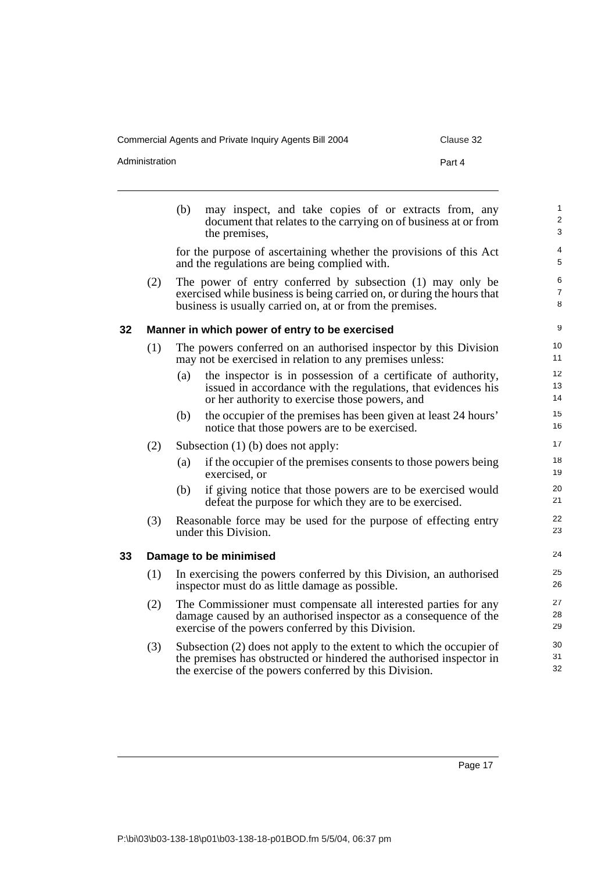Administration **Part 4** 

<span id="page-26-1"></span><span id="page-26-0"></span>

|    |     | (b) | may inspect, and take copies of or extracts from, any<br>document that relates to the carrying on of business at or from<br>the premises,                                                             | 1<br>$\overline{\mathbf{c}}$<br>3 |
|----|-----|-----|-------------------------------------------------------------------------------------------------------------------------------------------------------------------------------------------------------|-----------------------------------|
|    |     |     | for the purpose of ascertaining whether the provisions of this Act<br>and the regulations are being complied with.                                                                                    | 4<br>5                            |
|    | (2) |     | The power of entry conferred by subsection (1) may only be<br>exercised while business is being carried on, or during the hours that<br>business is usually carried on, at or from the premises.      | 6<br>$\overline{7}$<br>8          |
| 32 |     |     | Manner in which power of entry to be exercised                                                                                                                                                        | 9                                 |
|    | (1) |     | The powers conferred on an authorised inspector by this Division<br>may not be exercised in relation to any premises unless:                                                                          | 10<br>11                          |
|    |     | (a) | the inspector is in possession of a certificate of authority,<br>issued in accordance with the regulations, that evidences his<br>or her authority to exercise those powers, and                      | 12<br>13<br>14                    |
|    |     | (b) | the occupier of the premises has been given at least 24 hours'<br>notice that those powers are to be exercised.                                                                                       | 15<br>16                          |
|    | (2) |     | Subsection $(1)$ (b) does not apply:                                                                                                                                                                  | 17                                |
|    |     | (a) | if the occupier of the premises consents to those powers being<br>exercised, or                                                                                                                       | 18<br>19                          |
|    |     | (b) | if giving notice that those powers are to be exercised would<br>defeat the purpose for which they are to be exercised.                                                                                | 20<br>21                          |
|    | (3) |     | Reasonable force may be used for the purpose of effecting entry<br>under this Division.                                                                                                               | 22<br>23                          |
| 33 |     |     | Damage to be minimised                                                                                                                                                                                | 24                                |
|    | (1) |     | In exercising the powers conferred by this Division, an authorised<br>inspector must do as little damage as possible.                                                                                 | 25<br>26                          |
|    | (2) |     | The Commissioner must compensate all interested parties for any<br>damage caused by an authorised inspector as a consequence of the<br>exercise of the powers conferred by this Division.             | 27<br>28<br>29                    |
|    | (3) |     | Subsection (2) does not apply to the extent to which the occupier of<br>the premises has obstructed or hindered the authorised inspector in<br>the exercise of the powers conferred by this Division. | 30<br>31<br>32                    |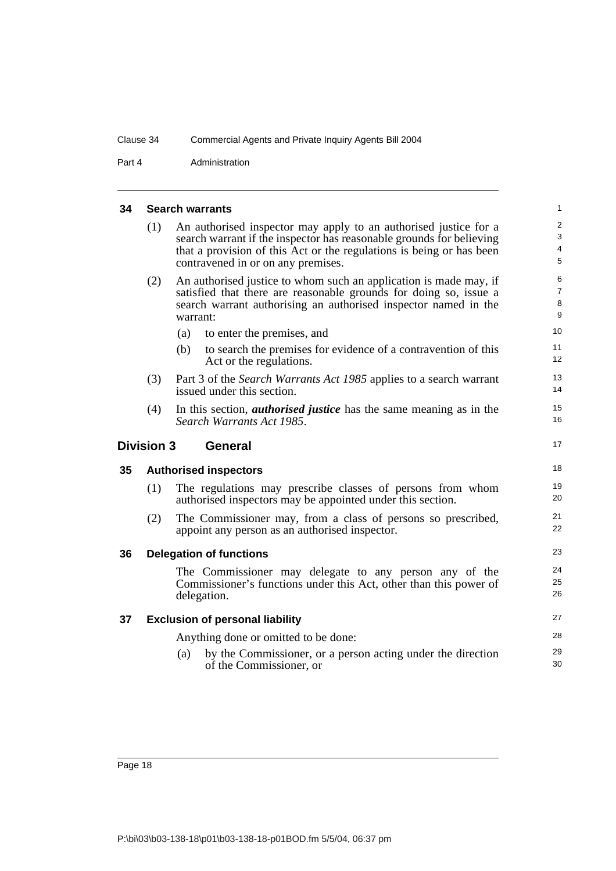Part 4 Administration

#### <span id="page-27-0"></span>**34 Search warrants**

<span id="page-27-4"></span><span id="page-27-3"></span><span id="page-27-2"></span><span id="page-27-1"></span>

|    | (1)               | An authorised inspector may apply to an authorised justice for a<br>search warrant if the inspector has reasonable grounds for believing<br>that a provision of this Act or the regulations is being or has been<br>contravened in or on any premises. | $\sqrt{2}$<br>3<br>$\overline{4}$<br>5 |
|----|-------------------|--------------------------------------------------------------------------------------------------------------------------------------------------------------------------------------------------------------------------------------------------------|----------------------------------------|
|    | (2)               | An authorised justice to whom such an application is made may, if<br>satisfied that there are reasonable grounds for doing so, issue a<br>search warrant authorising an authorised inspector named in the<br>warrant:                                  | 6<br>$\overline{7}$<br>$\,8\,$<br>9    |
|    |                   | (a)<br>to enter the premises, and                                                                                                                                                                                                                      | 10                                     |
|    |                   | (b)<br>to search the premises for evidence of a contravention of this<br>Act or the regulations.                                                                                                                                                       | 11<br>12                               |
|    | (3)               | Part 3 of the <i>Search Warrants Act 1985</i> applies to a search warrant<br>issued under this section.                                                                                                                                                | 13<br>14                               |
|    | (4)               | In this section, <i>authorised justice</i> has the same meaning as in the<br>Search Warrants Act 1985.                                                                                                                                                 | 15<br>16                               |
|    | <b>Division 3</b> | <b>General</b>                                                                                                                                                                                                                                         | 17                                     |
| 35 |                   | <b>Authorised inspectors</b>                                                                                                                                                                                                                           | 18                                     |
|    | (1)               | The regulations may prescribe classes of persons from whom<br>authorised inspectors may be appointed under this section.                                                                                                                               | 19<br>20                               |
|    | (2)               | The Commissioner may, from a class of persons so prescribed,<br>appoint any person as an authorised inspector.                                                                                                                                         | 21<br>22                               |
| 36 |                   | <b>Delegation of functions</b>                                                                                                                                                                                                                         | 23                                     |
|    |                   | The Commissioner may delegate to any person any of the<br>Commissioner's functions under this Act, other than this power of<br>delegation.                                                                                                             | 24<br>25<br>26                         |
| 37 |                   | <b>Exclusion of personal liability</b>                                                                                                                                                                                                                 | 27                                     |
|    |                   | Anything done or omitted to be done:                                                                                                                                                                                                                   | 28                                     |
|    |                   | by the Commissioner, or a person acting under the direction<br>(a)<br>of the Commissioner, or                                                                                                                                                          | 29<br>30                               |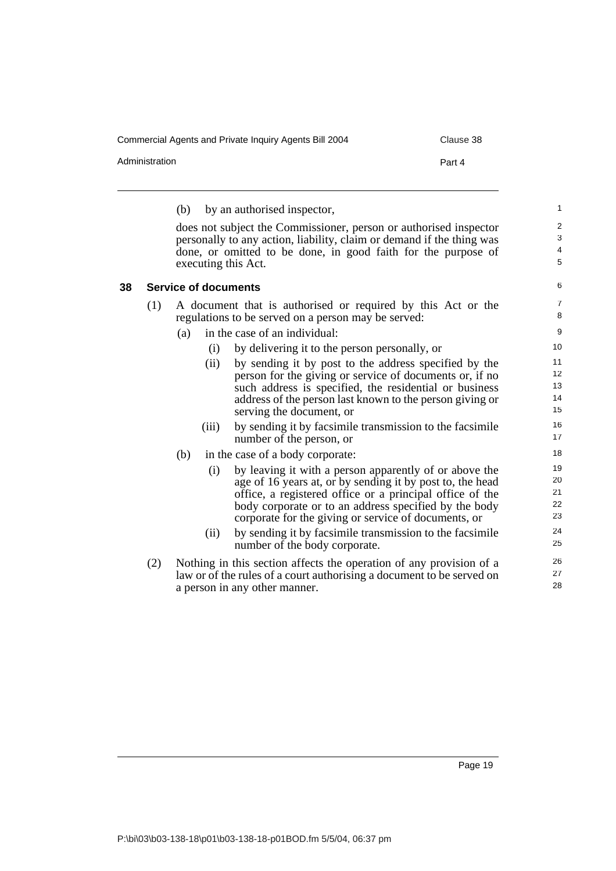<span id="page-28-0"></span>

|    | Administration |     |       | Part 4                                                                                                                                                                                                                                                                                           |                            |
|----|----------------|-----|-------|--------------------------------------------------------------------------------------------------------------------------------------------------------------------------------------------------------------------------------------------------------------------------------------------------|----------------------------|
|    |                | (b) |       | by an authorised inspector,                                                                                                                                                                                                                                                                      |                            |
|    |                |     |       | does not subject the Commissioner, person or authorised inspector<br>personally to any action, liability, claim or demand if the thing was<br>done, or omitted to be done, in good faith for the purpose of<br>executing this Act.                                                               |                            |
| 38 |                |     |       | <b>Service of documents</b>                                                                                                                                                                                                                                                                      |                            |
|    | (1)            |     |       | A document that is authorised or required by this Act or the<br>regulations to be served on a person may be served:                                                                                                                                                                              |                            |
|    |                | (a) |       | in the case of an individual:                                                                                                                                                                                                                                                                    |                            |
|    |                |     | (i)   | by delivering it to the person personally, or                                                                                                                                                                                                                                                    | 10                         |
|    |                |     | (ii)  | by sending it by post to the address specified by the<br>person for the giving or service of documents or, if no<br>such address is specified, the residential or business<br>address of the person last known to the person giving or<br>serving the document, or                               | 11<br>12<br>13<br>14<br>15 |
|    |                |     | (iii) | by sending it by facsimile transmission to the facsimile<br>number of the person, or                                                                                                                                                                                                             | 16<br>17                   |
|    |                | (b) |       | in the case of a body corporate:                                                                                                                                                                                                                                                                 | 18                         |
|    |                |     | (i)   | by leaving it with a person apparently of or above the<br>age of 16 years at, or by sending it by post to, the head<br>office, a registered office or a principal office of the<br>body corporate or to an address specified by the body<br>corporate for the giving or service of documents, or | 19<br>20<br>21<br>22<br>23 |
|    |                |     | (ii)  | by sending it by facsimile transmission to the facsimile<br>number of the body corporate.                                                                                                                                                                                                        | 24<br>25                   |
|    | (2)            |     |       | Nothing in this section affects the operation of any provision of a<br>law or of the rules of a court authorising a document to be served on<br>a person in any other manner.                                                                                                                    | 26<br>27<br>28             |

Commercial Agents and Private Inquiry Agents Bill 2004 Clause 38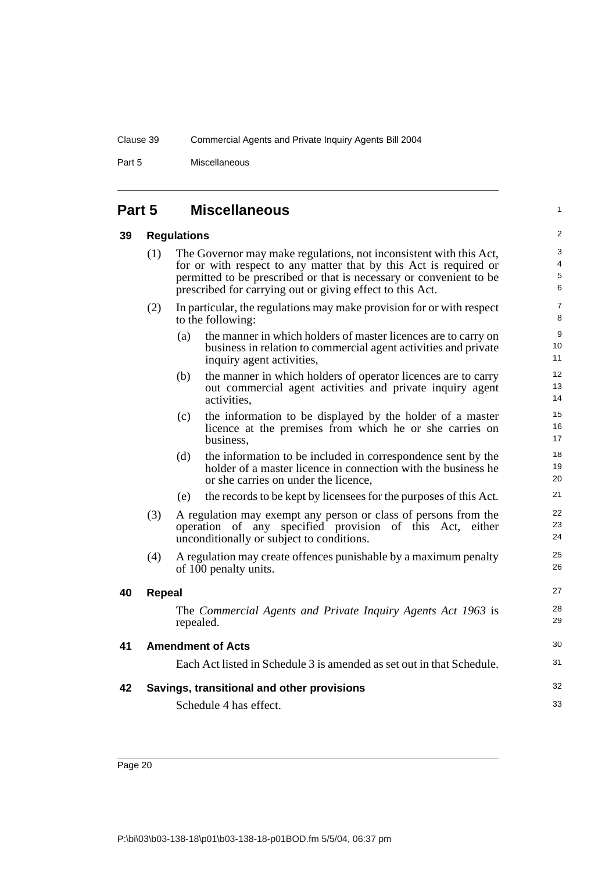Part 5 Miscellaneous

<span id="page-29-0"></span>

#### <span id="page-29-1"></span>**39 Regulations**

| (1) | The Governor may make regulations, not inconsistent with this Act,  |
|-----|---------------------------------------------------------------------|
|     | for or with respect to any matter that by this Act is required or   |
|     | permitted to be prescribed or that is necessary or convenient to be |
|     | prescribed for carrying out or giving effect to this Act.           |

- (2) In particular, the regulations may make provision for or with respect to the following:
	- (a) the manner in which holders of master licences are to carry on business in relation to commercial agent activities and private inquiry agent activities,

1

27 28 29

30 31

32 33

- (b) the manner in which holders of operator licences are to carry out commercial agent activities and private inquiry agent activities,
- (c) the information to be displayed by the holder of a master licence at the premises from which he or she carries on business,
- (d) the information to be included in correspondence sent by the holder of a master licence in connection with the business he or she carries on under the licence,
- (e) the records to be kept by licensees for the purposes of this Act.
- (3) A regulation may exempt any person or class of persons from the operation of any specified provision of this Act, either unconditionally or subject to conditions.
- (4) A regulation may create offences punishable by a maximum penalty of 100 penalty units.

#### <span id="page-29-2"></span>**40 Repeal**

| The Commercial Agents and Private Inquiry Agents Act 1963 is |  |  |  |
|--------------------------------------------------------------|--|--|--|
| repealed.                                                    |  |  |  |

<span id="page-29-3"></span>

| 41 | <b>Amendment of Acts</b>                                              |  |
|----|-----------------------------------------------------------------------|--|
|    | Each Act listed in Schedule 3 is amended as set out in that Schedule. |  |

#### <span id="page-29-4"></span>**42 Savings, transitional and other provisions**

Schedule 4 has effect.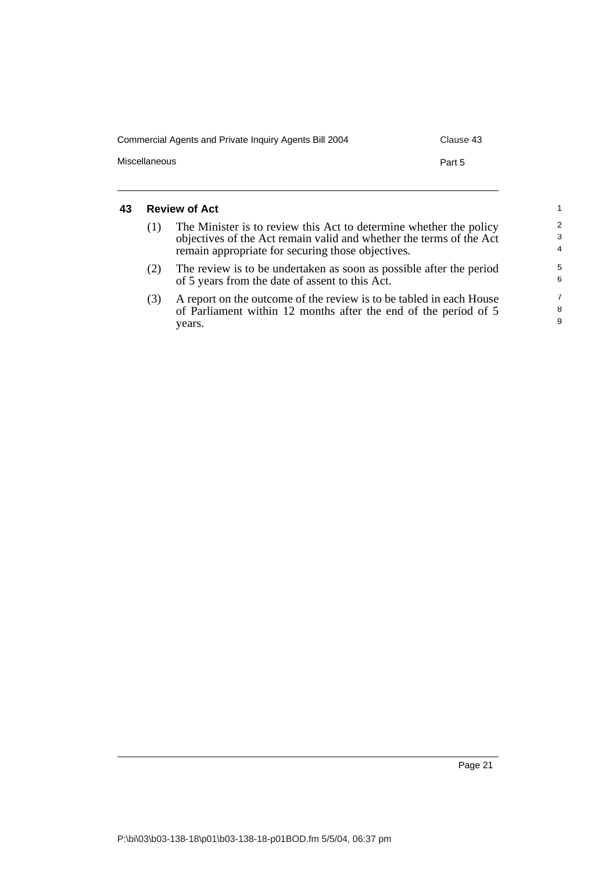| Commercial Agents and Private Inquiry Agents Bill 2004 | Clause 43 |
|--------------------------------------------------------|-----------|
| Miscellaneous                                          | Part 5    |

#### <span id="page-30-0"></span>**43 Review of Act**

| (1) | The Minister is to review this Act to determine whether the policy<br>objectives of the Act remain valid and whether the terms of the Act<br>remain appropriate for securing those objectives. | $\overline{2}$<br>3<br>$\overline{4}$ |
|-----|------------------------------------------------------------------------------------------------------------------------------------------------------------------------------------------------|---------------------------------------|
| (2) | The review is to be undertaken as soon as possible after the period<br>of 5 years from the date of assent to this Act.                                                                         | 5<br>-6                               |
| (3) | A report on the outcome of the review is to be tabled in each House<br>of Parliament within 12 months after the end of the period of 5<br>years.                                               | 7<br>8<br>9                           |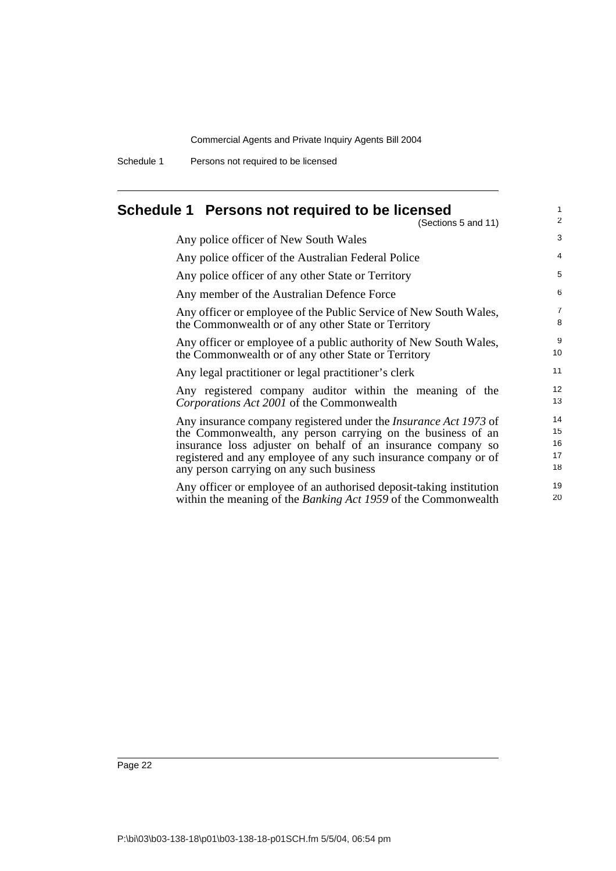Schedule 1 Persons not required to be licensed

## <span id="page-31-0"></span>**Schedule 1 Persons not required to be licensed**

| alo + + 0.00110 1101 10quirou to bo hoorlood<br>(Sections 5 and 11)                                                                                                                                                                                                                                                   | $\overline{2}$             |
|-----------------------------------------------------------------------------------------------------------------------------------------------------------------------------------------------------------------------------------------------------------------------------------------------------------------------|----------------------------|
| Any police officer of New South Wales                                                                                                                                                                                                                                                                                 | 3                          |
| Any police officer of the Australian Federal Police                                                                                                                                                                                                                                                                   | 4                          |
| Any police officer of any other State or Territory                                                                                                                                                                                                                                                                    | 5                          |
| Any member of the Australian Defence Force                                                                                                                                                                                                                                                                            | 6                          |
| Any officer or employee of the Public Service of New South Wales,<br>the Commonwealth or of any other State or Territory                                                                                                                                                                                              | $\overline{7}$<br>8        |
| Any officer or employee of a public authority of New South Wales,<br>the Commonwealth or of any other State or Territory                                                                                                                                                                                              | 9<br>10                    |
| Any legal practitioner or legal practitioner's clerk                                                                                                                                                                                                                                                                  | 11                         |
| Any registered company auditor within the meaning of the<br><i>Corporations Act 2001</i> of the Commonwealth                                                                                                                                                                                                          | 12<br>13                   |
| Any insurance company registered under the <i>Insurance Act 1973</i> of<br>the Commonwealth, any person carrying on the business of an<br>insurance loss adjuster on behalf of an insurance company so<br>registered and any employee of any such insurance company or of<br>any person carrying on any such business | 14<br>15<br>16<br>17<br>18 |
| Any officer or employee of an authorised deposit-taking institution<br>within the meaning of the <i>Banking Act 1959</i> of the Commonwealth                                                                                                                                                                          | 19<br>20                   |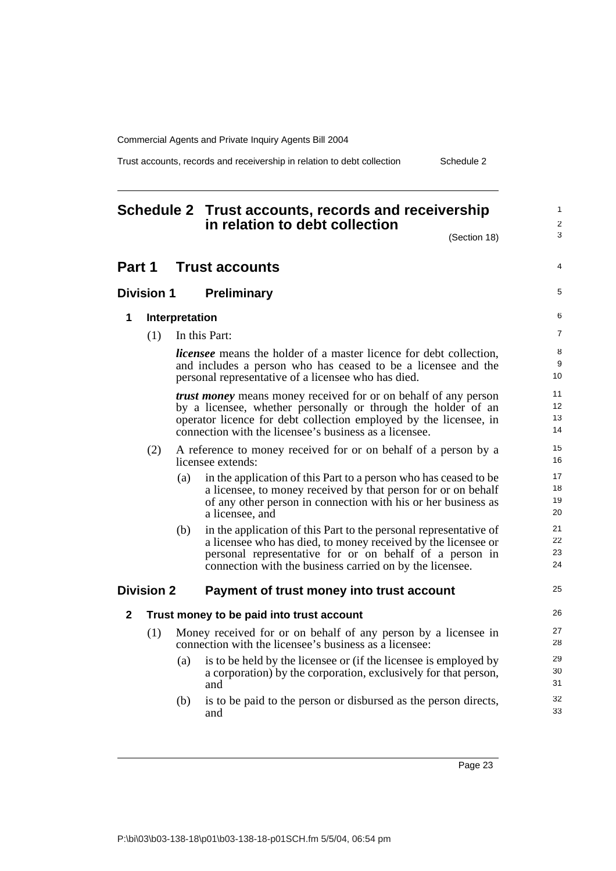Trust accounts, records and receivership in relation to debt collection Schedule 2

#### <span id="page-32-0"></span>**Schedule 2 Trust accounts, records and receivership in relation to debt collection** (Section 18) **Part 1 Trust accounts Division 1 Preliminary 1 Interpretation** (1) In this Part: *licensee* means the holder of a master licence for debt collection, and includes a person who has ceased to be a licensee and the personal representative of a licensee who has died. *trust money* means money received for or on behalf of any person by a licensee, whether personally or through the holder of an operator licence for debt collection employed by the licensee, in connection with the licensee's business as a licensee. (2) A reference to money received for or on behalf of a person by a licensee extends: (a) in the application of this Part to a person who has ceased to be a licensee, to money received by that person for or on behalf of any other person in connection with his or her business as a licensee, and (b) in the application of this Part to the personal representative of a licensee who has died, to money received by the licensee or personal representative for or on behalf of a person in connection with the business carried on by the licensee. **Division 2 Payment of trust money into trust account 2 Trust money to be paid into trust account** (1) Money received for or on behalf of any person by a licensee in connection with the licensee's business as a licensee: (a) is to be held by the licensee or (if the licensee is employed by a corporation) by the corporation, exclusively for that person, and 1  $\mathfrak{p}$ 3 4 5 6 7 8 9 10 11 12 13 14 15 16 17 18 19 20 21 22 23 24 25 26 27 28 29 30 31 32

(b) is to be paid to the person or disbursed as the person directs, and

Page 23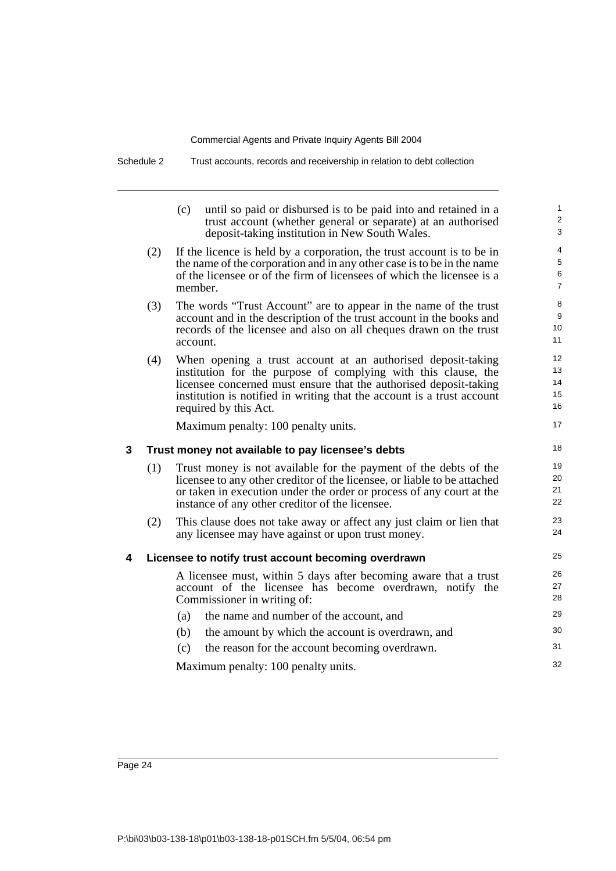Schedule 2 Trust accounts, records and receivership in relation to debt collection

|   |     | until so paid or disbursed is to be paid into and retained in a<br>(c)<br>trust account (whether general or separate) at an authorised<br>deposit-taking institution in New South Wales.                                                                                                               | 1<br>$\overline{\mathbf{c}}$<br>3 |
|---|-----|--------------------------------------------------------------------------------------------------------------------------------------------------------------------------------------------------------------------------------------------------------------------------------------------------------|-----------------------------------|
|   | (2) | If the licence is held by a corporation, the trust account is to be in<br>the name of the corporation and in any other case is to be in the name<br>of the licensee or of the firm of licensees of which the licensee is a<br>member.                                                                  | 4<br>5<br>6<br>7                  |
|   | (3) | The words "Trust Account" are to appear in the name of the trust<br>account and in the description of the trust account in the books and<br>records of the licensee and also on all cheques drawn on the trust<br>account.                                                                             | 8<br>9<br>10<br>11                |
|   | (4) | When opening a trust account at an authorised deposit-taking<br>institution for the purpose of complying with this clause, the<br>licensee concerned must ensure that the authorised deposit-taking<br>institution is notified in writing that the account is a trust account<br>required by this Act. | 12<br>13<br>14<br>15<br>16        |
|   |     | Maximum penalty: 100 penalty units.                                                                                                                                                                                                                                                                    | 17                                |
| 3 |     | Trust money not available to pay licensee's debts                                                                                                                                                                                                                                                      | 18                                |
|   | (1) | Trust money is not available for the payment of the debts of the<br>licensee to any other creditor of the licensee, or liable to be attached<br>or taken in execution under the order or process of any court at the<br>instance of any other creditor of the licensee.                                | 19<br>20<br>21<br>22              |
|   | (2) | This clause does not take away or affect any just claim or lien that<br>any licensee may have against or upon trust money.                                                                                                                                                                             | 23<br>24                          |
| 4 |     | Licensee to notify trust account becoming overdrawn                                                                                                                                                                                                                                                    | 25                                |
|   |     | A licensee must, within 5 days after becoming aware that a trust<br>account of the licensee has become overdrawn, notify the<br>Commissioner in writing of:                                                                                                                                            | 26<br>27<br>28                    |
|   |     | the name and number of the account, and<br>(a)                                                                                                                                                                                                                                                         | 29                                |
|   |     | the amount by which the account is overdrawn, and<br>(b)                                                                                                                                                                                                                                               | 30                                |
|   |     | (c)<br>the reason for the account becoming overdrawn.                                                                                                                                                                                                                                                  | 31                                |
|   |     | Maximum penalty: 100 penalty units.                                                                                                                                                                                                                                                                    | 32                                |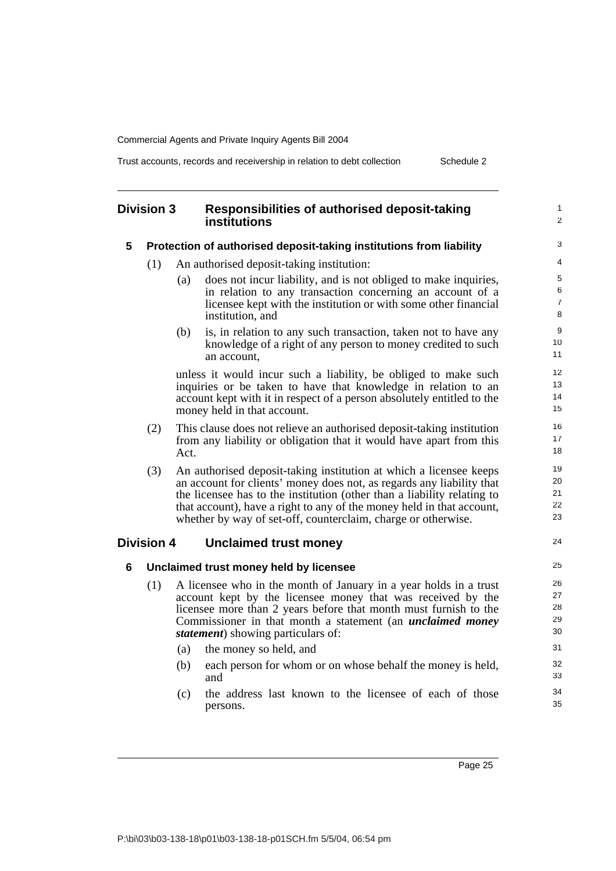Trust accounts, records and receivership in relation to debt collection Schedule 2

#### **Division 3 Responsibilities of authorised deposit-taking institutions**

#### **5 Protection of authorised deposit-taking institutions from liability**

- (1) An authorised deposit-taking institution:
	- (a) does not incur liability, and is not obliged to make inquiries, in relation to any transaction concerning an account of a licensee kept with the institution or with some other financial institution, and
	- (b) is, in relation to any such transaction, taken not to have any knowledge of a right of any person to money credited to such an account,

unless it would incur such a liability, be obliged to make such inquiries or be taken to have that knowledge in relation to an account kept with it in respect of a person absolutely entitled to the money held in that account.

- (2) This clause does not relieve an authorised deposit-taking institution from any liability or obligation that it would have apart from this Act.
- (3) An authorised deposit-taking institution at which a licensee keeps an account for clients' money does not, as regards any liability that the licensee has to the institution (other than a liability relating to that account), have a right to any of the money held in that account, whether by way of set-off, counterclaim, charge or otherwise.

#### **Division 4 Unclaimed trust money**

#### **6 Unclaimed trust money held by licensee**

- (1) A licensee who in the month of January in a year holds in a trust account kept by the licensee money that was received by the licensee more than 2 years before that month must furnish to the Commissioner in that month a statement (an *unclaimed money statement*) showing particulars of:
	- (a) the money so held, and
	- (b) each person for whom or on whose behalf the money is held, and
	- (c) the address last known to the licensee of each of those persons.

Page 25

1  $\mathfrak{p}$ 

24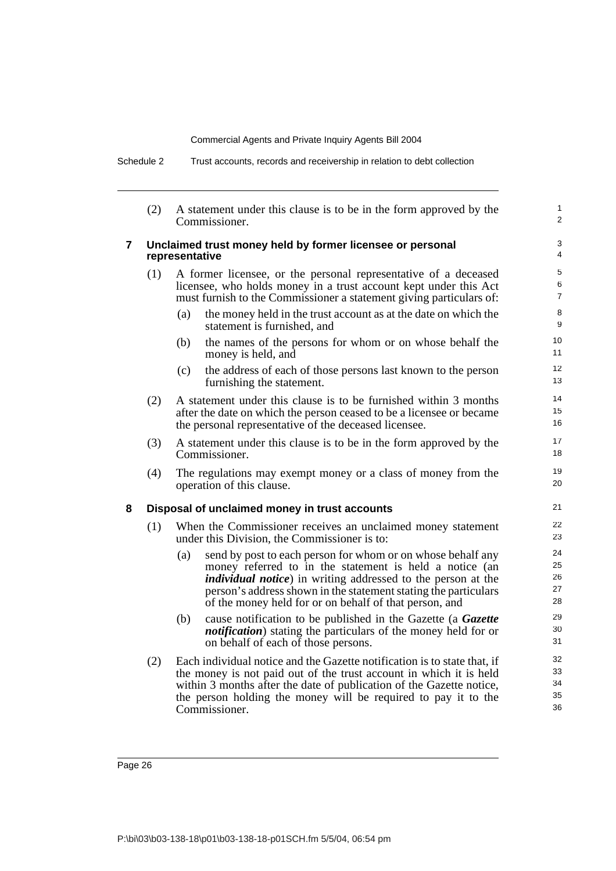Schedule 2 Trust accounts, records and receivership in relation to debt collection

|   | (2) | A statement under this clause is to be in the form approved by the<br>Commissioner.                                                                                                                                                                                                                                                | $\mathbf{1}$<br>$\overline{2}$ |
|---|-----|------------------------------------------------------------------------------------------------------------------------------------------------------------------------------------------------------------------------------------------------------------------------------------------------------------------------------------|--------------------------------|
| 7 |     | Unclaimed trust money held by former licensee or personal<br>representative                                                                                                                                                                                                                                                        | 3<br>$\overline{4}$            |
|   | (1) | A former licensee, or the personal representative of a deceased<br>licensee, who holds money in a trust account kept under this Act<br>must furnish to the Commissioner a statement giving particulars of:                                                                                                                         | 5<br>6<br>$\overline{7}$       |
|   |     | (a)<br>the money held in the trust account as at the date on which the<br>statement is furnished, and                                                                                                                                                                                                                              | 8<br>9                         |
|   |     | (b)<br>the names of the persons for whom or on whose behalf the<br>money is held, and                                                                                                                                                                                                                                              | 10<br>11                       |
|   |     | the address of each of those persons last known to the person<br>(c)<br>furnishing the statement.                                                                                                                                                                                                                                  | 12<br>13                       |
|   | (2) | A statement under this clause is to be furnished within 3 months<br>after the date on which the person ceased to be a licensee or became<br>the personal representative of the deceased licensee.                                                                                                                                  | 14<br>15<br>16                 |
|   | (3) | A statement under this clause is to be in the form approved by the<br>Commissioner.                                                                                                                                                                                                                                                | 17<br>18                       |
|   | (4) | The regulations may exempt money or a class of money from the<br>operation of this clause.                                                                                                                                                                                                                                         | 19<br>20                       |
| 8 |     | Disposal of unclaimed money in trust accounts                                                                                                                                                                                                                                                                                      | 21                             |
|   | (1) | When the Commissioner receives an unclaimed money statement<br>under this Division, the Commissioner is to:                                                                                                                                                                                                                        | 22<br>23                       |
|   |     | send by post to each person for whom or on whose behalf any<br>(a)<br>money referred to in the statement is held a notice (an<br><i>individual notice</i> ) in writing addressed to the person at the<br>person's address shown in the statement stating the particulars<br>of the money held for or on behalf of that person, and | 24<br>25<br>26<br>27<br>28     |
|   |     | cause notification to be published in the Gazette (a Gazette<br>(b)<br><i>notification</i> ) stating the particulars of the money held for or<br>on behalf of each of those persons.                                                                                                                                               | 29<br>30<br>31                 |
|   | (2) | Each individual notice and the Gazette notification is to state that, if<br>the money is not paid out of the trust account in which it is held<br>within 3 months after the date of publication of the Gazette notice,<br>the person holding the money will be required to pay it to the<br>Commissioner.                          | 32<br>33<br>34<br>35<br>36     |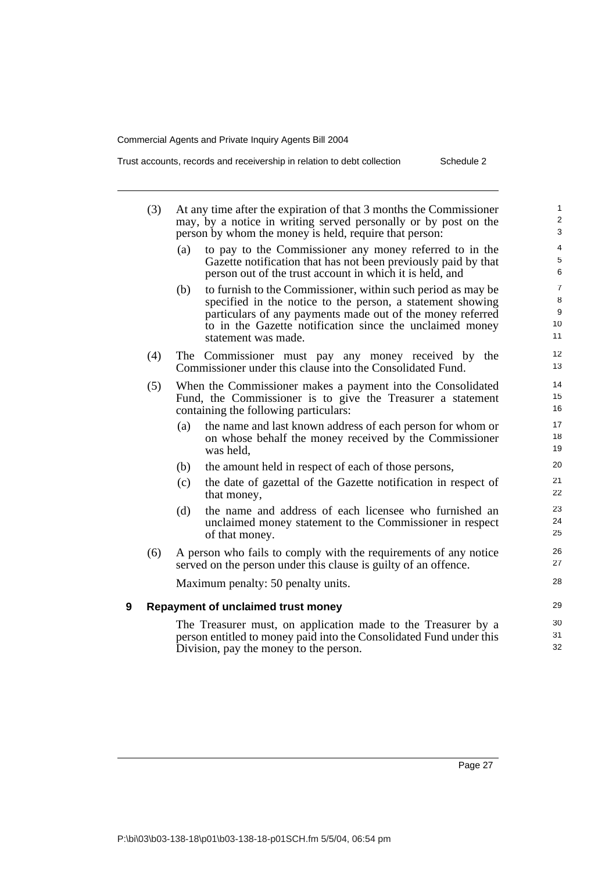Trust accounts, records and receivership in relation to debt collection

| Schedule 2 |  |
|------------|--|
|            |  |

| At any time after the expiration of that 3 months the Commissioner<br>(3)<br>may, by a notice in writing served personally or by post on the<br>person by whom the money is held, require that person:<br>to pay to the Commissioner any money referred to in the<br>(a)<br>Gazette notification that has not been previously paid by that<br>person out of the trust account in which it is held, and<br>to furnish to the Commissioner, within such period as may be<br>(b)<br>specified in the notice to the person, a statement showing | $\mathbf{1}$<br>$\overline{2}$<br>3<br>$\overline{\mathbf{4}}$<br>5<br>6<br>$\overline{7}$<br>8<br>$\overline{9}$<br>10<br>11<br>12<br>13 |
|---------------------------------------------------------------------------------------------------------------------------------------------------------------------------------------------------------------------------------------------------------------------------------------------------------------------------------------------------------------------------------------------------------------------------------------------------------------------------------------------------------------------------------------------|-------------------------------------------------------------------------------------------------------------------------------------------|
|                                                                                                                                                                                                                                                                                                                                                                                                                                                                                                                                             |                                                                                                                                           |
|                                                                                                                                                                                                                                                                                                                                                                                                                                                                                                                                             |                                                                                                                                           |
| particulars of any payments made out of the money referred<br>to in the Gazette notification since the unclaimed money<br>statement was made.                                                                                                                                                                                                                                                                                                                                                                                               |                                                                                                                                           |
| (4)<br>The Commissioner must pay any money received by the<br>Commissioner under this clause into the Consolidated Fund.                                                                                                                                                                                                                                                                                                                                                                                                                    |                                                                                                                                           |
| (5)<br>When the Commissioner makes a payment into the Consolidated<br>Fund, the Commissioner is to give the Treasurer a statement<br>containing the following particulars:                                                                                                                                                                                                                                                                                                                                                                  | 14<br>15<br>16                                                                                                                            |
| the name and last known address of each person for whom or<br>(a)<br>on whose behalf the money received by the Commissioner<br>was held,                                                                                                                                                                                                                                                                                                                                                                                                    | 17<br>18<br>19                                                                                                                            |
| the amount held in respect of each of those persons,<br>(b)                                                                                                                                                                                                                                                                                                                                                                                                                                                                                 | 20                                                                                                                                        |
| the date of gazettal of the Gazette notification in respect of<br>(c)<br>that money,                                                                                                                                                                                                                                                                                                                                                                                                                                                        | 21<br>22                                                                                                                                  |
| the name and address of each licensee who furnished an<br>(d)<br>unclaimed money statement to the Commissioner in respect<br>of that money.                                                                                                                                                                                                                                                                                                                                                                                                 | 23<br>24<br>25                                                                                                                            |
| (6)<br>A person who fails to comply with the requirements of any notice<br>served on the person under this clause is guilty of an offence.                                                                                                                                                                                                                                                                                                                                                                                                  | 26<br>27                                                                                                                                  |
| Maximum penalty: 50 penalty units.                                                                                                                                                                                                                                                                                                                                                                                                                                                                                                          | 28                                                                                                                                        |
| 9<br>Repayment of unclaimed trust money                                                                                                                                                                                                                                                                                                                                                                                                                                                                                                     | 29                                                                                                                                        |
| The Treasurer must, on application made to the Treasurer by a<br>person entitled to money paid into the Consolidated Fund under this<br>Division, pay the money to the person.                                                                                                                                                                                                                                                                                                                                                              | 30<br>31<br>32                                                                                                                            |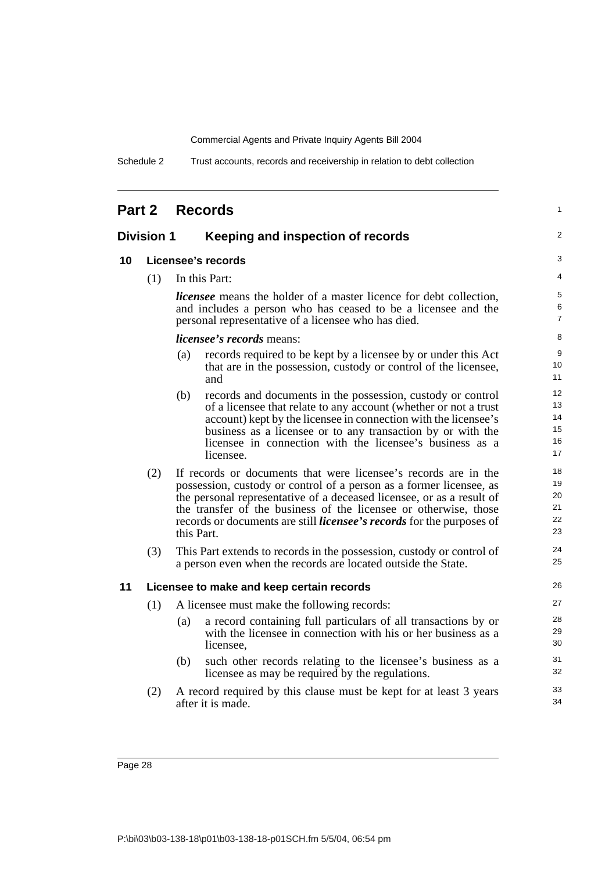Schedule 2 Trust accounts, records and receivership in relation to debt collection

|    |                   | Part 2 Records                                                                                                                                                                                                                                                                                                                                                                    |
|----|-------------------|-----------------------------------------------------------------------------------------------------------------------------------------------------------------------------------------------------------------------------------------------------------------------------------------------------------------------------------------------------------------------------------|
|    | <b>Division 1</b> | Keeping and inspection of records                                                                                                                                                                                                                                                                                                                                                 |
| 10 |                   | Licensee's records                                                                                                                                                                                                                                                                                                                                                                |
|    | (1)               | In this Part:                                                                                                                                                                                                                                                                                                                                                                     |
|    |                   | <i>licensee</i> means the holder of a master licence for debt collection,<br>and includes a person who has ceased to be a licensee and the<br>personal representative of a licensee who has died.                                                                                                                                                                                 |
|    |                   | <i>licensee's records</i> means:                                                                                                                                                                                                                                                                                                                                                  |
|    |                   | records required to be kept by a licensee by or under this Act<br>(a)<br>that are in the possession, custody or control of the licensee,<br>and                                                                                                                                                                                                                                   |
|    |                   | records and documents in the possession, custody or control<br>(b)<br>of a licensee that relate to any account (whether or not a trust<br>account) kept by the licensee in connection with the licensee's<br>business as a licensee or to any transaction by or with the<br>licensee in connection with the licensee's business as a<br>licensee.                                 |
|    | (2)               | If records or documents that were licensee's records are in the<br>possession, custody or control of a person as a former licensee, as<br>the personal representative of a deceased licensee, or as a result of<br>the transfer of the business of the licensee or otherwise, those<br>records or documents are still <i>licensee's records</i> for the purposes of<br>this Part. |
|    | (3)               | This Part extends to records in the possession, custody or control of<br>a person even when the records are located outside the State.                                                                                                                                                                                                                                            |
| 11 |                   | Licensee to make and keep certain records                                                                                                                                                                                                                                                                                                                                         |
|    | (1)               | A licensee must make the following records:                                                                                                                                                                                                                                                                                                                                       |
|    |                   | a record containing full particulars of all transactions by or<br>(a)<br>with the licensee in connection with his or her business as a<br>licensee.                                                                                                                                                                                                                               |
|    |                   | such other records relating to the licensee's business as a<br>(b)<br>licensee as may be required by the regulations.                                                                                                                                                                                                                                                             |
|    | (2)               | A record required by this clause must be kept for at least 3 years<br>after it is made.                                                                                                                                                                                                                                                                                           |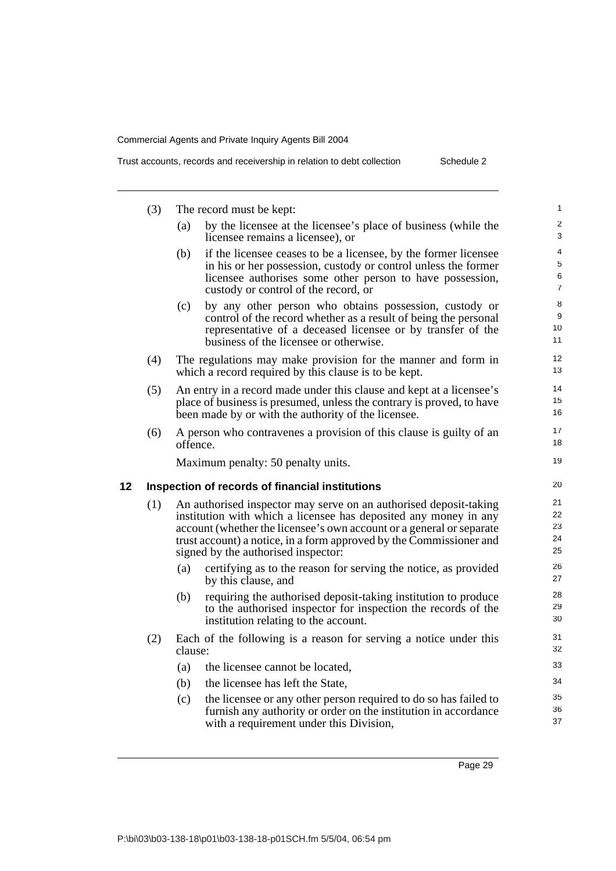|    | (3) | The record must be kept:                                                                                                                                                                                                                                                                                                    | $\mathbf{1}$                                         |
|----|-----|-----------------------------------------------------------------------------------------------------------------------------------------------------------------------------------------------------------------------------------------------------------------------------------------------------------------------------|------------------------------------------------------|
|    |     | by the licensee at the licensee's place of business (while the<br>(a)<br>licensee remains a licensee), or                                                                                                                                                                                                                   | $\overline{2}$<br>$\ensuremath{\mathsf{3}}$          |
|    |     | (b)<br>if the licensee ceases to be a licensee, by the former licensee<br>in his or her possession, custody or control unless the former<br>licensee authorises some other person to have possession,<br>custody or control of the record, or                                                                               | $\overline{a}$<br>$\,$ 5 $\,$<br>6<br>$\overline{7}$ |
|    |     | by any other person who obtains possession, custody or<br>(c)<br>control of the record whether as a result of being the personal<br>representative of a deceased licensee or by transfer of the<br>business of the licensee or otherwise.                                                                                   | 8<br>$9\,$<br>10<br>11                               |
|    | (4) | The regulations may make provision for the manner and form in<br>which a record required by this clause is to be kept.                                                                                                                                                                                                      | 12<br>13                                             |
|    | (5) | An entry in a record made under this clause and kept at a licensee's<br>place of business is presumed, unless the contrary is proved, to have<br>been made by or with the authority of the licensee.                                                                                                                        | 14<br>15<br>16                                       |
|    | (6) | A person who contravenes a provision of this clause is guilty of an<br>offence.                                                                                                                                                                                                                                             | 17<br>18                                             |
|    |     | Maximum penalty: 50 penalty units.                                                                                                                                                                                                                                                                                          | 19                                                   |
| 12 |     | Inspection of records of financial institutions                                                                                                                                                                                                                                                                             | 20                                                   |
|    | (1) | An authorised inspector may serve on an authorised deposit-taking<br>institution with which a licensee has deposited any money in any<br>account (whether the licensee's own account or a general or separate<br>trust account) a notice, in a form approved by the Commissioner and<br>signed by the authorised inspector: | 21<br>22<br>23<br>24<br>25                           |
|    |     | certifying as to the reason for serving the notice, as provided<br>(a)<br>by this clause, and                                                                                                                                                                                                                               | 26<br>27                                             |
|    |     | requiring the authorised deposit-taking institution to produce<br>(b)<br>to the authorised inspector for inspection the records of the<br>institution relating to the account.                                                                                                                                              | 28<br>29<br>30                                       |
|    | (2) | Each of the following is a reason for serving a notice under this                                                                                                                                                                                                                                                           | 31<br>32                                             |
|    |     | clause:                                                                                                                                                                                                                                                                                                                     |                                                      |
|    |     | the licensee cannot be located,<br>(a)                                                                                                                                                                                                                                                                                      | 33                                                   |
|    |     | the licensee has left the State,<br>(b)                                                                                                                                                                                                                                                                                     | 34                                                   |
|    |     | (c)<br>the licensee or any other person required to do so has failed to<br>furnish any authority or order on the institution in accordance<br>with a requirement under this Division,                                                                                                                                       | 35<br>36<br>37                                       |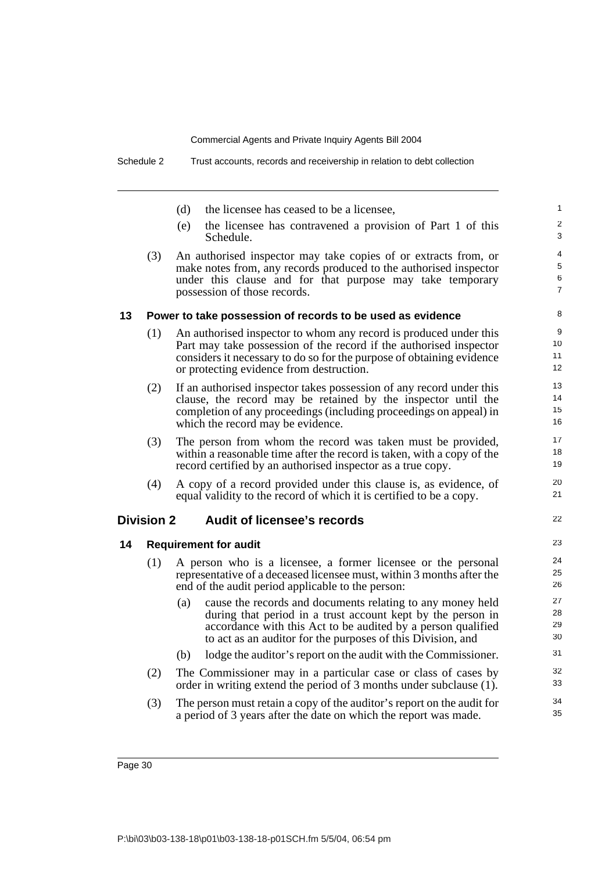|     | the licensee has ceased to be a licensee,<br>(d)                       | $\mathbf{1}$                                                                                                                                                                                                                                                                                                                                                                                                                                                                                                                                                                                                                                                                                                                                                                                                                                                                                                                                                                                                                                                                              |
|-----|------------------------------------------------------------------------|-------------------------------------------------------------------------------------------------------------------------------------------------------------------------------------------------------------------------------------------------------------------------------------------------------------------------------------------------------------------------------------------------------------------------------------------------------------------------------------------------------------------------------------------------------------------------------------------------------------------------------------------------------------------------------------------------------------------------------------------------------------------------------------------------------------------------------------------------------------------------------------------------------------------------------------------------------------------------------------------------------------------------------------------------------------------------------------------|
|     | Schedule.                                                              | 2<br>3                                                                                                                                                                                                                                                                                                                                                                                                                                                                                                                                                                                                                                                                                                                                                                                                                                                                                                                                                                                                                                                                                    |
| (3) | An authorised inspector may take copies of or extracts from, or        | 4                                                                                                                                                                                                                                                                                                                                                                                                                                                                                                                                                                                                                                                                                                                                                                                                                                                                                                                                                                                                                                                                                         |
|     |                                                                        | 5<br>$\,6$                                                                                                                                                                                                                                                                                                                                                                                                                                                                                                                                                                                                                                                                                                                                                                                                                                                                                                                                                                                                                                                                                |
|     | possession of those records.                                           | $\overline{7}$                                                                                                                                                                                                                                                                                                                                                                                                                                                                                                                                                                                                                                                                                                                                                                                                                                                                                                                                                                                                                                                                            |
|     |                                                                        | 8                                                                                                                                                                                                                                                                                                                                                                                                                                                                                                                                                                                                                                                                                                                                                                                                                                                                                                                                                                                                                                                                                         |
| (1) | An authorised inspector to whom any record is produced under this      | 9                                                                                                                                                                                                                                                                                                                                                                                                                                                                                                                                                                                                                                                                                                                                                                                                                                                                                                                                                                                                                                                                                         |
|     |                                                                        | 10<br>11                                                                                                                                                                                                                                                                                                                                                                                                                                                                                                                                                                                                                                                                                                                                                                                                                                                                                                                                                                                                                                                                                  |
|     | or protecting evidence from destruction.                               | 12                                                                                                                                                                                                                                                                                                                                                                                                                                                                                                                                                                                                                                                                                                                                                                                                                                                                                                                                                                                                                                                                                        |
| (2) | If an authorised inspector takes possession of any record under this   | 13                                                                                                                                                                                                                                                                                                                                                                                                                                                                                                                                                                                                                                                                                                                                                                                                                                                                                                                                                                                                                                                                                        |
|     |                                                                        | 14<br>15                                                                                                                                                                                                                                                                                                                                                                                                                                                                                                                                                                                                                                                                                                                                                                                                                                                                                                                                                                                                                                                                                  |
|     | which the record may be evidence.                                      | 16                                                                                                                                                                                                                                                                                                                                                                                                                                                                                                                                                                                                                                                                                                                                                                                                                                                                                                                                                                                                                                                                                        |
| (3) | The person from whom the record was taken must be provided,            | 17                                                                                                                                                                                                                                                                                                                                                                                                                                                                                                                                                                                                                                                                                                                                                                                                                                                                                                                                                                                                                                                                                        |
|     | within a reasonable time after the record is taken, with a copy of the | 18                                                                                                                                                                                                                                                                                                                                                                                                                                                                                                                                                                                                                                                                                                                                                                                                                                                                                                                                                                                                                                                                                        |
|     |                                                                        | 19                                                                                                                                                                                                                                                                                                                                                                                                                                                                                                                                                                                                                                                                                                                                                                                                                                                                                                                                                                                                                                                                                        |
|     | equal validity to the record of which it is certified to be a copy.    | 20<br>21                                                                                                                                                                                                                                                                                                                                                                                                                                                                                                                                                                                                                                                                                                                                                                                                                                                                                                                                                                                                                                                                                  |
|     | <b>Audit of licensee's records</b>                                     | 22                                                                                                                                                                                                                                                                                                                                                                                                                                                                                                                                                                                                                                                                                                                                                                                                                                                                                                                                                                                                                                                                                        |
|     |                                                                        | 23                                                                                                                                                                                                                                                                                                                                                                                                                                                                                                                                                                                                                                                                                                                                                                                                                                                                                                                                                                                                                                                                                        |
| (1) | A person who is a licensee, a former licensee or the personal          | 24                                                                                                                                                                                                                                                                                                                                                                                                                                                                                                                                                                                                                                                                                                                                                                                                                                                                                                                                                                                                                                                                                        |
|     |                                                                        | 25<br>26                                                                                                                                                                                                                                                                                                                                                                                                                                                                                                                                                                                                                                                                                                                                                                                                                                                                                                                                                                                                                                                                                  |
|     |                                                                        | 27                                                                                                                                                                                                                                                                                                                                                                                                                                                                                                                                                                                                                                                                                                                                                                                                                                                                                                                                                                                                                                                                                        |
|     |                                                                        | 28                                                                                                                                                                                                                                                                                                                                                                                                                                                                                                                                                                                                                                                                                                                                                                                                                                                                                                                                                                                                                                                                                        |
|     | accordance with this Act to be audited by a person qualified           | 29                                                                                                                                                                                                                                                                                                                                                                                                                                                                                                                                                                                                                                                                                                                                                                                                                                                                                                                                                                                                                                                                                        |
|     | to act as an auditor for the purposes of this Division, and            | 30                                                                                                                                                                                                                                                                                                                                                                                                                                                                                                                                                                                                                                                                                                                                                                                                                                                                                                                                                                                                                                                                                        |
|     | lodge the auditor's report on the audit with the Commissioner.<br>(b)  | 31                                                                                                                                                                                                                                                                                                                                                                                                                                                                                                                                                                                                                                                                                                                                                                                                                                                                                                                                                                                                                                                                                        |
| (2) | The Commissioner may in a particular case or class of cases by         | 32                                                                                                                                                                                                                                                                                                                                                                                                                                                                                                                                                                                                                                                                                                                                                                                                                                                                                                                                                                                                                                                                                        |
|     |                                                                        | 33                                                                                                                                                                                                                                                                                                                                                                                                                                                                                                                                                                                                                                                                                                                                                                                                                                                                                                                                                                                                                                                                                        |
| (3) | The person must retain a copy of the auditor's report on the audit for | 34                                                                                                                                                                                                                                                                                                                                                                                                                                                                                                                                                                                                                                                                                                                                                                                                                                                                                                                                                                                                                                                                                        |
|     | (4)                                                                    | (e)<br>the licensee has contravened a provision of Part 1 of this<br>make notes from, any records produced to the authorised inspector<br>under this clause and for that purpose may take temporary<br>Power to take possession of records to be used as evidence<br>Part may take possession of the record if the authorised inspector<br>considers it necessary to do so for the purpose of obtaining evidence<br>clause, the record may be retained by the inspector until the<br>completion of any proceedings (including proceedings on appeal) in<br>record certified by an authorised inspector as a true copy.<br>A copy of a record provided under this clause is, as evidence, of<br><b>Division 2</b><br><b>Requirement for audit</b><br>representative of a deceased licensee must, within 3 months after the<br>end of the audit period applicable to the person:<br>cause the records and documents relating to any money held<br>(a)<br>during that period in a trust account kept by the person in<br>order in writing extend the period of 3 months under subclause (1). |

Schedule 2 Trust accounts, records and receivership in relation to debt collection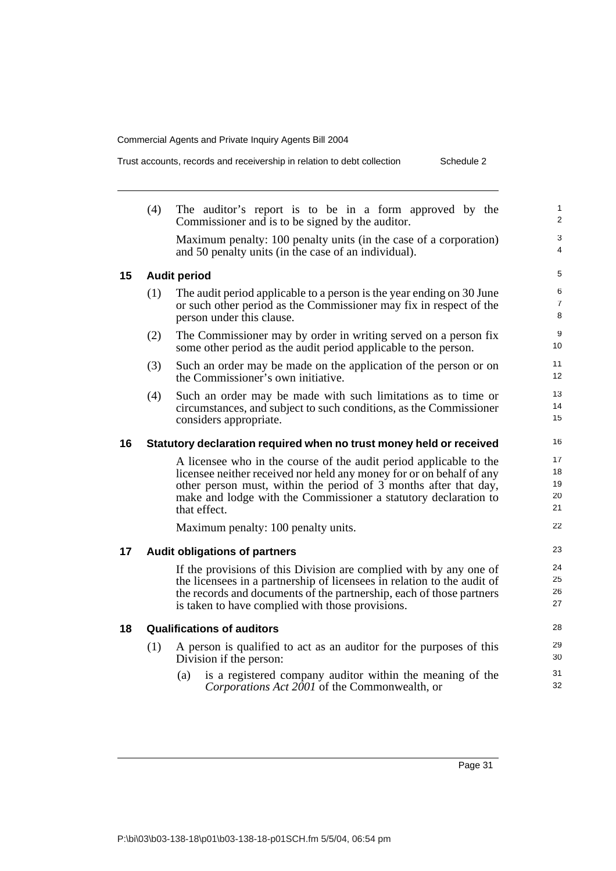| Trust accounts, records and receivership in relation to debt collection | Schedule 2 |
|-------------------------------------------------------------------------|------------|
|-------------------------------------------------------------------------|------------|

|    | (4) | The auditor's report is to be in a form approved by the<br>Commissioner and is to be signed by the auditor.                                                                                                                                                                                       | $\mathbf{1}$<br>$\overline{2}$ |
|----|-----|---------------------------------------------------------------------------------------------------------------------------------------------------------------------------------------------------------------------------------------------------------------------------------------------------|--------------------------------|
|    |     | Maximum penalty: 100 penalty units (in the case of a corporation)<br>and 50 penalty units (in the case of an individual).                                                                                                                                                                         | 3<br>4                         |
| 15 |     | <b>Audit period</b>                                                                                                                                                                                                                                                                               | 5                              |
|    | (1) | The audit period applicable to a person is the year ending on 30 June<br>or such other period as the Commissioner may fix in respect of the<br>person under this clause.                                                                                                                          | 6<br>$\overline{7}$<br>8       |
|    | (2) | The Commissioner may by order in writing served on a person fix<br>some other period as the audit period applicable to the person.                                                                                                                                                                | 9<br>10                        |
|    | (3) | Such an order may be made on the application of the person or on<br>the Commissioner's own initiative.                                                                                                                                                                                            | 11<br>12                       |
|    | (4) | Such an order may be made with such limitations as to time or<br>circumstances, and subject to such conditions, as the Commissioner<br>considers appropriate.                                                                                                                                     | 13<br>14<br>15                 |
| 16 |     | Statutory declaration required when no trust money held or received                                                                                                                                                                                                                               | 16                             |
|    |     | A licensee who in the course of the audit period applicable to the<br>licensee neither received nor held any money for or on behalf of any<br>other person must, within the period of 3 months after that day,<br>make and lodge with the Commissioner a statutory declaration to<br>that effect. | 17<br>18<br>19<br>20<br>21     |
|    |     | Maximum penalty: 100 penalty units.                                                                                                                                                                                                                                                               | 22                             |
| 17 |     | <b>Audit obligations of partners</b>                                                                                                                                                                                                                                                              | 23                             |
|    |     | If the provisions of this Division are complied with by any one of<br>the licensees in a partnership of licensees in relation to the audit of<br>the records and documents of the partnership, each of those partners<br>is taken to have complied with those provisions.                         | 24<br>25<br>26<br>27           |
| 18 |     | <b>Qualifications of auditors</b>                                                                                                                                                                                                                                                                 | 28                             |
|    | (1) | A person is qualified to act as an auditor for the purposes of this<br>Division if the person:                                                                                                                                                                                                    | 29<br>30                       |
|    |     | is a registered company auditor within the meaning of the<br>(a)<br>Corporations Act 2001 of the Commonwealth, or                                                                                                                                                                                 | 31<br>32                       |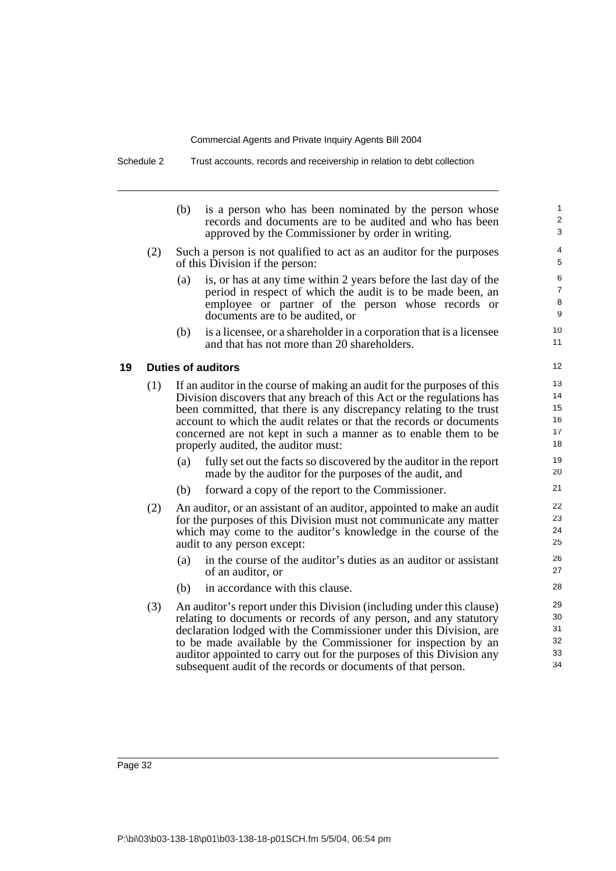Schedule 2 Trust accounts, records and receivership in relation to debt collection

|    |     | (b)<br>is a person who has been nominated by the person whose<br>records and documents are to be audited and who has been<br>approved by the Commissioner by order in writing.                                                                                                                                                                                                                                           | 1<br>$\overline{\mathbf{c}}$<br>3 |
|----|-----|--------------------------------------------------------------------------------------------------------------------------------------------------------------------------------------------------------------------------------------------------------------------------------------------------------------------------------------------------------------------------------------------------------------------------|-----------------------------------|
|    | (2) | Such a person is not qualified to act as an auditor for the purposes<br>of this Division if the person:                                                                                                                                                                                                                                                                                                                  | 4<br>5                            |
|    |     | is, or has at any time within 2 years before the last day of the<br>(a)<br>period in respect of which the audit is to be made been, an<br>employee or partner of the person whose records or<br>documents are to be audited, or                                                                                                                                                                                          | 6<br>7<br>8<br>9                  |
|    |     | is a licensee, or a shareholder in a corporation that is a licensee<br>(b)<br>and that has not more than 20 shareholders.                                                                                                                                                                                                                                                                                                | 10<br>11                          |
| 19 |     | <b>Duties of auditors</b>                                                                                                                                                                                                                                                                                                                                                                                                | 12                                |
|    | (1) | If an auditor in the course of making an audit for the purposes of this<br>Division discovers that any breach of this Act or the regulations has<br>been committed, that there is any discrepancy relating to the trust<br>account to which the audit relates or that the records or documents<br>concerned are not kept in such a manner as to enable them to be<br>properly audited, the auditor must:                 | 13<br>14<br>15<br>16<br>17<br>18  |
|    |     | (a)<br>fully set out the facts so discovered by the auditor in the report<br>made by the auditor for the purposes of the audit, and<br>(b)<br>forward a copy of the report to the Commissioner.                                                                                                                                                                                                                          | 19<br>20<br>21                    |
|    | (2) | An auditor, or an assistant of an auditor, appointed to make an audit<br>for the purposes of this Division must not communicate any matter<br>which may come to the auditor's knowledge in the course of the<br>audit to any person except:                                                                                                                                                                              | 22<br>23<br>24<br>25              |
|    |     | in the course of the auditor's duties as an auditor or assistant<br>(a)<br>of an auditor, or                                                                                                                                                                                                                                                                                                                             | 26<br>27                          |
|    |     | in accordance with this clause.<br>(b)                                                                                                                                                                                                                                                                                                                                                                                   | 28                                |
|    | (3) | An auditor's report under this Division (including under this clause)<br>relating to documents or records of any person, and any statutory<br>declaration lodged with the Commissioner under this Division, are<br>to be made available by the Commissioner for inspection by an<br>auditor appointed to carry out for the purposes of this Division any<br>subsequent audit of the records or documents of that person. | 29<br>30<br>31<br>32<br>33<br>34  |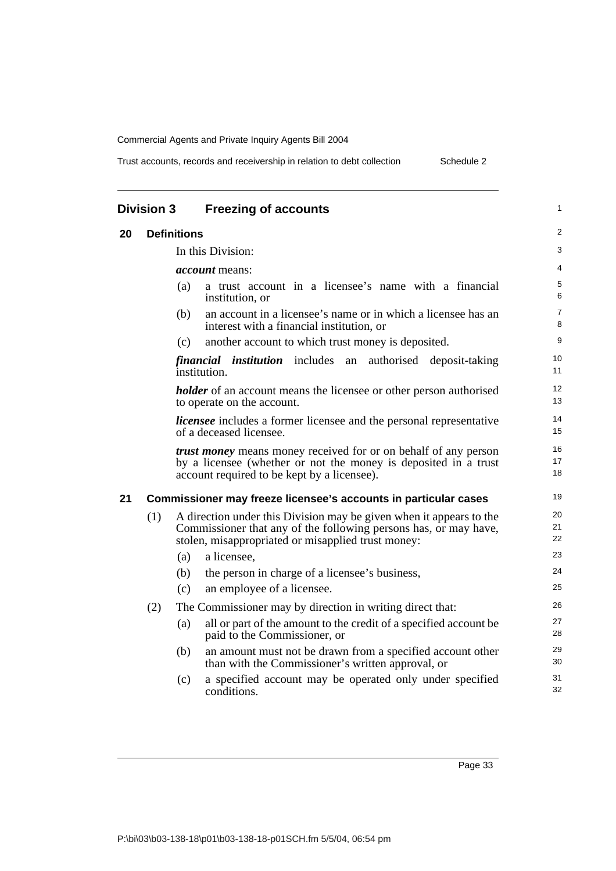Trust accounts, records and receivership in relation to debt collection Schedule 2

| <b>Division 3</b> |                    |     | <b>Freezing of accounts</b>                                                                                                                                                                   | 1              |
|-------------------|--------------------|-----|-----------------------------------------------------------------------------------------------------------------------------------------------------------------------------------------------|----------------|
| 20                | <b>Definitions</b> |     |                                                                                                                                                                                               | $\overline{2}$ |
|                   |                    |     | In this Division:                                                                                                                                                                             | 3              |
|                   |                    |     | <i>account</i> means:                                                                                                                                                                         | 4              |
|                   |                    | (a) | a trust account in a licensee's name with a financial<br>institution, or                                                                                                                      | 5<br>6         |
|                   |                    | (b) | an account in a licensee's name or in which a licensee has an<br>interest with a financial institution, or                                                                                    | 7<br>8         |
|                   |                    | (c) | another account to which trust money is deposited.                                                                                                                                            | 9              |
|                   |                    |     | <i>financial institution</i> includes<br>authorised deposit-taking<br>an<br>institution.                                                                                                      | 10<br>11       |
|                   |                    |     | <i>holder</i> of an account means the licensee or other person authorised<br>to operate on the account.                                                                                       | 12<br>13       |
|                   |                    |     | licensee includes a former licensee and the personal representative<br>of a deceased licensee.                                                                                                | 14<br>15       |
|                   |                    |     | <i>trust money</i> means money received for or on behalf of any person<br>by a licensee (whether or not the money is deposited in a trust<br>account required to be kept by a licensee).      | 16<br>17<br>18 |
| 21                |                    |     | Commissioner may freeze licensee's accounts in particular cases                                                                                                                               | 19             |
|                   | (1)                |     | A direction under this Division may be given when it appears to the<br>Commissioner that any of the following persons has, or may have,<br>stolen, misappropriated or misapplied trust money: | 20<br>21<br>22 |
|                   |                    | (a) | a licensee,                                                                                                                                                                                   | 23             |
|                   |                    | (b) | the person in charge of a licensee's business,                                                                                                                                                | 24             |
|                   |                    | (c) | an employee of a licensee.                                                                                                                                                                    | 25             |
|                   | (2)                |     | The Commissioner may by direction in writing direct that:                                                                                                                                     | 26             |
|                   |                    | (a) | all or part of the amount to the credit of a specified account be<br>paid to the Commissioner, or                                                                                             | 27<br>28       |
|                   |                    | (b) | an amount must not be drawn from a specified account other<br>than with the Commissioner's written approval, or                                                                               | 29<br>30       |
|                   |                    | (c) | a specified account may be operated only under specified<br>conditions.                                                                                                                       | 31<br>32       |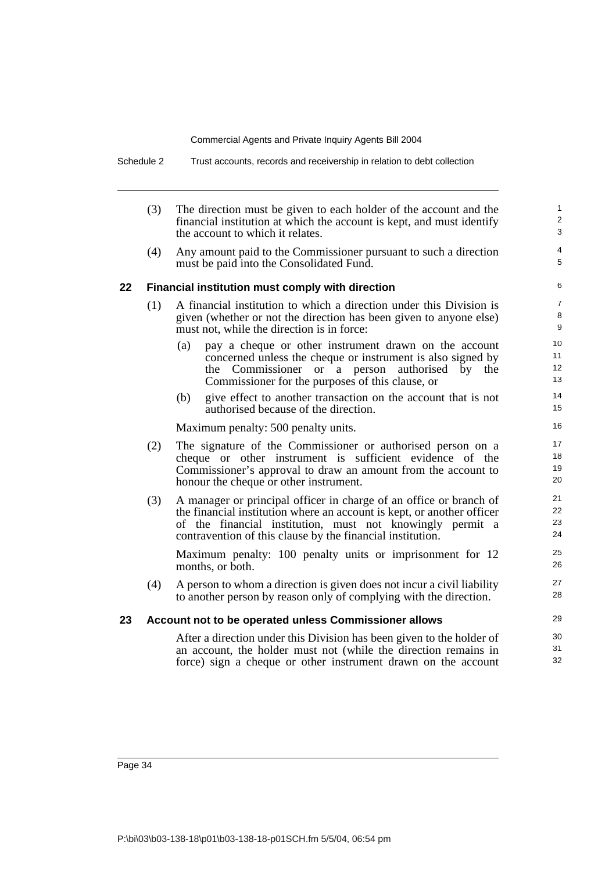Schedule 2 Trust accounts, records and receivership in relation to debt collection

(3) The direction must be given to each holder of the account and the financial institution at which the account is kept, and must identify the account to which it relates. (4) Any amount paid to the Commissioner pursuant to such a direction must be paid into the Consolidated Fund. **22 Financial institution must comply with direction** (1) A financial institution to which a direction under this Division is given (whether or not the direction has been given to anyone else) must not, while the direction is in force: (a) pay a cheque or other instrument drawn on the account concerned unless the cheque or instrument is also signed by the Commissioner or a person authorised by the Commissioner for the purposes of this clause, or (b) give effect to another transaction on the account that is not authorised because of the direction. Maximum penalty: 500 penalty units. (2) The signature of the Commissioner or authorised person on a cheque or other instrument is sufficient evidence of the Commissioner's approval to draw an amount from the account to honour the cheque or other instrument. (3) A manager or principal officer in charge of an office or branch of the financial institution where an account is kept, or another officer of the financial institution, must not knowingly permit a contravention of this clause by the financial institution. Maximum penalty: 100 penalty units or imprisonment for 12 months, or both. (4) A person to whom a direction is given does not incur a civil liability to another person by reason only of complying with the direction. **23 Account not to be operated unless Commissioner allows** After a direction under this Division has been given to the holder of an account, the holder must not (while the direction remains in 1  $\overline{2}$ 3 4 5 6 7 8 9 10 11 12 13 14 15 16 17 18 19 20 21 22 23 24 25 26 27 28 29 30 31 32

force) sign a cheque or other instrument drawn on the account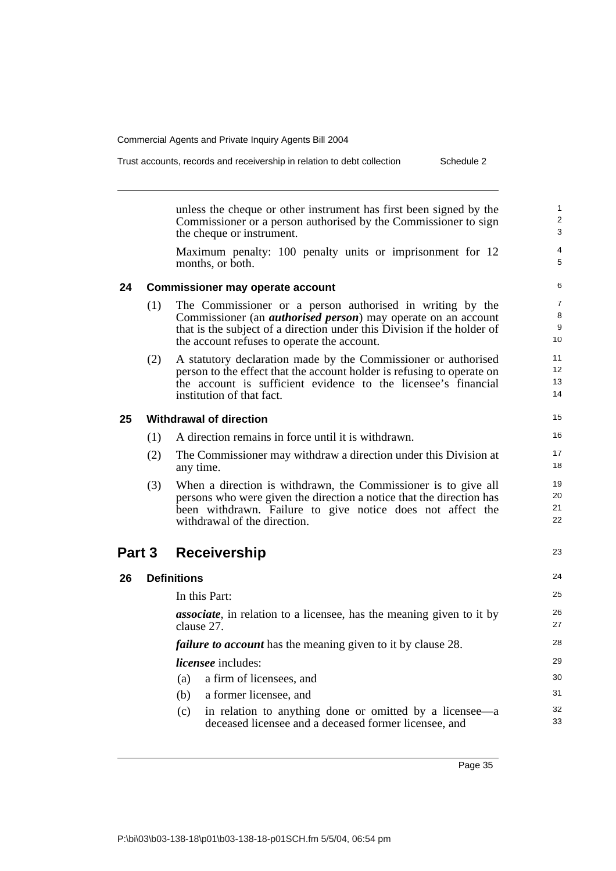| Trust accounts, records and receivership in relation to debt collection | Schedule 2 |
|-------------------------------------------------------------------------|------------|
|-------------------------------------------------------------------------|------------|

unless the cheque or other instrument has first been signed by the Commissioner or a person authorised by the Commissioner to sign the cheque or instrument.

Maximum penalty: 100 penalty units or imprisonment for 12 months, or both.

> 6 7

#### **24 Commissioner may operate account**

- (1) The Commissioner or a person authorised in writing by the Commissioner (an *authorised person*) may operate on an account that is the subject of a direction under this Division if the holder of the account refuses to operate the account.
- (2) A statutory declaration made by the Commissioner or authorised person to the effect that the account holder is refusing to operate on the account is sufficient evidence to the licensee's financial institution of that fact.

#### **25 Withdrawal of direction**

- (1) A direction remains in force until it is withdrawn.
- (2) The Commissioner may withdraw a direction under this Division at any time.
- (3) When a direction is withdrawn, the Commissioner is to give all persons who were given the direction a notice that the direction has been withdrawn. Failure to give notice does not affect the withdrawal of the direction.

#### **Part 3 Receivership**

23 24

33

#### **26 Definitions** In this Part: *associate*, in relation to a licensee, has the meaning given to it by clause 27. *failure to account* has the meaning given to it by clause 28. *licensee* includes: (a) a firm of licensees, and (b) a former licensee, and (c) in relation to anything done or omitted by a licensee—a 25 26 27 28 29 30 31 32

deceased licensee and a deceased former licensee, and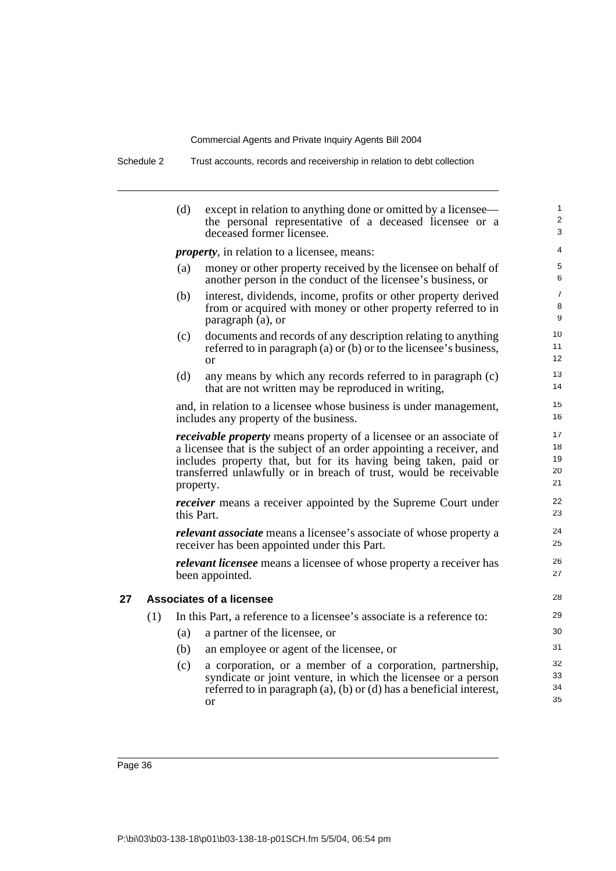Schedule 2 Trust accounts, records and receivership in relation to debt collection

|    |     | (d)        | except in relation to anything done or omitted by a licensee—<br>the personal representative of a deceased licensee or a<br>deceased former licensee.                                                                                                                                       | $\mathbf{1}$<br>2<br>3     |
|----|-----|------------|---------------------------------------------------------------------------------------------------------------------------------------------------------------------------------------------------------------------------------------------------------------------------------------------|----------------------------|
|    |     |            | <i>property</i> , in relation to a licensee, means:                                                                                                                                                                                                                                         | 4                          |
|    |     | (a)        | money or other property received by the licensee on behalf of<br>another person in the conduct of the licensee's business, or                                                                                                                                                               | 5<br>6                     |
|    |     | (b)        | interest, dividends, income, profits or other property derived<br>from or acquired with money or other property referred to in<br>paragraph (a), or                                                                                                                                         | $\overline{7}$<br>8<br>9   |
|    |     | (c)        | documents and records of any description relating to anything<br>referred to in paragraph (a) or (b) or to the licensee's business,<br><b>or</b>                                                                                                                                            | 10<br>11<br>12             |
|    |     | (d)        | any means by which any records referred to in paragraph (c)<br>that are not written may be reproduced in writing,                                                                                                                                                                           | 13<br>14                   |
|    |     |            | and, in relation to a licensee whose business is under management,<br>includes any property of the business.                                                                                                                                                                                | 15<br>16                   |
|    |     | property.  | <i>receivable property</i> means property of a licensee or an associate of<br>a licensee that is the subject of an order appointing a receiver, and<br>includes property that, but for its having being taken, paid or<br>transferred unlawfully or in breach of trust, would be receivable | 17<br>18<br>19<br>20<br>21 |
|    |     | this Part. | <i>receiver</i> means a receiver appointed by the Supreme Court under                                                                                                                                                                                                                       | 22<br>23                   |
|    |     |            | <i>relevant associate</i> means a licensee's associate of whose property a<br>receiver has been appointed under this Part.                                                                                                                                                                  | 24<br>25                   |
|    |     |            | <i>relevant licensee</i> means a licensee of whose property a receiver has<br>been appointed.                                                                                                                                                                                               | 26<br>27                   |
| 27 |     |            | <b>Associates of a licensee</b>                                                                                                                                                                                                                                                             | 28                         |
|    | (1) |            | In this Part, a reference to a licensee's associate is a reference to:                                                                                                                                                                                                                      | 29                         |
|    |     | (a)        | a partner of the licensee, or                                                                                                                                                                                                                                                               | 30                         |
|    |     | (b)        | an employee or agent of the licensee, or                                                                                                                                                                                                                                                    | 31                         |
|    |     | (c)        | a corporation, or a member of a corporation, partnership,                                                                                                                                                                                                                                   | 32                         |
|    |     |            | syndicate or joint venture, in which the licensee or a person<br>referred to in paragraph (a), (b) or (d) has a beneficial interest,                                                                                                                                                        | 33<br>34                   |
|    |     |            | <b>or</b>                                                                                                                                                                                                                                                                                   | 35                         |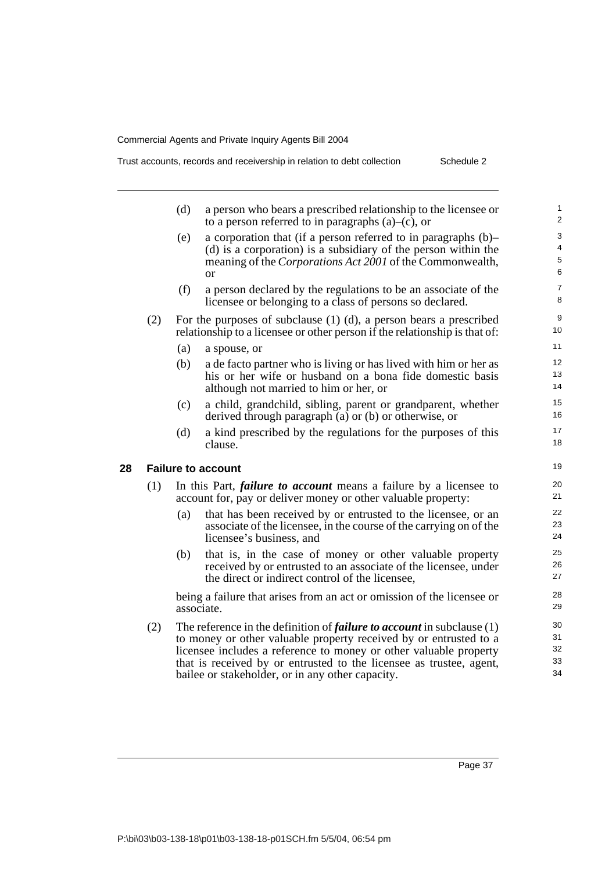Trust accounts, records and receivership in relation to debt collection Schedule 2

(d) a person who bears a prescribed relationship to the licensee or to a person referred to in paragraphs (a)–(c), or (e) a corporation that (if a person referred to in paragraphs (b)– (d) is a corporation) is a subsidiary of the person within the meaning of the *Corporations Act 2001* of the Commonwealth, or (f) a person declared by the regulations to be an associate of the licensee or belonging to a class of persons so declared. (2) For the purposes of subclause (1) (d), a person bears a prescribed relationship to a licensee or other person if the relationship is that of: (a) a spouse, or (b) a de facto partner who is living or has lived with him or her as his or her wife or husband on a bona fide domestic basis although not married to him or her, or (c) a child, grandchild, sibling, parent or grandparent, whether derived through paragraph (a) or (b) or otherwise, or (d) a kind prescribed by the regulations for the purposes of this clause. **28 Failure to account** (1) In this Part, *failure to account* means a failure by a licensee to account for, pay or deliver money or other valuable property: (a) that has been received by or entrusted to the licensee, or an associate of the licensee, in the course of the carrying on of the licensee's business, and (b) that is, in the case of money or other valuable property received by or entrusted to an associate of the licensee, under the direct or indirect control of the licensee, being a failure that arises from an act or omission of the licensee or associate. (2) The reference in the definition of *failure to account* in subclause (1) to money or other valuable property received by or entrusted to a licensee includes a reference to money or other valuable property that is received by or entrusted to the licensee as trustee, agent, bailee or stakeholder, or in any other capacity. 1  $\overline{2}$ 3 4 5 6 7 8 9 10 11 12 13 14 15 16 17 18 19 20 21 22  $23$ 24 25 26 27 28 29 30 31 32 33 34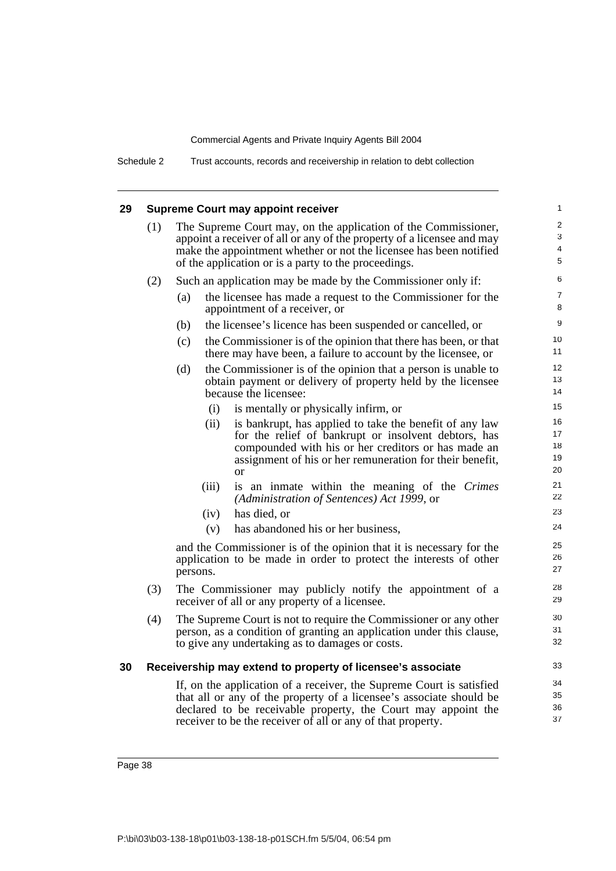Schedule 2 Trust accounts, records and receivership in relation to debt collection

#### **29 Supreme Court may appoint receiver** (1) The Supreme Court may, on the application of the Commissioner, appoint a receiver of all or any of the property of a licensee and may make the appointment whether or not the licensee has been notified of the application or is a party to the proceedings. (2) Such an application may be made by the Commissioner only if: (a) the licensee has made a request to the Commissioner for the appointment of a receiver, or (b) the licensee's licence has been suspended or cancelled, or (c) the Commissioner is of the opinion that there has been, or that there may have been, a failure to account by the licensee, or (d) the Commissioner is of the opinion that a person is unable to obtain payment or delivery of property held by the licensee because the licensee: (i) is mentally or physically infirm, or (ii) is bankrupt, has applied to take the benefit of any law for the relief of bankrupt or insolvent debtors, has compounded with his or her creditors or has made an assignment of his or her remuneration for their benefit, or (iii) is an inmate within the meaning of the *Crimes (Administration of Sentences) Act 1999*, or (iv) has died, or (v) has abandoned his or her business, and the Commissioner is of the opinion that it is necessary for the application to be made in order to protect the interests of other persons. (3) The Commissioner may publicly notify the appointment of a receiver of all or any property of a licensee. (4) The Supreme Court is not to require the Commissioner or any other person, as a condition of granting an application under this clause, to give any undertaking as to damages or costs. **30 Receivership may extend to property of licensee's associate** If, on the application of a receiver, the Supreme Court is satisfied that all or any of the property of a licensee's associate should be declared to be receivable property, the Court may appoint the receiver to be the receiver of all or any of that property. 1  $\overline{2}$ 3 4 5 6 7 8  $\mathsf{o}$ 10 11 12 13 14 15 16 17 18 19 20 21 22 23 24 25 26 27 28 29 30 31 32 33 34 35 36 37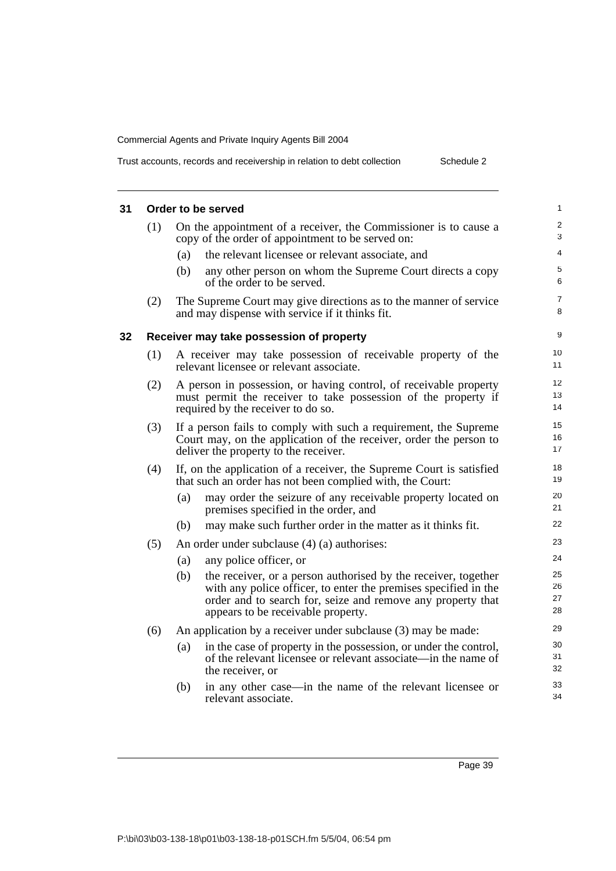| Trust accounts, records and receivership in relation to debt collection | Schedule 2 |
|-------------------------------------------------------------------------|------------|
|-------------------------------------------------------------------------|------------|

| 31 |     | Order to be served                                                                                                                                                                                                                            | 1                    |
|----|-----|-----------------------------------------------------------------------------------------------------------------------------------------------------------------------------------------------------------------------------------------------|----------------------|
|    | (1) | On the appointment of a receiver, the Commissioner is to cause a<br>copy of the order of appointment to be served on:                                                                                                                         | $\overline{c}$<br>3  |
|    |     | the relevant licensee or relevant associate, and<br>(a)                                                                                                                                                                                       | 4                    |
|    |     | any other person on whom the Supreme Court directs a copy<br>(b)<br>of the order to be served.                                                                                                                                                | 5<br>6               |
|    | (2) | The Supreme Court may give directions as to the manner of service<br>and may dispense with service if it thinks fit.                                                                                                                          | $\overline{7}$<br>8  |
| 32 |     | Receiver may take possession of property                                                                                                                                                                                                      | 9                    |
|    | (1) | A receiver may take possession of receivable property of the<br>relevant licensee or relevant associate.                                                                                                                                      | 10<br>11             |
|    | (2) | A person in possession, or having control, of receivable property<br>must permit the receiver to take possession of the property if<br>required by the receiver to do so.                                                                     | 12<br>13<br>14       |
|    | (3) | If a person fails to comply with such a requirement, the Supreme<br>Court may, on the application of the receiver, order the person to<br>deliver the property to the receiver.                                                               | 15<br>16<br>17       |
|    | (4) | If, on the application of a receiver, the Supreme Court is satisfied<br>that such an order has not been complied with, the Court:                                                                                                             | 18<br>19             |
|    |     | may order the seizure of any receivable property located on<br>(a)<br>premises specified in the order, and                                                                                                                                    | 20<br>21             |
|    |     | may make such further order in the matter as it thinks fit.<br>(b)                                                                                                                                                                            | 22                   |
|    | (5) | An order under subclause $(4)$ (a) authorises:                                                                                                                                                                                                | 23                   |
|    |     | any police officer, or<br>(a)                                                                                                                                                                                                                 | 24                   |
|    |     | the receiver, or a person authorised by the receiver, together<br>(b)<br>with any police officer, to enter the premises specified in the<br>order and to search for, seize and remove any property that<br>appears to be receivable property. | 25<br>26<br>27<br>28 |
|    | (6) | An application by a receiver under subclause (3) may be made:                                                                                                                                                                                 | 29                   |
|    |     | in the case of property in the possession, or under the control,<br>(a)<br>of the relevant licensee or relevant associate—in the name of<br>the receiver, or                                                                                  | 30<br>31<br>32       |
|    |     | in any other case—in the name of the relevant licensee or<br>(b)<br>relevant associate.                                                                                                                                                       | 33<br>34             |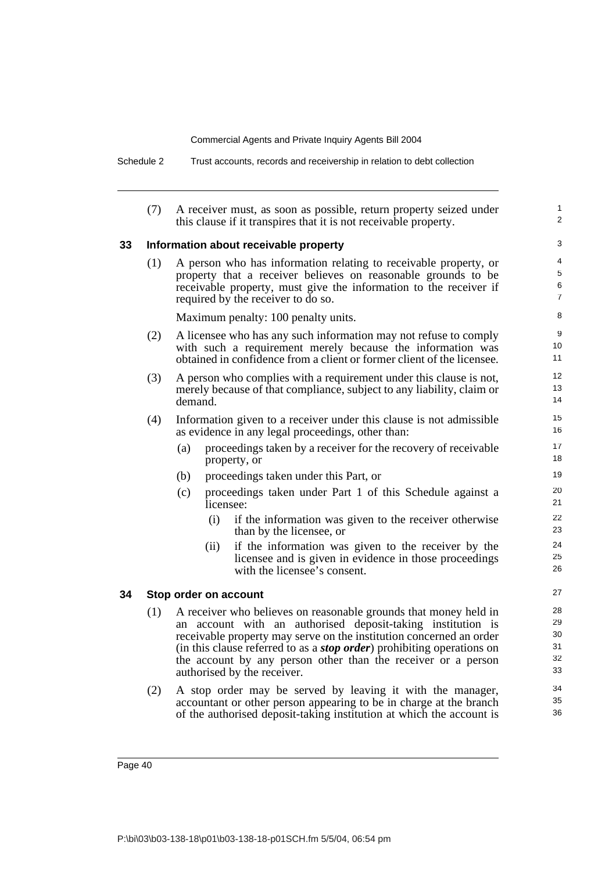Schedule 2 Trust accounts, records and receivership in relation to debt collection

|    | (7)                                   | A receiver must, as soon as possible, return property seized under<br>this clause if it transpires that it is not receivable property.                                                                                                                                                                                                                                                   | 1<br>2                           |  |  |  |
|----|---------------------------------------|------------------------------------------------------------------------------------------------------------------------------------------------------------------------------------------------------------------------------------------------------------------------------------------------------------------------------------------------------------------------------------------|----------------------------------|--|--|--|
| 33 | Information about receivable property |                                                                                                                                                                                                                                                                                                                                                                                          |                                  |  |  |  |
|    | (1)                                   | A person who has information relating to receivable property, or<br>property that a receiver believes on reasonable grounds to be<br>receivable property, must give the information to the receiver if<br>required by the receiver to do so.                                                                                                                                             | 4<br>5<br>6<br>$\overline{7}$    |  |  |  |
|    |                                       | Maximum penalty: 100 penalty units.                                                                                                                                                                                                                                                                                                                                                      | 8                                |  |  |  |
|    | (2)                                   | A licensee who has any such information may not refuse to comply<br>with such a requirement merely because the information was<br>obtained in confidence from a client or former client of the licensee.                                                                                                                                                                                 | 9<br>10<br>11                    |  |  |  |
|    | (3)                                   | A person who complies with a requirement under this clause is not,<br>merely because of that compliance, subject to any liability, claim or<br>demand.                                                                                                                                                                                                                                   | 12<br>13<br>14                   |  |  |  |
|    | (4)                                   | Information given to a receiver under this clause is not admissible<br>as evidence in any legal proceedings, other than:                                                                                                                                                                                                                                                                 | 15<br>16                         |  |  |  |
|    |                                       | (a)<br>proceedings taken by a receiver for the recovery of receivable<br>property, or                                                                                                                                                                                                                                                                                                    | 17<br>18                         |  |  |  |
|    |                                       | proceedings taken under this Part, or<br>(b)                                                                                                                                                                                                                                                                                                                                             | 19                               |  |  |  |
|    |                                       | (c)<br>proceedings taken under Part 1 of this Schedule against a<br>licensee:                                                                                                                                                                                                                                                                                                            | 20<br>21                         |  |  |  |
|    |                                       | if the information was given to the receiver otherwise<br>(i)<br>than by the licensee, or                                                                                                                                                                                                                                                                                                | 22<br>23                         |  |  |  |
|    |                                       | if the information was given to the receiver by the<br>(ii)<br>licensee and is given in evidence in those proceedings<br>with the licensee's consent.                                                                                                                                                                                                                                    | 24<br>25<br>26                   |  |  |  |
| 34 |                                       | Stop order on account                                                                                                                                                                                                                                                                                                                                                                    | 27                               |  |  |  |
|    | (1)                                   | A receiver who believes on reasonable grounds that money held in<br>an account with an authorised deposit-taking institution is<br>receivable property may serve on the institution concerned an order<br>(in this clause referred to as a <i>stop order</i> ) prohibiting operations on<br>the account by any person other than the receiver or a person<br>authorised by the receiver. | 28<br>29<br>30<br>31<br>32<br>33 |  |  |  |
|    | (2)                                   | A stop order may be served by leaving it with the manager,<br>accountant or other person appearing to be in charge at the branch<br>of the authorised deposit-taking institution at which the account is                                                                                                                                                                                 | 34<br>35<br>36                   |  |  |  |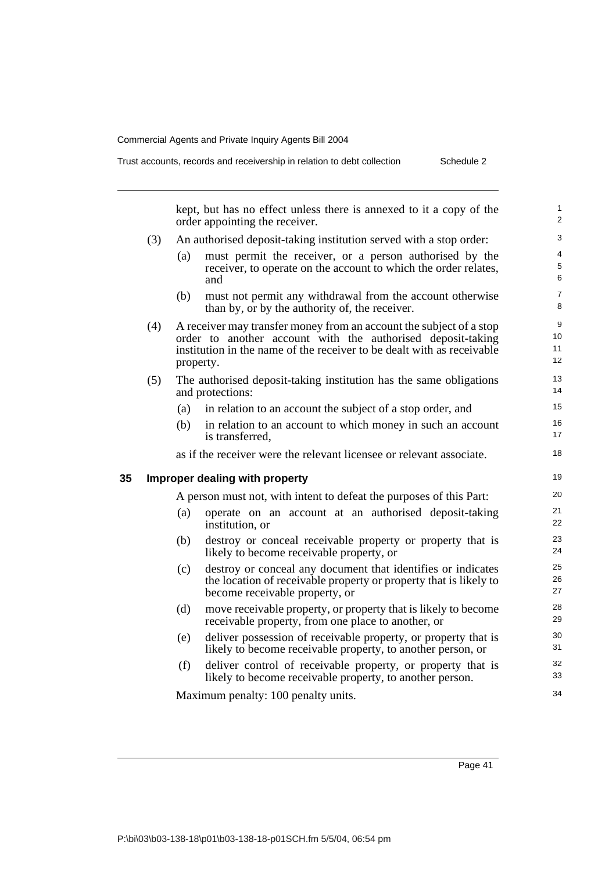Trust accounts, records and receivership in relation to debt collection Schedule 2

kept, but has no effect unless there is annexed to it a copy of the order appointing the receiver.

- (3) An authorised deposit-taking institution served with a stop order:
	- (a) must permit the receiver, or a person authorised by the receiver, to operate on the account to which the order relates, and
	- (b) must not permit any withdrawal from the account otherwise than by, or by the authority of, the receiver.
- (4) A receiver may transfer money from an account the subject of a stop order to another account with the authorised deposit-taking institution in the name of the receiver to be dealt with as receivable property.
- (5) The authorised deposit-taking institution has the same obligations and protections:
	- (a) in relation to an account the subject of a stop order, and
	- (b) in relation to an account to which money in such an account is transferred,

as if the receiver were the relevant licensee or relevant associate.

#### **35 Improper dealing with property**

A person must not, with intent to defeat the purposes of this Part:

- (a) operate on an account at an authorised deposit-taking institution, or
- (b) destroy or conceal receivable property or property that is likely to become receivable property, or
- (c) destroy or conceal any document that identifies or indicates the location of receivable property or property that is likely to become receivable property, or
- (d) move receivable property, or property that is likely to become receivable property, from one place to another, or
- (e) deliver possession of receivable property, or property that is likely to become receivable property, to another person, or
- (f) deliver control of receivable property, or property that is likely to become receivable property, to another person.

Maximum penalty: 100 penalty units.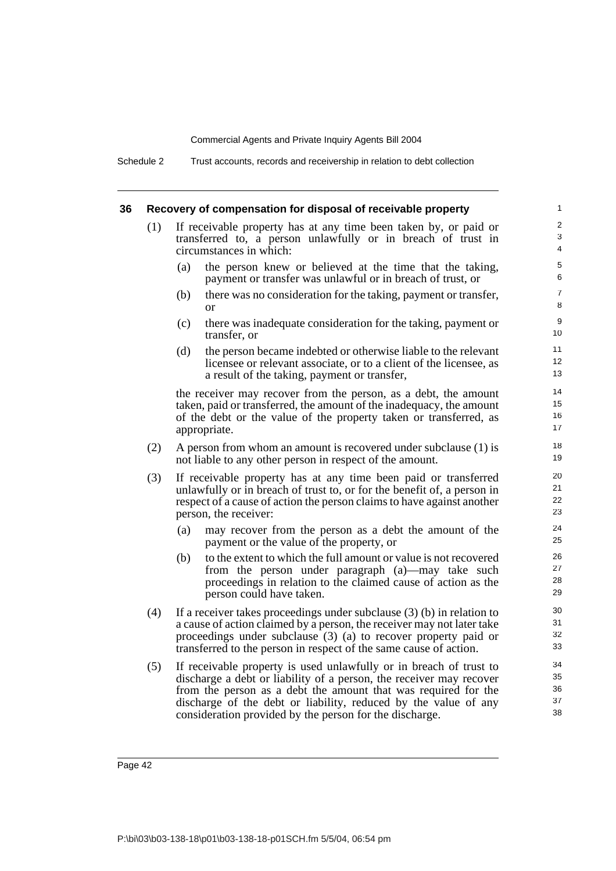Schedule 2 Trust accounts, records and receivership in relation to debt collection

#### **36 Recovery of compensation for disposal of receivable property** (1) If receivable property has at any time been taken by, or paid or transferred to, a person unlawfully or in breach of trust in circumstances in which: (a) the person knew or believed at the time that the taking, payment or transfer was unlawful or in breach of trust, or (b) there was no consideration for the taking, payment or transfer, or (c) there was inadequate consideration for the taking, payment or transfer, or (d) the person became indebted or otherwise liable to the relevant licensee or relevant associate, or to a client of the licensee, as a result of the taking, payment or transfer, the receiver may recover from the person, as a debt, the amount taken, paid or transferred, the amount of the inadequacy, the amount of the debt or the value of the property taken or transferred, as appropriate. (2) A person from whom an amount is recovered under subclause (1) is not liable to any other person in respect of the amount. (3) If receivable property has at any time been paid or transferred unlawfully or in breach of trust to, or for the benefit of, a person in respect of a cause of action the person claims to have against another person, the receiver: (a) may recover from the person as a debt the amount of the payment or the value of the property, or (b) to the extent to which the full amount or value is not recovered from the person under paragraph (a)—may take such proceedings in relation to the claimed cause of action as the person could have taken. (4) If a receiver takes proceedings under subclause (3) (b) in relation to a cause of action claimed by a person, the receiver may not later take proceedings under subclause (3) (a) to recover property paid or transferred to the person in respect of the same cause of action. (5) If receivable property is used unlawfully or in breach of trust to 1  $\overline{2}$ 3 4 5 6 7 8 9 10 11 12 13 14 15 16 17 18 19 20 21 22 23 24 25 26 27 28 29 30 31 32 33 34 35

discharge a debt or liability of a person, the receiver may recover from the person as a debt the amount that was required for the discharge of the debt or liability, reduced by the value of any consideration provided by the person for the discharge.

36 37 38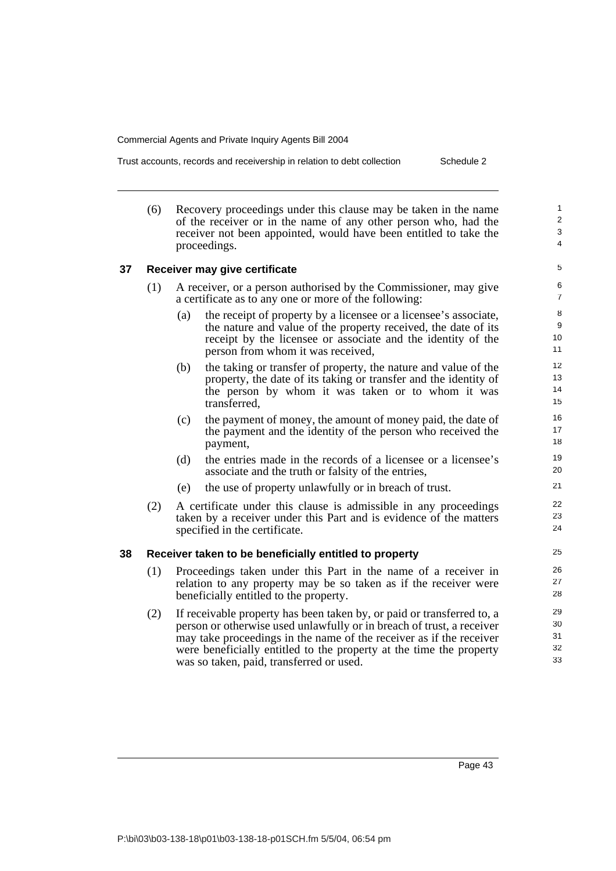**37 Receiver may give certificate**

Trust accounts, records and receivership in relation to debt collection Schedule 2

(6) Recovery proceedings under this clause may be taken in the name of the receiver or in the name of any other person who, had the receiver not been appointed, would have been entitled to take the proceedings.

5

- (1) A receiver, or a person authorised by the Commissioner, may give
	- a certificate as to any one or more of the following: (a) the receipt of property by a licensee or a licensee's associate,
		- the nature and value of the property received, the date of its receipt by the licensee or associate and the identity of the person from whom it was received,
		- (b) the taking or transfer of property, the nature and value of the property, the date of its taking or transfer and the identity of the person by whom it was taken or to whom it was transferred,
		- (c) the payment of money, the amount of money paid, the date of the payment and the identity of the person who received the payment,
		- (d) the entries made in the records of a licensee or a licensee's associate and the truth or falsity of the entries,
		- (e) the use of property unlawfully or in breach of trust.
	- (2) A certificate under this clause is admissible in any proceedings taken by a receiver under this Part and is evidence of the matters specified in the certificate.

#### **38 Receiver taken to be beneficially entitled to property**

- (1) Proceedings taken under this Part in the name of a receiver in relation to any property may be so taken as if the receiver were beneficially entitled to the property.
- (2) If receivable property has been taken by, or paid or transferred to, a person or otherwise used unlawfully or in breach of trust, a receiver may take proceedings in the name of the receiver as if the receiver were beneficially entitled to the property at the time the property was so taken, paid, transferred or used.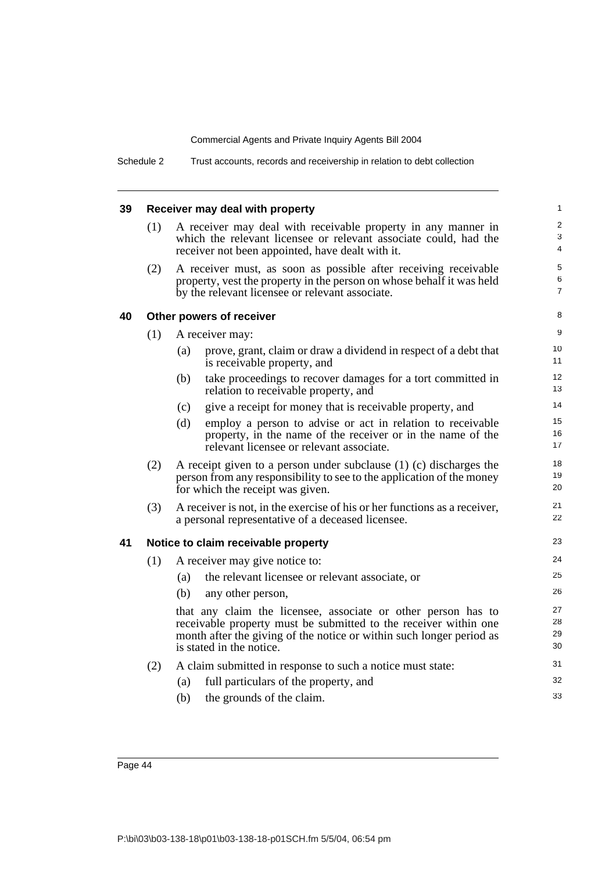Schedule 2 Trust accounts, records and receivership in relation to debt collection

| 39 |                                                                                                            | Receiver may deal with property                                                                                                                                                                                                       |                          |  |  |  |  |
|----|------------------------------------------------------------------------------------------------------------|---------------------------------------------------------------------------------------------------------------------------------------------------------------------------------------------------------------------------------------|--------------------------|--|--|--|--|
|    | (1)                                                                                                        | A receiver may deal with receivable property in any manner in<br>which the relevant licensee or relevant associate could, had the<br>receiver not been appointed, have dealt with it.                                                 | 2<br>3<br>4              |  |  |  |  |
|    | (2)                                                                                                        | A receiver must, as soon as possible after receiving receivable<br>property, vest the property in the person on whose behalf it was held<br>by the relevant licensee or relevant associate.                                           | 5<br>6<br>$\overline{7}$ |  |  |  |  |
| 40 |                                                                                                            | Other powers of receiver                                                                                                                                                                                                              | 8                        |  |  |  |  |
|    | (1)                                                                                                        | A receiver may:                                                                                                                                                                                                                       |                          |  |  |  |  |
|    |                                                                                                            | prove, grant, claim or draw a dividend in respect of a debt that<br>(a)<br>is receivable property, and                                                                                                                                | 10<br>11                 |  |  |  |  |
|    | take proceedings to recover damages for a tort committed in<br>(b)<br>relation to receivable property, and |                                                                                                                                                                                                                                       |                          |  |  |  |  |
|    |                                                                                                            | give a receipt for money that is receivable property, and<br>(c)                                                                                                                                                                      |                          |  |  |  |  |
|    |                                                                                                            | (d)<br>employ a person to advise or act in relation to receivable<br>property, in the name of the receiver or in the name of the<br>relevant licensee or relevant associate.                                                          | 15<br>16<br>17           |  |  |  |  |
|    | (2)                                                                                                        | A receipt given to a person under subclause $(1)$ $(c)$ discharges the<br>person from any responsibility to see to the application of the money<br>for which the receipt was given.                                                   | 18<br>19<br>20           |  |  |  |  |
|    | (3)                                                                                                        | A receiver is not, in the exercise of his or her functions as a receiver,<br>a personal representative of a deceased licensee.                                                                                                        | 21<br>22                 |  |  |  |  |
| 41 |                                                                                                            | Notice to claim receivable property                                                                                                                                                                                                   | 23                       |  |  |  |  |
|    | (1)                                                                                                        | A receiver may give notice to:                                                                                                                                                                                                        | 24                       |  |  |  |  |
|    |                                                                                                            | the relevant licensee or relevant associate, or<br>(a)                                                                                                                                                                                | 25                       |  |  |  |  |
|    |                                                                                                            | (b)<br>any other person,                                                                                                                                                                                                              | 26                       |  |  |  |  |
|    |                                                                                                            | that any claim the licensee, associate or other person has to<br>receivable property must be submitted to the receiver within one<br>month after the giving of the notice or within such longer period as<br>is stated in the notice. | 27<br>28<br>29<br>30     |  |  |  |  |
|    | (2)                                                                                                        | A claim submitted in response to such a notice must state:                                                                                                                                                                            | 31                       |  |  |  |  |
|    |                                                                                                            | full particulars of the property, and<br>(a)                                                                                                                                                                                          | 32                       |  |  |  |  |
|    |                                                                                                            | the grounds of the claim.<br>(b)                                                                                                                                                                                                      | 33                       |  |  |  |  |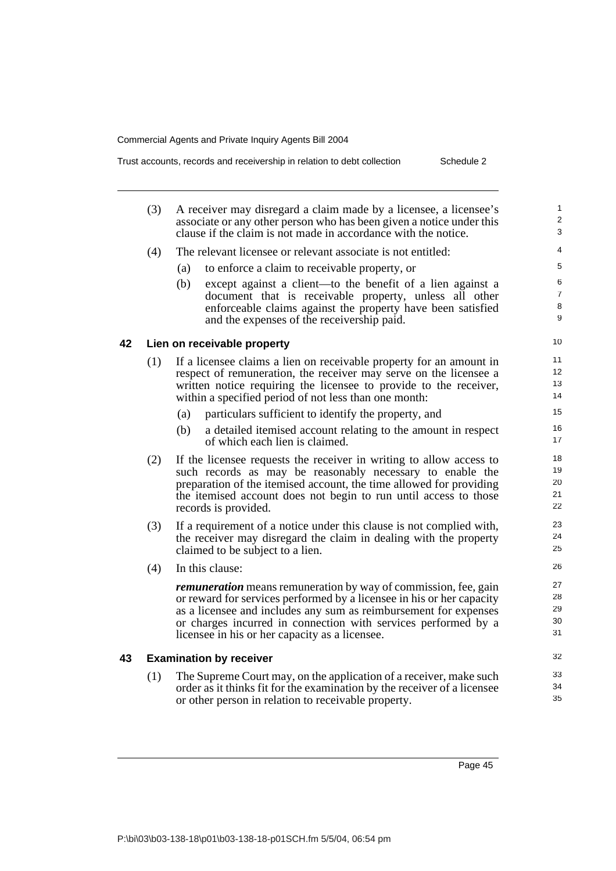| Trust accounts, records and receivership in relation to debt collection |  |  |  |  | Schedule 2 |
|-------------------------------------------------------------------------|--|--|--|--|------------|
|-------------------------------------------------------------------------|--|--|--|--|------------|

|    | (3) | A receiver may disregard a claim made by a licensee, a licensee's<br>associate or any other person who has been given a notice under this<br>clause if the claim is not made in accordance with the notice. | $\mathbf{1}$<br>$\overline{2}$<br>3 |
|----|-----|-------------------------------------------------------------------------------------------------------------------------------------------------------------------------------------------------------------|-------------------------------------|
|    | (4) | The relevant licensee or relevant associate is not entitled:                                                                                                                                                | 4                                   |
|    |     | to enforce a claim to receivable property, or<br>(a)                                                                                                                                                        | 5                                   |
|    |     | (b)<br>except against a client—to the benefit of a lien against a                                                                                                                                           | 6                                   |
|    |     | document that is receivable property, unless all other                                                                                                                                                      | $\overline{7}$<br>8                 |
|    |     | enforceable claims against the property have been satisfied<br>and the expenses of the receivership paid.                                                                                                   | 9                                   |
| 42 |     | Lien on receivable property                                                                                                                                                                                 | 10                                  |
|    | (1) | If a licensee claims a lien on receivable property for an amount in                                                                                                                                         | 11                                  |
|    |     | respect of remuneration, the receiver may serve on the licensee a                                                                                                                                           | 12<br>13                            |
|    |     | written notice requiring the licensee to provide to the receiver,<br>within a specified period of not less than one month:                                                                                  | 14                                  |
|    |     | particulars sufficient to identify the property, and<br>(a)                                                                                                                                                 | 15                                  |
|    |     | (b)<br>a detailed itemised account relating to the amount in respect                                                                                                                                        | 16                                  |
|    |     | of which each lien is claimed.                                                                                                                                                                              | 17                                  |
|    | (2) | If the licensee requests the receiver in writing to allow access to                                                                                                                                         | 18<br>19                            |
|    |     | such records as may be reasonably necessary to enable the<br>preparation of the itemised account, the time allowed for providing                                                                            | 20                                  |
|    |     | the itemised account does not begin to run until access to those                                                                                                                                            | 21                                  |
|    |     | records is provided.                                                                                                                                                                                        | 22                                  |
|    | (3) | If a requirement of a notice under this clause is not complied with,                                                                                                                                        | 23                                  |
|    |     | the receiver may disregard the claim in dealing with the property<br>claimed to be subject to a lien.                                                                                                       | 24<br>25                            |
|    | (4) | In this clause:                                                                                                                                                                                             | 26                                  |
|    |     |                                                                                                                                                                                                             | 27                                  |
|    |     | <i>remuneration</i> means remuneration by way of commission, fee, gain<br>or reward for services performed by a licensee in his or her capacity                                                             | 28                                  |
|    |     | as a licensee and includes any sum as reimbursement for expenses                                                                                                                                            | 29                                  |
|    |     | or charges incurred in connection with services performed by a<br>licensee in his or her capacity as a licensee.                                                                                            | 30<br>31                            |
| 43 |     | <b>Examination by receiver</b>                                                                                                                                                                              | 32                                  |
|    | (1) | The Supreme Court may, on the application of a receiver, make such                                                                                                                                          | 33                                  |
|    |     | order as it thinks fit for the examination by the receiver of a licensee                                                                                                                                    | 34<br>35                            |
|    |     | or other person in relation to receivable property.                                                                                                                                                         |                                     |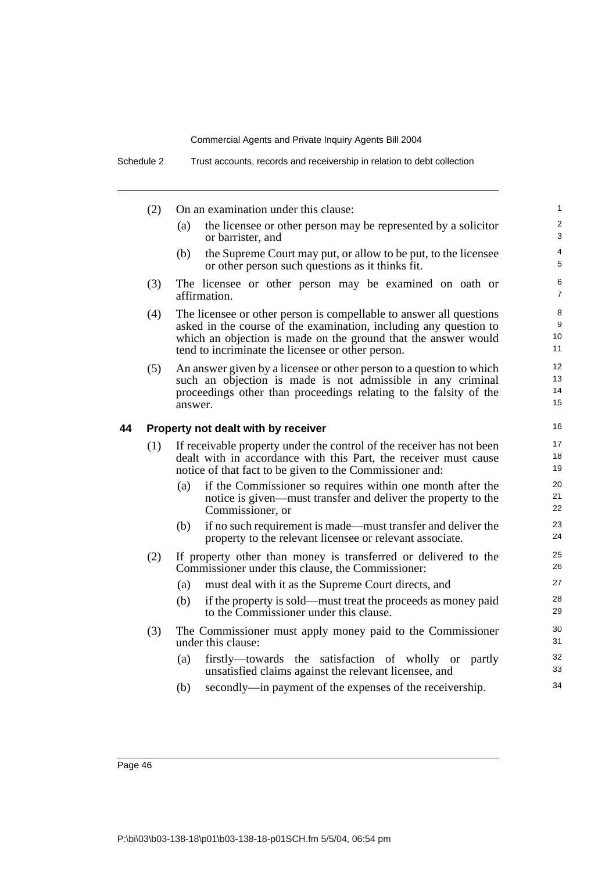|    | (2)                                 | On an examination under this clause:                                                                                                                                                                                                                            | 1                    |  |  |  |  |
|----|-------------------------------------|-----------------------------------------------------------------------------------------------------------------------------------------------------------------------------------------------------------------------------------------------------------------|----------------------|--|--|--|--|
|    |                                     | (a)<br>the licensee or other person may be represented by a solicitor<br>or barrister, and                                                                                                                                                                      | $\overline{2}$<br>3  |  |  |  |  |
|    |                                     | (b)<br>the Supreme Court may put, or allow to be put, to the licensee<br>or other person such questions as it thinks fit.                                                                                                                                       | 4<br>5               |  |  |  |  |
|    | (3)                                 | The licensee or other person may be examined on oath or<br>affirmation.                                                                                                                                                                                         |                      |  |  |  |  |
|    | (4)                                 | The licensee or other person is compellable to answer all questions<br>asked in the course of the examination, including any question to<br>which an objection is made on the ground that the answer would<br>tend to incriminate the licensee or other person. | 8<br>9<br>10<br>11   |  |  |  |  |
|    | (5)                                 | An answer given by a licensee or other person to a question to which<br>such an objection is made is not admissible in any criminal<br>proceedings other than proceedings relating to the falsity of the<br>answer.                                             | 12<br>13<br>14<br>15 |  |  |  |  |
| 44 | Property not dealt with by receiver |                                                                                                                                                                                                                                                                 |                      |  |  |  |  |
|    | (1)                                 | If receivable property under the control of the receiver has not been<br>dealt with in accordance with this Part, the receiver must cause<br>notice of that fact to be given to the Commissioner and:                                                           |                      |  |  |  |  |
|    |                                     | if the Commissioner so requires within one month after the<br>(a)<br>notice is given—must transfer and deliver the property to the<br>Commissioner, or                                                                                                          | 20<br>21<br>22       |  |  |  |  |
|    |                                     | if no such requirement is made—must transfer and deliver the<br>(b)<br>property to the relevant licensee or relevant associate.                                                                                                                                 | 23<br>24             |  |  |  |  |
|    | (2)                                 | If property other than money is transferred or delivered to the<br>Commissioner under this clause, the Commissioner:                                                                                                                                            | 25<br>26             |  |  |  |  |
|    |                                     | (a)<br>must deal with it as the Supreme Court directs, and                                                                                                                                                                                                      | 27                   |  |  |  |  |
|    |                                     | (b)<br>if the property is sold—must treat the proceeds as money paid<br>to the Commissioner under this clause.                                                                                                                                                  | 28<br>29             |  |  |  |  |
|    | (3)                                 | The Commissioner must apply money paid to the Commissioner<br>under this clause:                                                                                                                                                                                | 30<br>31             |  |  |  |  |
|    |                                     | firstly—towards the satisfaction of wholly or<br>(a)<br>partly<br>unsatisfied claims against the relevant licensee, and                                                                                                                                         | 32<br>33             |  |  |  |  |
|    |                                     | (b)<br>secondly—in payment of the expenses of the receivership.                                                                                                                                                                                                 | 34                   |  |  |  |  |

Schedule 2 Trust accounts, records and receivership in relation to debt collection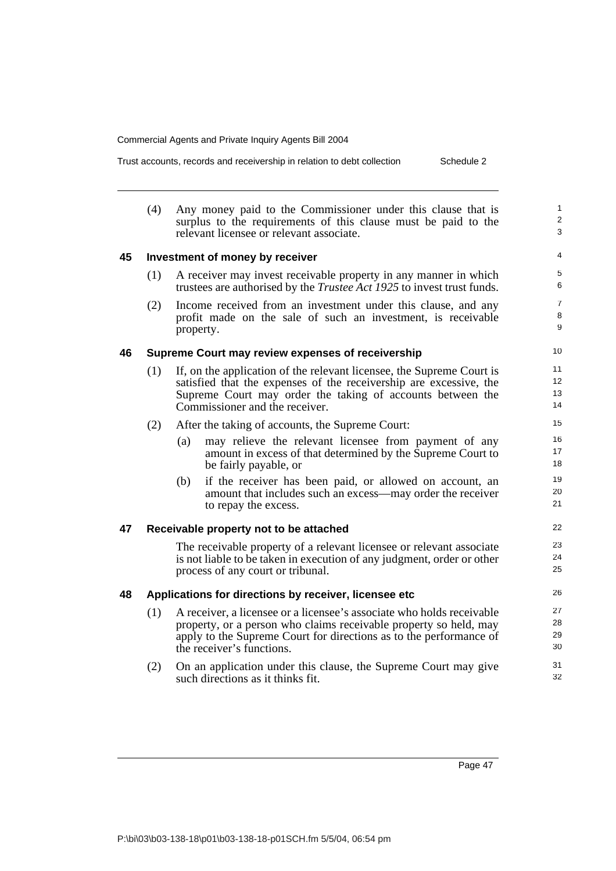Trust accounts, records and receivership in relation to debt collection Schedule 2

|    | Any money paid to the Commissioner under this clause that is<br>(4)<br>surplus to the requirements of this clause must be paid to the<br>relevant licensee or relevant associate. |                                                                                                                                                                                                                                               |                      |  |  |  |  |
|----|-----------------------------------------------------------------------------------------------------------------------------------------------------------------------------------|-----------------------------------------------------------------------------------------------------------------------------------------------------------------------------------------------------------------------------------------------|----------------------|--|--|--|--|
| 45 | Investment of money by receiver                                                                                                                                                   |                                                                                                                                                                                                                                               |                      |  |  |  |  |
|    | (1)<br>A receiver may invest receivable property in any manner in which<br>trustees are authorised by the <i>Trustee Act 1925</i> to invest trust funds.                          |                                                                                                                                                                                                                                               |                      |  |  |  |  |
|    | (2)<br>Income received from an investment under this clause, and any<br>profit made on the sale of such an investment, is receivable<br>property.                                 |                                                                                                                                                                                                                                               |                      |  |  |  |  |
| 46 |                                                                                                                                                                                   | Supreme Court may review expenses of receivership                                                                                                                                                                                             | 10                   |  |  |  |  |
|    | (1)                                                                                                                                                                               | If, on the application of the relevant licensee, the Supreme Court is<br>satisfied that the expenses of the receivership are excessive, the<br>Supreme Court may order the taking of accounts between the<br>Commissioner and the receiver.   | 11<br>12<br>13<br>14 |  |  |  |  |
|    | (2)                                                                                                                                                                               | After the taking of accounts, the Supreme Court:                                                                                                                                                                                              | 15                   |  |  |  |  |
|    |                                                                                                                                                                                   | may relieve the relevant licensee from payment of any<br>(a)<br>amount in excess of that determined by the Supreme Court to<br>be fairly payable, or                                                                                          | 16<br>17<br>18       |  |  |  |  |
|    |                                                                                                                                                                                   | if the receiver has been paid, or allowed on account, an<br>(b)<br>amount that includes such an excess—may order the receiver<br>to repay the excess.                                                                                         | 19<br>20<br>21       |  |  |  |  |
| 47 |                                                                                                                                                                                   | Receivable property not to be attached                                                                                                                                                                                                        | 22                   |  |  |  |  |
|    |                                                                                                                                                                                   | The receivable property of a relevant licensee or relevant associate<br>is not liable to be taken in execution of any judgment, order or other<br>process of any court or tribunal.                                                           | 23<br>24<br>25       |  |  |  |  |
| 48 |                                                                                                                                                                                   | Applications for directions by receiver, licensee etc                                                                                                                                                                                         | 26                   |  |  |  |  |
|    | (1)                                                                                                                                                                               | A receiver, a licensee or a licensee's associate who holds receivable<br>property, or a person who claims receivable property so held, may<br>apply to the Supreme Court for directions as to the performance of<br>the receiver's functions. | 27<br>28<br>29<br>30 |  |  |  |  |
|    | (2)                                                                                                                                                                               | On an application under this clause, the Supreme Court may give<br>such directions as it thinks fit.                                                                                                                                          | 31<br>32             |  |  |  |  |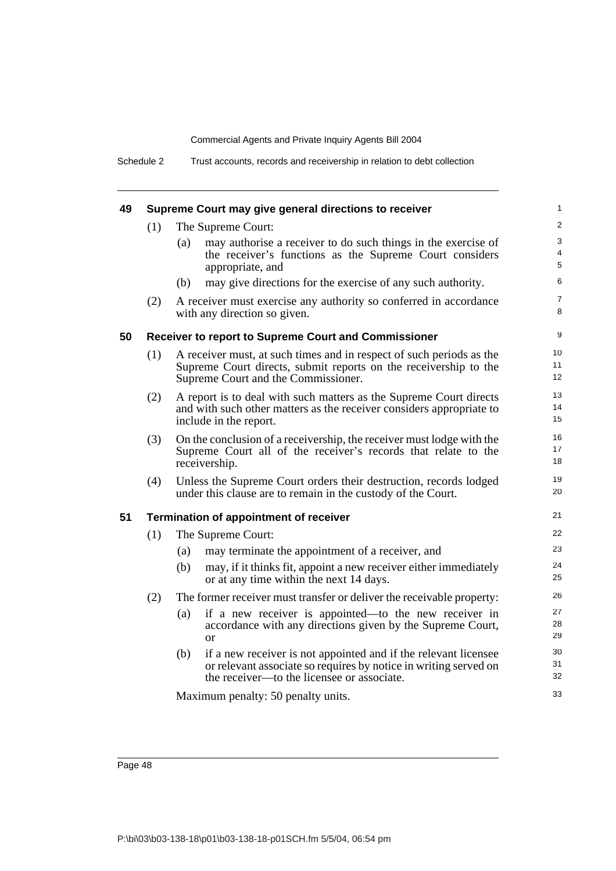Schedule 2 Trust accounts, records and receivership in relation to debt collection

| 49 |     | Supreme Court may give general directions to receiver                                                                                                                                    | 1                   |
|----|-----|------------------------------------------------------------------------------------------------------------------------------------------------------------------------------------------|---------------------|
|    | (1) | The Supreme Court:                                                                                                                                                                       | 2                   |
|    |     | may authorise a receiver to do such things in the exercise of<br>(a)                                                                                                                     | 3<br>4              |
|    |     | the receiver's functions as the Supreme Court considers<br>appropriate, and                                                                                                              | 5                   |
|    |     | may give directions for the exercise of any such authority.<br>(b)                                                                                                                       | 6                   |
|    | (2) | A receiver must exercise any authority so conferred in accordance<br>with any direction so given.                                                                                        | $\overline{7}$<br>8 |
| 50 |     | Receiver to report to Supreme Court and Commissioner                                                                                                                                     | 9                   |
|    | (1) | A receiver must, at such times and in respect of such periods as the<br>Supreme Court directs, submit reports on the receivership to the<br>Supreme Court and the Commissioner.          | 10<br>11<br>12      |
|    | (2) | A report is to deal with such matters as the Supreme Court directs<br>and with such other matters as the receiver considers appropriate to<br>include in the report.                     | 13<br>14<br>15      |
|    | (3) | On the conclusion of a receivership, the receiver must lodge with the<br>Supreme Court all of the receiver's records that relate to the<br>receivership.                                 | 16<br>17<br>18      |
|    | (4) | Unless the Supreme Court orders their destruction, records lodged<br>under this clause are to remain in the custody of the Court.                                                        | 19<br>20            |
| 51 |     | Termination of appointment of receiver                                                                                                                                                   | 21                  |
|    | (1) | The Supreme Court:                                                                                                                                                                       | 22                  |
|    |     | may terminate the appointment of a receiver, and<br>(a)                                                                                                                                  | 23                  |
|    |     | (b)<br>may, if it thinks fit, appoint a new receiver either immediately<br>or at any time within the next 14 days.                                                                       | 24<br>25            |
|    | (2) | The former receiver must transfer or deliver the receivable property:                                                                                                                    | 26                  |
|    |     | if a new receiver is appointed—to the new receiver in<br>(a)<br>accordance with any directions given by the Supreme Court,<br>or                                                         | 27<br>28<br>29      |
|    |     | if a new receiver is not appointed and if the relevant licensee<br>(b)<br>or relevant associate so requires by notice in writing served on<br>the receiver—to the licensee or associate. | 30<br>31<br>32      |
|    |     | Maximum penalty: 50 penalty units.                                                                                                                                                       | 33                  |
|    |     |                                                                                                                                                                                          |                     |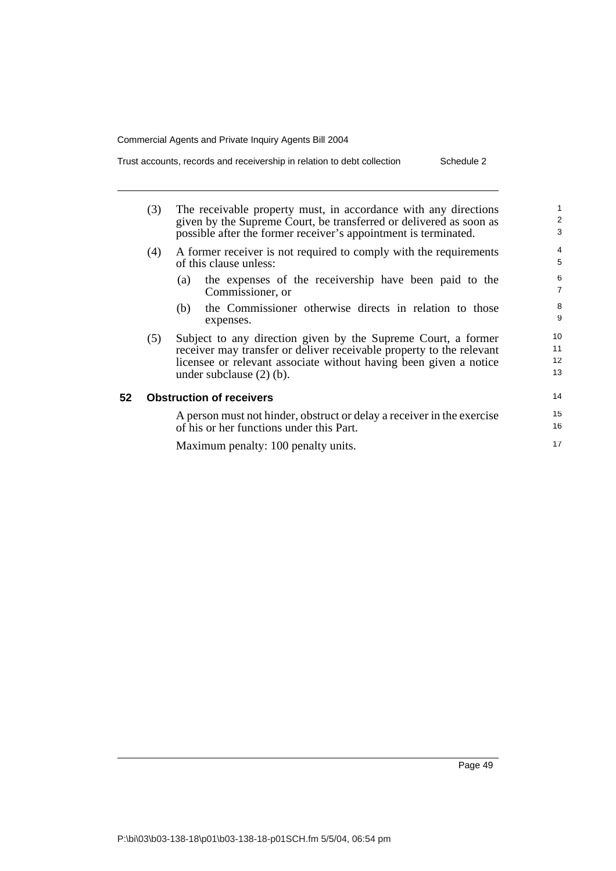| Trust accounts, records and receivership in relation to debt collection |  | Schedule 2 |
|-------------------------------------------------------------------------|--|------------|
|-------------------------------------------------------------------------|--|------------|

|    | (3) | The receivable property must, in accordance with any directions<br>given by the Supreme Court, be transferred or delivered as soon as<br>possible after the former receiver's appointment is terminated.                                 | $\mathbf{1}$<br>$\overline{2}$<br>3 |
|----|-----|------------------------------------------------------------------------------------------------------------------------------------------------------------------------------------------------------------------------------------------|-------------------------------------|
|    | (4) | A former receiver is not required to comply with the requirements<br>of this clause unless:                                                                                                                                              | $\overline{\mathbf{4}}$<br>5        |
|    |     | the expenses of the receivership have been paid to the<br>(a)<br>Commissioner, or                                                                                                                                                        | 6<br>$\overline{7}$                 |
|    |     | the Commissioner otherwise directs in relation to those<br>(b)<br>expenses.                                                                                                                                                              | 8<br>9                              |
|    | (5) | Subject to any direction given by the Supreme Court, a former<br>receiver may transfer or deliver receivable property to the relevant<br>licensee or relevant associate without having been given a notice<br>under subclause $(2)$ (b). | 10<br>11<br>12<br>13                |
| 52 |     | <b>Obstruction of receivers</b>                                                                                                                                                                                                          | 14                                  |
|    |     | A person must not hinder, obstruct or delay a receiver in the exercise<br>of his or her functions under this Part.                                                                                                                       | 15<br>16                            |
|    |     | Maximum penalty: 100 penalty units.                                                                                                                                                                                                      | 17                                  |
|    |     |                                                                                                                                                                                                                                          |                                     |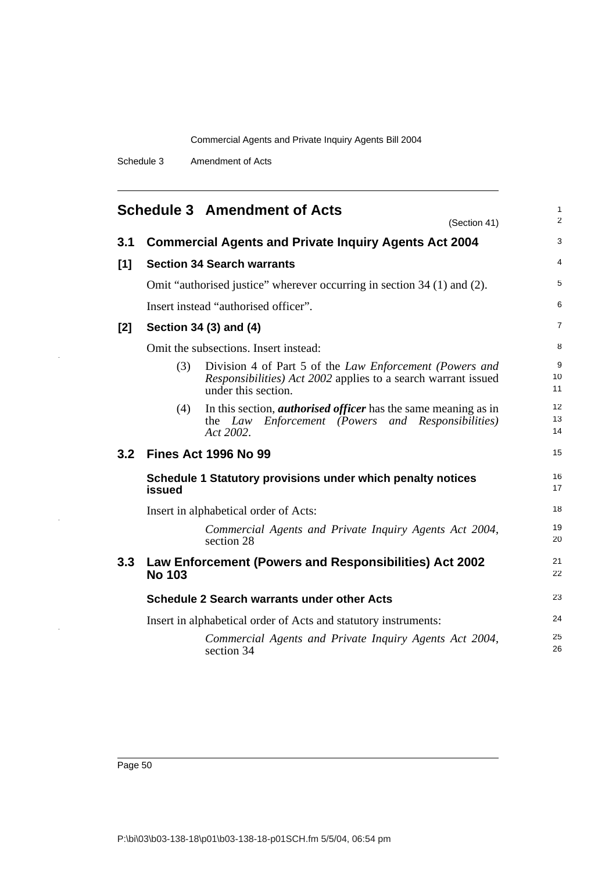Schedule 3 Amendment of Acts

<span id="page-59-0"></span>

|                  |                             | <b>Schedule 3 Amendment of Acts</b><br>(Section 41)                                                                                                            | 1<br>$\overline{2}$ |
|------------------|-----------------------------|----------------------------------------------------------------------------------------------------------------------------------------------------------------|---------------------|
| 3.1              |                             | <b>Commercial Agents and Private Inquiry Agents Act 2004</b>                                                                                                   | 3                   |
| [1]              |                             | <b>Section 34 Search warrants</b>                                                                                                                              | 4                   |
|                  |                             | Omit "authorised justice" wherever occurring in section 34 (1) and (2).                                                                                        | 5                   |
|                  |                             | Insert instead "authorised officer".                                                                                                                           | 6                   |
| [2]              | Section 34 (3) and (4)      |                                                                                                                                                                | 7                   |
|                  |                             | Omit the subsections. Insert instead:                                                                                                                          | 8                   |
|                  | (3)                         | Division 4 of Part 5 of the Law Enforcement (Powers and<br><i>Responsibilities</i> ) <i>Act 2002</i> applies to a search warrant issued<br>under this section. | 9<br>10<br>11       |
|                  | (4)                         | In this section, <i>authorised officer</i> has the same meaning as in<br>the Law Enforcement (Powers and Responsibilities)<br>Act 2002.                        | 12<br>13<br>14      |
| 3.2 <sub>2</sub> | <b>Fines Act 1996 No 99</b> |                                                                                                                                                                | 15                  |
|                  | <b>issued</b>               | Schedule 1 Statutory provisions under which penalty notices                                                                                                    | 16<br>17            |
|                  |                             | Insert in alphabetical order of Acts:                                                                                                                          | 18                  |
|                  |                             | Commercial Agents and Private Inquiry Agents Act 2004,<br>section 28                                                                                           | 19<br>20            |
| 3.3              | <b>No 103</b>               | Law Enforcement (Powers and Responsibilities) Act 2002                                                                                                         | 21<br>22            |
|                  |                             | <b>Schedule 2 Search warrants under other Acts</b>                                                                                                             | 23                  |
|                  |                             | Insert in alphabetical order of Acts and statutory instruments:                                                                                                | 24                  |
|                  |                             | Commercial Agents and Private Inquiry Agents Act 2004,<br>section 34                                                                                           | 25<br>26            |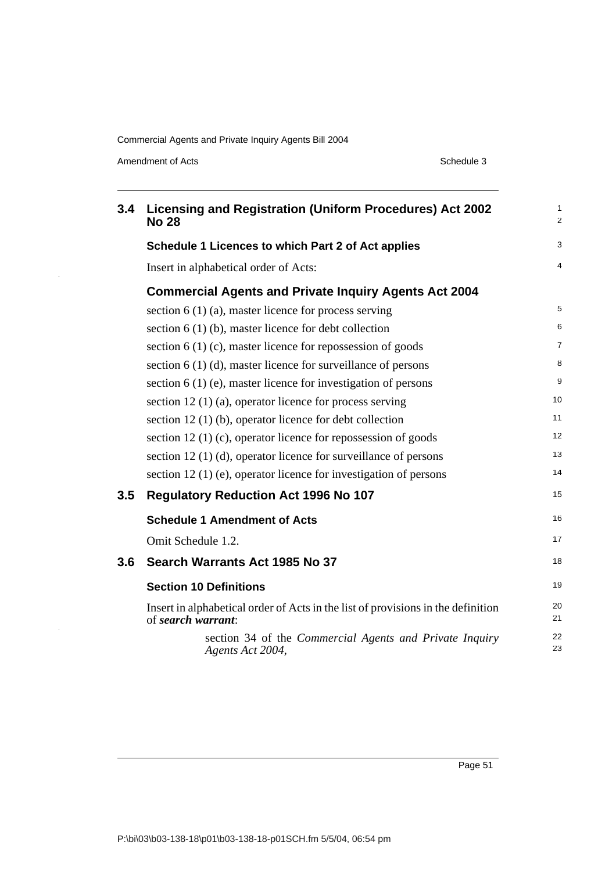Amendment of Acts Schedule 3

 $\ddot{\phantom{1}}$ 

 $\bar{z}$ 

| 3.4 | <b>Licensing and Registration (Uniform Procedures) Act 2002</b><br><b>No 28</b>                        | 1<br>$\overline{2}$ |
|-----|--------------------------------------------------------------------------------------------------------|---------------------|
|     | Schedule 1 Licences to which Part 2 of Act applies                                                     | 3                   |
|     | Insert in alphabetical order of Acts:                                                                  | 4                   |
|     | <b>Commercial Agents and Private Inquiry Agents Act 2004</b>                                           |                     |
|     | section $6(1)(a)$ , master licence for process serving                                                 | 5                   |
|     | section $6(1)(b)$ , master licence for debt collection                                                 | 6                   |
|     | section $6(1)(c)$ , master licence for repossession of goods                                           | 7                   |
|     | section $6(1)(d)$ , master licence for surveillance of persons                                         | 8                   |
|     | section $6(1)$ (e), master licence for investigation of persons                                        | 9                   |
|     | section 12 $(1)$ (a), operator licence for process serving                                             | 10                  |
|     | section 12 $(1)$ (b), operator licence for debt collection                                             | 11                  |
|     | section 12 $(1)$ (c), operator licence for repossession of goods                                       | 12                  |
|     | section 12 $(1)$ $(d)$ , operator licence for surveillance of persons                                  | 13                  |
|     | section 12 (1) (e), operator licence for investigation of persons                                      | 14                  |
| 3.5 | <b>Regulatory Reduction Act 1996 No 107</b>                                                            | 15                  |
|     | <b>Schedule 1 Amendment of Acts</b>                                                                    | 16                  |
|     | Omit Schedule 1.2.                                                                                     | 17                  |
| 3.6 | Search Warrants Act 1985 No 37                                                                         | 18                  |
|     | <b>Section 10 Definitions</b>                                                                          | 19                  |
|     | Insert in alphabetical order of Acts in the list of provisions in the definition<br>of search warrant: | 20<br>21            |
|     | section 34 of the Commercial Agents and Private Inquiry<br>Agents Act 2004,                            | 22<br>23            |
|     |                                                                                                        |                     |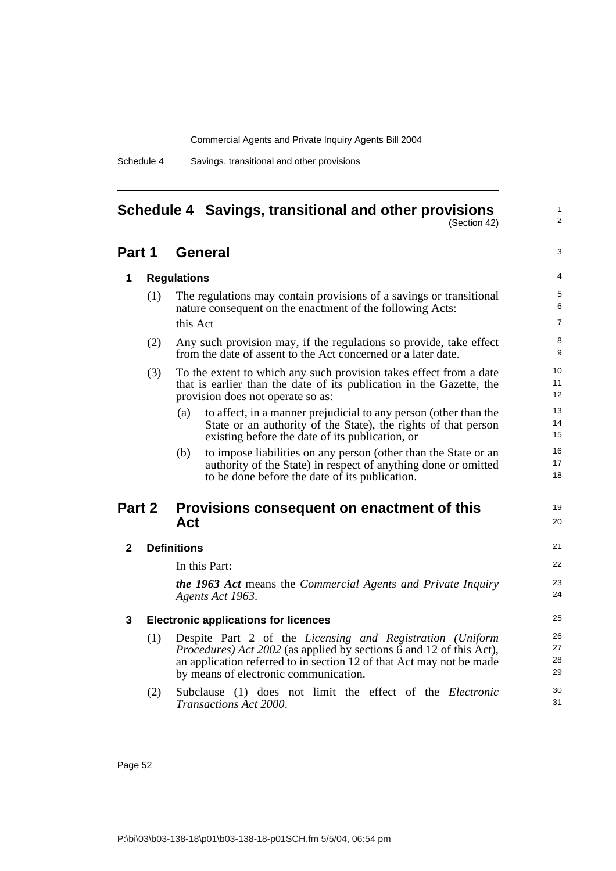Schedule 4 Savings, transitional and other provisions

<span id="page-61-0"></span>

| Schedule 4 Savings, transitional and other provisions |  |  |              |
|-------------------------------------------------------|--|--|--------------|
|                                                       |  |  | (Section 42) |

1 2

| Part 1       |     | <b>General</b>                                                                                                                                                                                                                                            | 3                    |
|--------------|-----|-----------------------------------------------------------------------------------------------------------------------------------------------------------------------------------------------------------------------------------------------------------|----------------------|
| 1            |     | <b>Regulations</b>                                                                                                                                                                                                                                        | 4                    |
|              | (1) | The regulations may contain provisions of a savings or transitional<br>nature consequent on the enactment of the following Acts:                                                                                                                          | 5<br>6               |
|              |     | this Act                                                                                                                                                                                                                                                  | 7                    |
|              | (2) | Any such provision may, if the regulations so provide, take effect<br>from the date of assent to the Act concerned or a later date.                                                                                                                       | 8<br>9               |
|              | (3) | To the extent to which any such provision takes effect from a date<br>that is earlier than the date of its publication in the Gazette, the<br>provision does not operate so as:                                                                           | 10<br>11<br>12       |
|              |     | to affect, in a manner prejudicial to any person (other than the<br>(a)<br>State or an authority of the State), the rights of that person<br>existing before the date of its publication, or                                                              | 13<br>14<br>15       |
|              |     | to impose liabilities on any person (other than the State or an<br>(b)<br>authority of the State) in respect of anything done or omitted<br>to be done before the date of its publication.                                                                | 16<br>17<br>18       |
| Part 2       |     | Provisions consequent on enactment of this<br>Act                                                                                                                                                                                                         | 19<br>20             |
| $\mathbf{2}$ |     | <b>Definitions</b>                                                                                                                                                                                                                                        | 21                   |
|              |     | In this Part:                                                                                                                                                                                                                                             | 22                   |
|              |     | <b>the 1963 Act</b> means the Commercial Agents and Private Inquiry<br>Agents Act 1963.                                                                                                                                                                   | 23<br>24             |
| 3            |     | <b>Electronic applications for licences</b>                                                                                                                                                                                                               | 25                   |
|              | (1) | Despite Part 2 of the Licensing and Registration (Uniform<br><i>Procedures</i> ) Act 2002 (as applied by sections 6 and 12 of this Act),<br>an application referred to in section 12 of that Act may not be made<br>by means of electronic communication. | 26<br>27<br>28<br>29 |
|              | (2) | Subclause (1) does not limit the effect of the <i>Electronic</i><br>Transactions Act 2000.                                                                                                                                                                | 30<br>31             |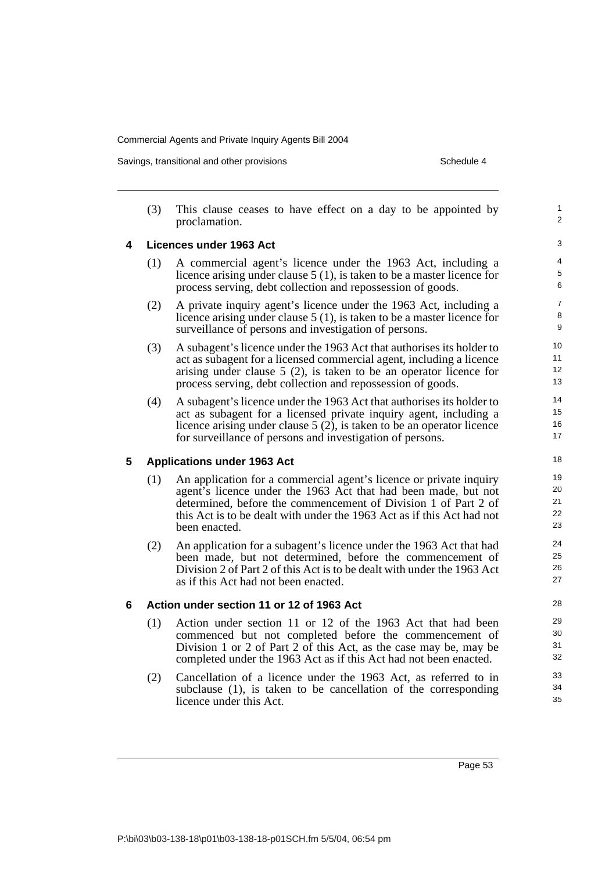Savings, transitional and other provisions Schedule 4

|   | (3)                                 | This clause ceases to have effect on a day to be appointed by<br>proclamation.                                                                                                                                                                                                                    | 1<br>$\overline{2}$               |  |  |
|---|-------------------------------------|---------------------------------------------------------------------------------------------------------------------------------------------------------------------------------------------------------------------------------------------------------------------------------------------------|-----------------------------------|--|--|
| 4 | 3<br><b>Licences under 1963 Act</b> |                                                                                                                                                                                                                                                                                                   |                                   |  |  |
|   | (1)                                 | A commercial agent's licence under the 1963 Act, including a<br>licence arising under clause $5(1)$ , is taken to be a master licence for<br>process serving, debt collection and repossession of goods.                                                                                          | 4<br>5<br>6                       |  |  |
|   | (2)                                 | A private inquiry agent's licence under the 1963 Act, including a<br>licence arising under clause $5(1)$ , is taken to be a master licence for<br>surveillance of persons and investigation of persons.                                                                                           | $\overline{7}$<br>8<br>9          |  |  |
|   | (3)                                 | A subagent's licence under the 1963 Act that authorises its holder to<br>act as subagent for a licensed commercial agent, including a licence<br>arising under clause $5(2)$ , is taken to be an operator licence for<br>process serving, debt collection and repossession of goods.              | 10 <sup>1</sup><br>11<br>12<br>13 |  |  |
|   | (4)                                 | A subagent's licence under the 1963 Act that authorises its holder to<br>act as subagent for a licensed private inquiry agent, including a<br>licence arising under clause $5(2)$ , is taken to be an operator licence<br>for surveillance of persons and investigation of persons.               | 14<br>15<br>16<br>17              |  |  |
| 5 |                                     | <b>Applications under 1963 Act</b>                                                                                                                                                                                                                                                                | 18                                |  |  |
|   | (1)                                 | An application for a commercial agent's licence or private inquiry<br>agent's licence under the 1963 Act that had been made, but not<br>determined, before the commencement of Division 1 of Part 2 of<br>this Act is to be dealt with under the 1963 Act as if this Act had not<br>been enacted. | 19<br>20<br>21<br>22<br>23        |  |  |
|   | (2)                                 | An application for a subagent's licence under the 1963 Act that had<br>been made, but not determined, before the commencement of<br>Division 2 of Part 2 of this Act is to be dealt with under the 1963 Act<br>as if this Act had not been enacted.                                               | 24<br>25<br>26<br>27              |  |  |
| 6 |                                     | Action under section 11 or 12 of 1963 Act                                                                                                                                                                                                                                                         | 28                                |  |  |
|   | (1)                                 | Action under section 11 or 12 of the 1963 Act that had been<br>commenced but not completed before the commencement of<br>Division 1 or 2 of Part 2 of this Act, as the case may be, may be<br>completed under the 1963 Act as if this Act had not been enacted.                                   | 29<br>30<br>31<br>32              |  |  |
|   | (2)                                 | Cancellation of a licence under the 1963 Act, as referred to in<br>subclause (1), is taken to be cancellation of the corresponding<br>licence under this Act.                                                                                                                                     | 33<br>34<br>35                    |  |  |
|   |                                     |                                                                                                                                                                                                                                                                                                   |                                   |  |  |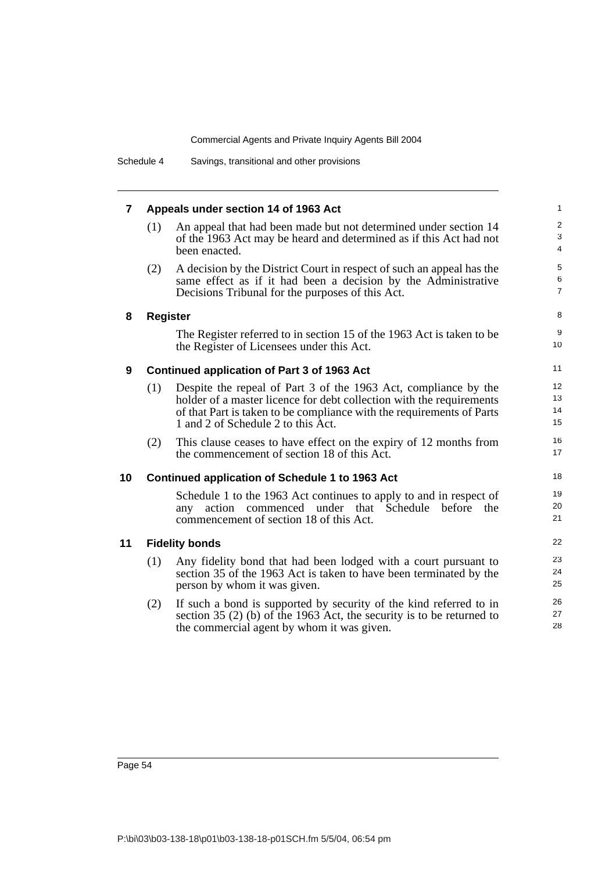| $\overline{\mathbf{r}}$ | Appeals under section 14 of 1963 Act        |                                                                                                                                                                                                                                                        |                                   |
|-------------------------|---------------------------------------------|--------------------------------------------------------------------------------------------------------------------------------------------------------------------------------------------------------------------------------------------------------|-----------------------------------|
|                         | (1)                                         | An appeal that had been made but not determined under section 14<br>of the 1963 Act may be heard and determined as if this Act had not<br>been enacted.                                                                                                | 2<br>3<br>$\overline{4}$          |
|                         | (2)                                         | A decision by the District Court in respect of such an appeal has the<br>same effect as if it had been a decision by the Administrative<br>Decisions Tribunal for the purposes of this Act.                                                            | 5<br>6<br>$\overline{7}$          |
| 8                       |                                             | <b>Register</b>                                                                                                                                                                                                                                        | 8                                 |
|                         |                                             | The Register referred to in section 15 of the 1963 Act is taken to be<br>the Register of Licensees under this Act.                                                                                                                                     | 9<br>10 <sup>1</sup>              |
| 9                       | Continued application of Part 3 of 1963 Act |                                                                                                                                                                                                                                                        | 11                                |
|                         | (1)                                         | Despite the repeal of Part 3 of the 1963 Act, compliance by the<br>holder of a master licence for debt collection with the requirements<br>of that Part is taken to be compliance with the requirements of Parts<br>1 and 2 of Schedule 2 to this Act. | 12 <sup>2</sup><br>13<br>14<br>15 |
|                         | (2)                                         | This clause ceases to have effect on the expiry of 12 months from<br>the commencement of section 18 of this Act.                                                                                                                                       | 16<br>17                          |
| 10                      |                                             | <b>Continued application of Schedule 1 to 1963 Act</b>                                                                                                                                                                                                 | 18                                |
|                         |                                             | Schedule 1 to the 1963 Act continues to apply to and in respect of<br>action commenced under that<br>Schedule<br>before<br>the<br>any<br>commencement of section 18 of this Act.                                                                       | 19<br>20<br>21                    |
| 11                      |                                             | <b>Fidelity bonds</b>                                                                                                                                                                                                                                  | 22                                |
|                         | (1)                                         | Any fidelity bond that had been lodged with a court pursuant to<br>section 35 of the 1963 Act is taken to have been terminated by the<br>person by whom it was given.                                                                                  | 23<br>24<br>25                    |
|                         | (2)                                         | If such a bond is supported by security of the kind referred to in<br>section 35 $(2)$ (b) of the 1963 Act, the security is to be returned to<br>the commercial agent by whom it was given.                                                            | 26<br>27<br>28                    |